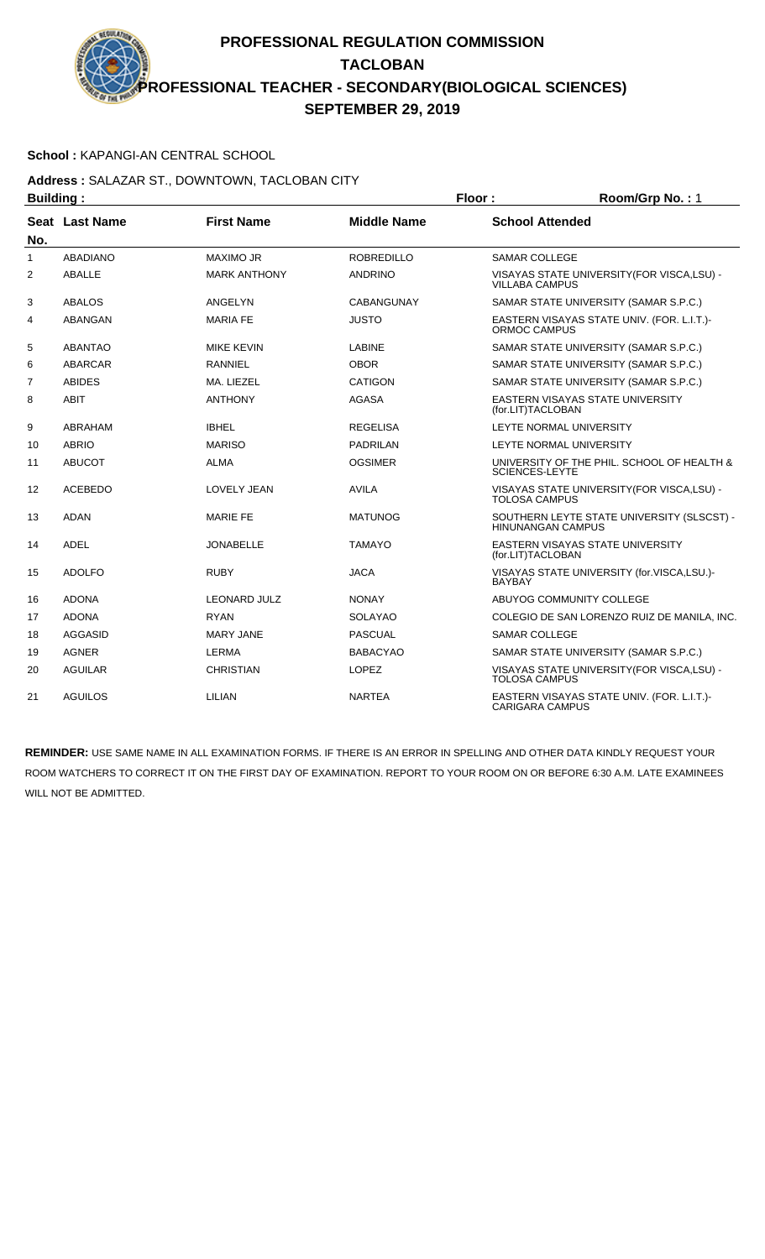### **School :** KAPANGI-AN CENTRAL SCHOOL

#### **Address :** SALAZAR ST., DOWNTOWN, TACLOBAN CITY **Building : Floor : Room/Grp No. :** 1

| Dununiy .      |                       |                     |                    | י טאו קושטוויטט                                                      |
|----------------|-----------------------|---------------------|--------------------|----------------------------------------------------------------------|
| No.            | <b>Seat Last Name</b> | <b>First Name</b>   | <b>Middle Name</b> | <b>School Attended</b>                                               |
| $\mathbf{1}$   | <b>ABADIANO</b>       | <b>MAXIMO JR</b>    | <b>ROBREDILLO</b>  | <b>SAMAR COLLEGE</b>                                                 |
| 2              | <b>ABALLE</b>         | <b>MARK ANTHONY</b> | <b>ANDRINO</b>     | VISAYAS STATE UNIVERSITY (FOR VISCA, LSU) -<br><b>VILLABA CAMPUS</b> |
| 3              | <b>ABALOS</b>         | ANGELYN             | <b>CABANGUNAY</b>  | SAMAR STATE UNIVERSITY (SAMAR S.P.C.)                                |
| 4              | ABANGAN               | <b>MARIA FE</b>     | <b>JUSTO</b>       | EASTERN VISAYAS STATE UNIV. (FOR. L.I.T.)-<br>ORMOC CAMPUS           |
| 5              | <b>ABANTAO</b>        | <b>MIKE KEVIN</b>   | <b>LABINE</b>      | SAMAR STATE UNIVERSITY (SAMAR S.P.C.)                                |
| 6              | <b>ABARCAR</b>        | <b>RANNIEL</b>      | <b>OBOR</b>        | SAMAR STATE UNIVERSITY (SAMAR S.P.C.)                                |
| $\overline{7}$ | ABIDES                | MA. LIEZEL          | <b>CATIGON</b>     | SAMAR STATE UNIVERSITY (SAMAR S.P.C.)                                |
| 8              | <b>ABIT</b>           | <b>ANTHONY</b>      | <b>AGASA</b>       | EASTERN VISAYAS STATE UNIVERSITY<br>(for.LIT)TACLOBAN                |
| 9              | ABRAHAM               | <b>IBHEL</b>        | <b>REGELISA</b>    | LEYTE NORMAL UNIVERSITY                                              |
| 10             | <b>ABRIO</b>          | <b>MARISO</b>       | <b>PADRILAN</b>    | LEYTE NORMAL UNIVERSITY                                              |
| 11             | <b>ABUCOT</b>         | <b>ALMA</b>         | <b>OGSIMER</b>     | UNIVERSITY OF THE PHIL. SCHOOL OF HEALTH &<br><b>SCIENCES-LEYTE</b>  |
| 12             | <b>ACEBEDO</b>        | <b>LOVELY JEAN</b>  | <b>AVILA</b>       | VISAYAS STATE UNIVERSITY (FOR VISCA, LSU) -<br><b>TOLOSA CAMPUS</b>  |
| 13             | <b>ADAN</b>           | <b>MARIE FE</b>     | <b>MATUNOG</b>     | SOUTHERN LEYTE STATE UNIVERSITY (SLSCST) -<br>HINUNANGAN CAMPUS      |
| 14             | <b>ADEL</b>           | <b>JONABELLE</b>    | <b>TAMAYO</b>      | EASTERN VISAYAS STATE UNIVERSITY<br>(for.LIT)TACLOBAN                |
| 15             | <b>ADOLFO</b>         | <b>RUBY</b>         | <b>JACA</b>        | VISAYAS STATE UNIVERSITY (for.VISCA,LSU.)-<br><b>BAYBAY</b>          |
| 16             | <b>ADONA</b>          | <b>LEONARD JULZ</b> | <b>NONAY</b>       | ABUYOG COMMUNITY COLLEGE                                             |
| 17             | <b>ADONA</b>          | <b>RYAN</b>         | <b>SOLAYAO</b>     | COLEGIO DE SAN LORENZO RUIZ DE MANILA. INC.                          |
| 18             | AGGASID               | <b>MARY JANE</b>    | <b>PASCUAL</b>     | <b>SAMAR COLLEGE</b>                                                 |
| 19             | <b>AGNER</b>          | <b>LERMA</b>        | <b>BABACYAO</b>    | SAMAR STATE UNIVERSITY (SAMAR S.P.C.)                                |
| 20             | <b>AGUILAR</b>        | <b>CHRISTIAN</b>    | <b>LOPEZ</b>       | VISAYAS STATE UNIVERSITY (FOR VISCA, LSU) -<br><b>TOLOSA CAMPUS</b>  |
| 21             | <b>AGUILOS</b>        | LILIAN              | <b>NARTEA</b>      | EASTERN VISAYAS STATE UNIV. (FOR. L.I.T.)-<br><b>CARIGARA CAMPUS</b> |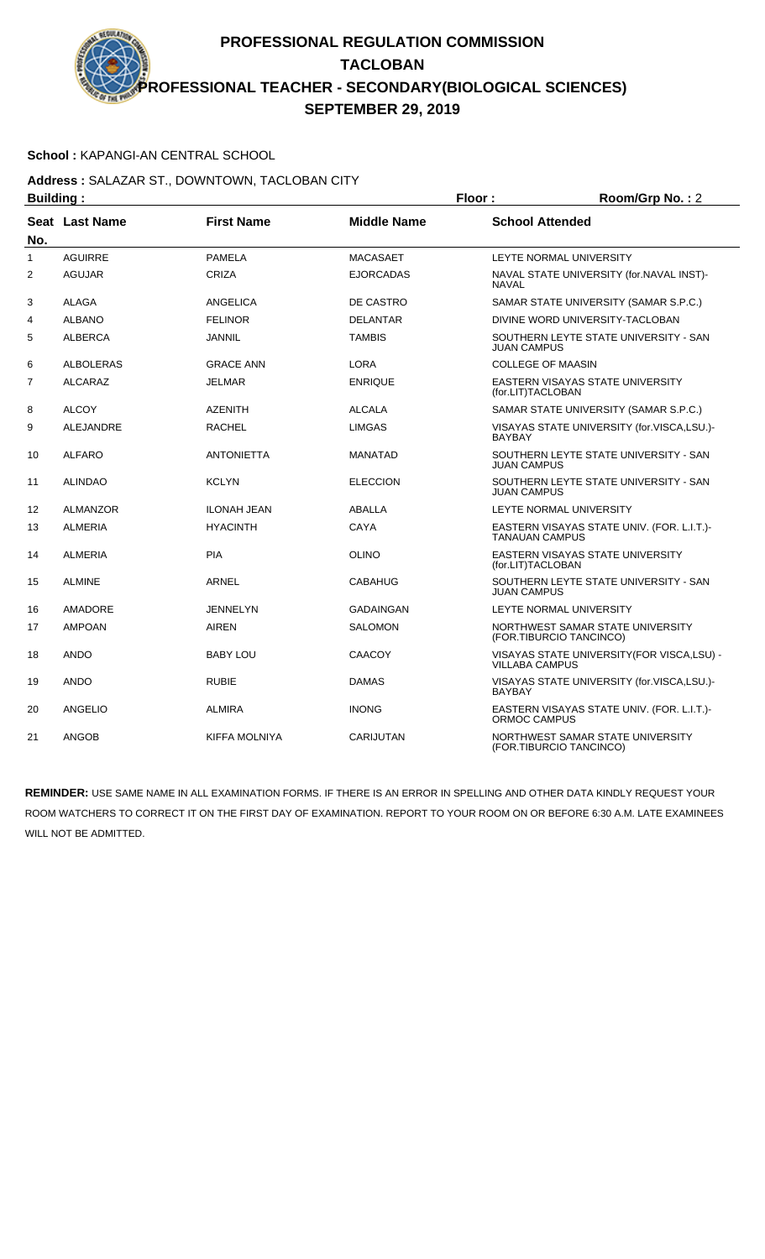### **School :** KAPANGI-AN CENTRAL SCHOOL

#### **Address :** SALAZAR ST., DOWNTOWN, TACLOBAN CITY **Building : Floor : Room/Grp No. :** 2

| bununiy .    |                       |                      | . וטטו             | 110011110110110.12                                                   |
|--------------|-----------------------|----------------------|--------------------|----------------------------------------------------------------------|
| No.          | <b>Seat Last Name</b> | <b>First Name</b>    | <b>Middle Name</b> | <b>School Attended</b>                                               |
| $\mathbf{1}$ | <b>AGUIRRE</b>        | <b>PAMELA</b>        | <b>MACASAET</b>    | LEYTE NORMAL UNIVERSITY                                              |
| 2            | <b>AGUJAR</b>         | <b>CRIZA</b>         | <b>EJORCADAS</b>   | NAVAL STATE UNIVERSITY (for.NAVAL INST)-<br><b>NAVAL</b>             |
| 3            | <b>ALAGA</b>          | <b>ANGELICA</b>      | DE CASTRO          | SAMAR STATE UNIVERSITY (SAMAR S.P.C.)                                |
| 4            | <b>ALBANO</b>         | <b>FELINOR</b>       | <b>DELANTAR</b>    | DIVINE WORD UNIVERSITY-TACLOBAN                                      |
| 5            | <b>ALBERCA</b>        | <b>JANNIL</b>        | <b>TAMBIS</b>      | SOUTHERN LEYTE STATE UNIVERSITY - SAN<br>JUAN CAMPUS                 |
| 6            | <b>ALBOLERAS</b>      | <b>GRACE ANN</b>     | <b>LORA</b>        | <b>COLLEGE OF MAASIN</b>                                             |
| 7            | ALCARAZ               | <b>JELMAR</b>        | <b>ENRIQUE</b>     | EASTERN VISAYAS STATE UNIVERSITY<br>(for.LIT)TACLOBAN                |
| 8            | <b>ALCOY</b>          | <b>AZENITH</b>       | <b>ALCALA</b>      | SAMAR STATE UNIVERSITY (SAMAR S.P.C.)                                |
| 9            | ALEJANDRE             | <b>RACHEL</b>        | <b>LIMGAS</b>      | VISAYAS STATE UNIVERSITY (for.VISCA,LSU.)-<br><b>BAYBAY</b>          |
| 10           | <b>ALFARO</b>         | <b>ANTONIETTA</b>    | <b>MANATAD</b>     | SOUTHERN LEYTE STATE UNIVERSITY - SAN<br>JUAN CAMPUS                 |
| 11           | <b>ALINDAO</b>        | <b>KCLYN</b>         | <b>ELECCION</b>    | SOUTHERN LEYTE STATE UNIVERSITY - SAN<br><b>JUAN CAMPUS</b>          |
| 12           | <b>ALMANZOR</b>       | <b>ILONAH JEAN</b>   | <b>ABALLA</b>      | LEYTE NORMAL UNIVERSITY                                              |
| 13           | <b>ALMERIA</b>        | <b>HYACINTH</b>      | CAYA               | EASTERN VISAYAS STATE UNIV. (FOR. L.I.T.)-<br><b>TANAUAN CAMPUS</b>  |
| 14           | <b>ALMERIA</b>        | <b>PIA</b>           | <b>OLINO</b>       | EASTERN VISAYAS STATE UNIVERSITY<br>(for.LIT)TACLOBAN                |
| 15           | <b>ALMINE</b>         | <b>ARNEL</b>         | <b>CABAHUG</b>     | SOUTHERN LEYTE STATE UNIVERSITY - SAN<br>JUAN CAMPUS                 |
| 16           | AMADORE               | JENNELYN             | <b>GADAINGAN</b>   | LEYTE NORMAL UNIVERSITY                                              |
| 17           | <b>AMPOAN</b>         | <b>AIREN</b>         | <b>SALOMON</b>     | NORTHWEST SAMAR STATE UNIVERSITY<br>(FOR.TIBURCIO TANCINCO)          |
| 18           | <b>ANDO</b>           | <b>BABY LOU</b>      | CAACOY             | VISAYAS STATE UNIVERSITY (FOR VISCA, LSU) -<br><b>VILLABA CAMPUS</b> |
| 19           | <b>ANDO</b>           | <b>RUBIE</b>         | <b>DAMAS</b>       | VISAYAS STATE UNIVERSITY (for.VISCA,LSU.)-<br><b>BAYBAY</b>          |
| 20           | ANGELIO               | <b>ALMIRA</b>        | <b>INONG</b>       | EASTERN VISAYAS STATE UNIV. (FOR. L.I.T.)-<br>ORMOC CAMPUS           |
| 21           | <b>ANGOB</b>          | <b>KIFFA MOLNIYA</b> | <b>CARIJUTAN</b>   | NORTHWEST SAMAR STATE UNIVERSITY<br>(FOR.TIBURCIO TANCINCO)          |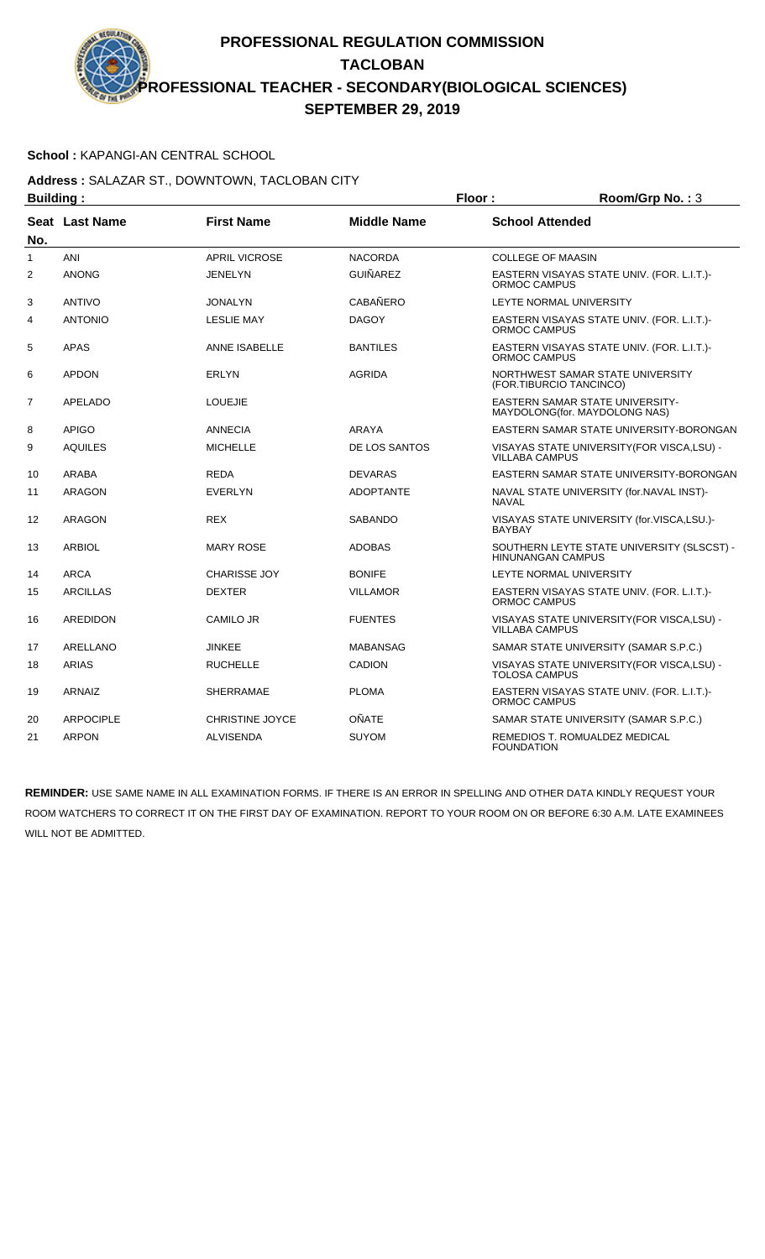### **School :** KAPANGI-AN CENTRAL SCHOOL

### **Address :** SALAZAR ST., DOWNTOWN, TACLOBAN CITY **Building : Floor : Room/Grp No. :** 3

| Dununiy .      |                       |                        |                    | . וטטו<br>ט ביטור שוויטשטו                                             |
|----------------|-----------------------|------------------------|--------------------|------------------------------------------------------------------------|
| No.            | <b>Seat Last Name</b> | <b>First Name</b>      | <b>Middle Name</b> | <b>School Attended</b>                                                 |
| 1              | ANI                   | <b>APRIL VICROSE</b>   | <b>NACORDA</b>     | <b>COLLEGE OF MAASIN</b>                                               |
| 2              | <b>ANONG</b>          | JENELYN                | <b>GUIÑAREZ</b>    | EASTERN VISAYAS STATE UNIV. (FOR. L.I.T.)-<br><b>ORMOC CAMPUS</b>      |
| 3              | <b>ANTIVO</b>         | <b>JONALYN</b>         | <b>CABAÑERO</b>    | LEYTE NORMAL UNIVERSITY                                                |
| $\overline{4}$ | <b>ANTONIO</b>        | <b>LESLIE MAY</b>      | <b>DAGOY</b>       | EASTERN VISAYAS STATE UNIV. (FOR. L.I.T.)-<br>ORMOC CAMPUS             |
| 5              | <b>APAS</b>           | <b>ANNE ISABELLE</b>   | <b>BANTILES</b>    | EASTERN VISAYAS STATE UNIV. (FOR. L.I.T.)-<br>ORMOC CAMPUS             |
| 6              | <b>APDON</b>          | <b>ERLYN</b>           | <b>AGRIDA</b>      | NORTHWEST SAMAR STATE UNIVERSITY<br>(FOR.TIBURCIO TANCINCO)            |
| $\overline{7}$ | <b>APELADO</b>        | <b>LOUEJIE</b>         |                    | EASTERN SAMAR STATE UNIVERSITY-<br>MAYDOLONG (for. MAYDOLONG NAS)      |
| 8              | <b>APIGO</b>          | <b>ANNECIA</b>         | <b>ARAYA</b>       | EASTERN SAMAR STATE UNIVERSITY-BORONGAN                                |
| 9              | <b>AQUILES</b>        | <b>MICHELLE</b>        | DE LOS SANTOS      | VISAYAS STATE UNIVERSITY (FOR VISCA, LSU) -<br><b>VILLABA CAMPUS</b>   |
| 10             | <b>ARABA</b>          | <b>REDA</b>            | <b>DEVARAS</b>     | EASTERN SAMAR STATE UNIVERSITY-BORONGAN                                |
| 11             | <b>ARAGON</b>         | <b>EVERLYN</b>         | <b>ADOPTANTE</b>   | NAVAL STATE UNIVERSITY (for.NAVAL INST)-<br><b>NAVAL</b>               |
| 12             | <b>ARAGON</b>         | <b>REX</b>             | <b>SABANDO</b>     | VISAYAS STATE UNIVERSITY (for.VISCA,LSU.)-<br><b>BAYBAY</b>            |
| 13             | <b>ARBIOL</b>         | <b>MARY ROSE</b>       | <b>ADOBAS</b>      | SOUTHERN LEYTE STATE UNIVERSITY (SLSCST) -<br><b>HINUNANGAN CAMPUS</b> |
| 14             | <b>ARCA</b>           | <b>CHARISSE JOY</b>    | <b>BONIFE</b>      | LEYTE NORMAL UNIVERSITY                                                |
| 15             | <b>ARCILLAS</b>       | <b>DEXTER</b>          | <b>VILLAMOR</b>    | EASTERN VISAYAS STATE UNIV. (FOR. L.I.T.)-<br>ORMOC CAMPUS             |
| 16             | <b>AREDIDON</b>       | <b>CAMILO JR</b>       | <b>FUENTES</b>     | VISAYAS STATE UNIVERSITY(FOR VISCA,LSU) -<br>VILLABA CAMPUS            |
| 17             | <b>ARELLANO</b>       | <b>JINKEE</b>          | <b>MABANSAG</b>    | SAMAR STATE UNIVERSITY (SAMAR S.P.C.)                                  |
| 18             | <b>ARIAS</b>          | <b>RUCHELLE</b>        | <b>CADION</b>      | VISAYAS STATE UNIVERSITY(FOR VISCA,LSU) -<br><b>TOLOSA CAMPUS</b>      |
| 19             | ARNAIZ                | <b>SHERRAMAE</b>       | <b>PLOMA</b>       | EASTERN VISAYAS STATE UNIV. (FOR. L.I.T.)-<br>ORMOC CAMPUS             |
| 20             | <b>ARPOCIPLE</b>      | <b>CHRISTINE JOYCE</b> | OÑATE              | SAMAR STATE UNIVERSITY (SAMAR S.P.C.)                                  |
| 21             | <b>ARPON</b>          | <b>ALVISENDA</b>       | <b>SUYOM</b>       | <b>REMEDIOS T. ROMUALDEZ MEDICAL</b><br><b>FOUNDATION</b>              |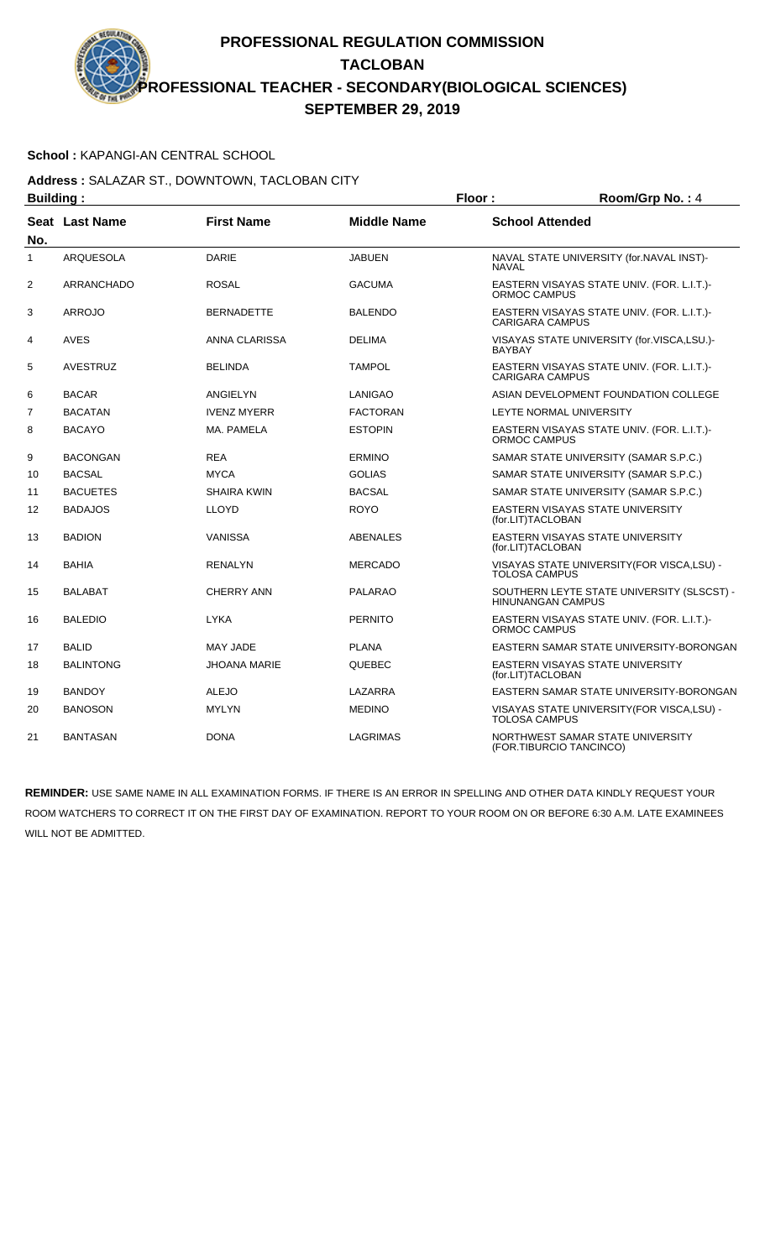### **School :** KAPANGI-AN CENTRAL SCHOOL

#### **Address :** SALAZAR ST., DOWNTOWN, TACLOBAN CITY **Building : Floor : Room/Grp No. :** 4

| Dununiy .      |                       |                     |                    | . וטטו<br>110011110111101117                                         |
|----------------|-----------------------|---------------------|--------------------|----------------------------------------------------------------------|
| No.            | <b>Seat Last Name</b> | <b>First Name</b>   | <b>Middle Name</b> | <b>School Attended</b>                                               |
| 1              | <b>ARQUESOLA</b>      | <b>DARIE</b>        | <b>JABUEN</b>      | NAVAL STATE UNIVERSITY (for.NAVAL INST)-<br><b>NAVAL</b>             |
| 2              | <b>ARRANCHADO</b>     | <b>ROSAL</b>        | <b>GACUMA</b>      | EASTERN VISAYAS STATE UNIV. (FOR. L.I.T.)-<br><b>ORMOC CAMPUS</b>    |
| 3              | <b>ARROJO</b>         | <b>BERNADETTE</b>   | <b>BALENDO</b>     | EASTERN VISAYAS STATE UNIV. (FOR. L.I.T.)-<br><b>CARIGARA CAMPUS</b> |
| 4              | <b>AVES</b>           | ANNA CLARISSA       | <b>DELIMA</b>      | VISAYAS STATE UNIVERSITY (for.VISCA,LSU.)-<br><b>BAYBAY</b>          |
| 5              | <b>AVESTRUZ</b>       | <b>BELINDA</b>      | <b>TAMPOL</b>      | EASTERN VISAYAS STATE UNIV. (FOR. L.I.T.)-<br><b>CARIGARA CAMPUS</b> |
| 6              | <b>BACAR</b>          | <b>ANGIELYN</b>     | <b>LANIGAO</b>     | ASIAN DEVELOPMENT FOUNDATION COLLEGE                                 |
| $\overline{7}$ | <b>BACATAN</b>        | <b>IVENZ MYERR</b>  | <b>FACTORAN</b>    | LEYTE NORMAL UNIVERSITY                                              |
| 8              | <b>BACAYO</b>         | MA. PAMELA          | <b>ESTOPIN</b>     | EASTERN VISAYAS STATE UNIV. (FOR. L.I.T.)-<br>ORMOC CAMPUS           |
| 9              | <b>BACONGAN</b>       | <b>REA</b>          | <b>ERMINO</b>      | SAMAR STATE UNIVERSITY (SAMAR S.P.C.)                                |
| 10             | <b>BACSAL</b>         | <b>MYCA</b>         | <b>GOLIAS</b>      | SAMAR STATE UNIVERSITY (SAMAR S.P.C.)                                |
| 11             | <b>BACUETES</b>       | <b>SHAIRA KWIN</b>  | <b>BACSAL</b>      | SAMAR STATE UNIVERSITY (SAMAR S.P.C.)                                |
| 12             | <b>BADAJOS</b>        | <b>LLOYD</b>        | <b>ROYO</b>        | EASTERN VISAYAS STATE UNIVERSITY<br>(for.LIT)TACLOBAN                |
| 13             | <b>BADION</b>         | <b>VANISSA</b>      | <b>ABENALES</b>    | EASTERN VISAYAS STATE UNIVERSITY<br>(for.LIT)TACLOBAN                |
| 14             | <b>BAHIA</b>          | <b>RENALYN</b>      | <b>MERCADO</b>     | VISAYAS STATE UNIVERSITY (FOR VISCA, LSU) -<br>TOLOSA CAMPUS         |
| 15             | <b>BALABAT</b>        | <b>CHERRY ANN</b>   | <b>PALARAO</b>     | SOUTHERN LEYTE STATE UNIVERSITY (SLSCST) -<br>HINUNANGAN CAMPUS      |
| 16             | <b>BALEDIO</b>        | <b>LYKA</b>         | <b>PERNITO</b>     | EASTERN VISAYAS STATE UNIV. (FOR. L.I.T.)-<br>ORMOC CAMPUS           |
| 17             | <b>BALID</b>          | MAY JADE            | <b>PLANA</b>       | EASTERN SAMAR STATE UNIVERSITY-BORONGAN                              |
| 18             | <b>BALINTONG</b>      | <b>JHOANA MARIE</b> | QUEBEC             | EASTERN VISAYAS STATE UNIVERSITY<br>(for.LIT)TACLOBAN                |
| 19             | <b>BANDOY</b>         | <b>ALEJO</b>        | LAZARRA            | EASTERN SAMAR STATE UNIVERSITY-BORONGAN                              |
| 20             | <b>BANOSON</b>        | <b>MYLYN</b>        | <b>MEDINO</b>      | VISAYAS STATE UNIVERSITY (FOR VISCA, LSU) -<br><b>TOLOSA CAMPUS</b>  |
| 21             | <b>BANTASAN</b>       | <b>DONA</b>         | <b>LAGRIMAS</b>    | NORTHWEST SAMAR STATE UNIVERSITY<br>(FOR.TIBURCIO TANCINCO)          |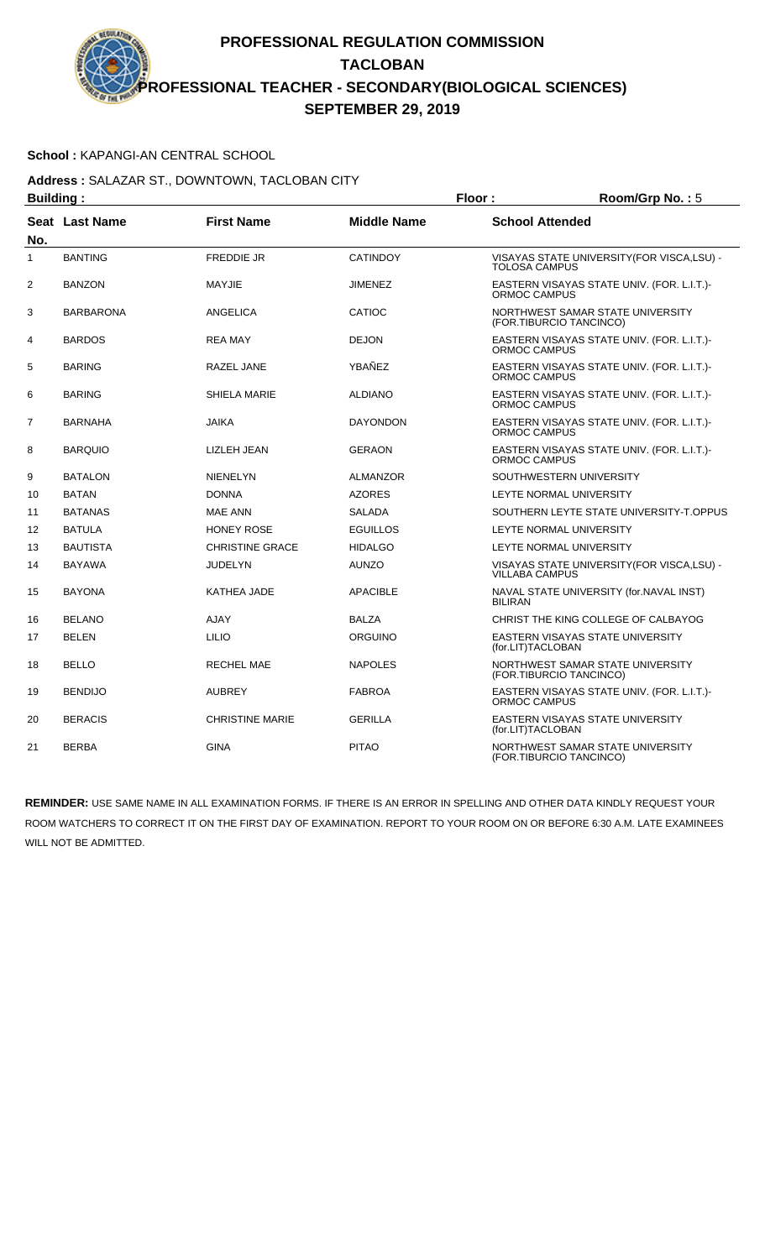### **School :** KAPANGI-AN CENTRAL SCHOOL

**Address :** SALAZAR ST., DOWNTOWN, TACLOBAN CITY **Building : Floor : Floor : Room/Grp No. :** 5

| Pananig .      |                  |                        | .                  |                                                                      |
|----------------|------------------|------------------------|--------------------|----------------------------------------------------------------------|
| No.            | Seat Last Name   | <b>First Name</b>      | <b>Middle Name</b> | <b>School Attended</b>                                               |
| 1              | <b>BANTING</b>   | <b>FREDDIE JR</b>      | <b>CATINDOY</b>    | VISAYAS STATE UNIVERSITY(FOR VISCA,LSU) -<br><b>TOLOSA CAMPUS</b>    |
| $\overline{2}$ | <b>BANZON</b>    | MAYJIE                 | <b>JIMENEZ</b>     | EASTERN VISAYAS STATE UNIV. (FOR. L.I.T.)-<br>ORMOC CAMPUS           |
| 3              | <b>BARBARONA</b> | ANGELICA               | CATIOC             | NORTHWEST SAMAR STATE UNIVERSITY<br>(FOR.TIBURCIO TANCINCO)          |
| 4              | <b>BARDOS</b>    | <b>REA MAY</b>         | <b>DEJON</b>       | EASTERN VISAYAS STATE UNIV. (FOR. L.I.T.)-<br>ORMOC CAMPUS           |
| 5              | <b>BARING</b>    | <b>RAZEL JANE</b>      | YBAÑEZ             | EASTERN VISAYAS STATE UNIV. (FOR. L.I.T.)-<br>ORMOC CAMPUS           |
| 6              | <b>BARING</b>    | SHIELA MARIE           | <b>ALDIANO</b>     | EASTERN VISAYAS STATE UNIV. (FOR. L.I.T.)-<br>ORMOC CAMPUS           |
| $\overline{7}$ | <b>BARNAHA</b>   | <b>JAIKA</b>           | <b>DAYONDON</b>    | EASTERN VISAYAS STATE UNIV. (FOR. L.I.T.)-<br>ORMOC CAMPUS           |
| 8              | <b>BARQUIO</b>   | LIZLEH JEAN            | <b>GERAON</b>      | EASTERN VISAYAS STATE UNIV. (FOR. L.I.T.)-<br>ORMOC CAMPUS           |
| 9              | <b>BATALON</b>   | <b>NIENELYN</b>        | <b>ALMANZOR</b>    | SOUTHWESTERN UNIVERSITY                                              |
| 10             | <b>BATAN</b>     | <b>DONNA</b>           | <b>AZORES</b>      | LEYTE NORMAL UNIVERSITY                                              |
| 11             | <b>BATANAS</b>   | <b>MAE ANN</b>         | <b>SALADA</b>      | SOUTHERN LEYTE STATE UNIVERSITY-T.OPPUS                              |
| 12             | <b>BATULA</b>    | <b>HONEY ROSE</b>      | <b>EGUILLOS</b>    | LEYTE NORMAL UNIVERSITY                                              |
| 13             | <b>BAUTISTA</b>  | <b>CHRISTINE GRACE</b> | <b>HIDALGO</b>     | LEYTE NORMAL UNIVERSITY                                              |
| 14             | <b>BAYAWA</b>    | <b>JUDELYN</b>         | <b>AUNZO</b>       | VISAYAS STATE UNIVERSITY (FOR VISCA, LSU) -<br><b>VILLABA CAMPUS</b> |
| 15             | <b>BAYONA</b>    | KATHEA JADE            | <b>APACIBLE</b>    | NAVAL STATE UNIVERSITY (for.NAVAL INST)<br><b>BILIRAN</b>            |
| 16             | <b>BELANO</b>    | <b>AJAY</b>            | <b>BALZA</b>       | CHRIST THE KING COLLEGE OF CALBAYOG                                  |
| 17             | <b>BELEN</b>     | <b>LILIO</b>           | <b>ORGUINO</b>     | EASTERN VISAYAS STATE UNIVERSITY<br>(for.LIT)TACLOBAN                |
| 18             | <b>BELLO</b>     | <b>RECHEL MAE</b>      | <b>NAPOLES</b>     | NORTHWEST SAMAR STATE UNIVERSITY<br>(FOR.TIBURCIO TANCINCO)          |
| 19             | <b>BENDIJO</b>   | <b>AUBREY</b>          | <b>FABROA</b>      | EASTERN VISAYAS STATE UNIV. (FOR. L.I.T.)-<br>ORMOC CAMPUS           |
| 20             | <b>BERACIS</b>   | <b>CHRISTINE MARIE</b> | <b>GERILLA</b>     | EASTERN VISAYAS STATE UNIVERSITY<br>(for.LIT)TACLOBAN                |
| 21             | <b>BERBA</b>     | <b>GINA</b>            | <b>PITAO</b>       | NORTHWEST SAMAR STATE UNIVERSITY<br>(FOR.TIBURCIO TANCINCO)          |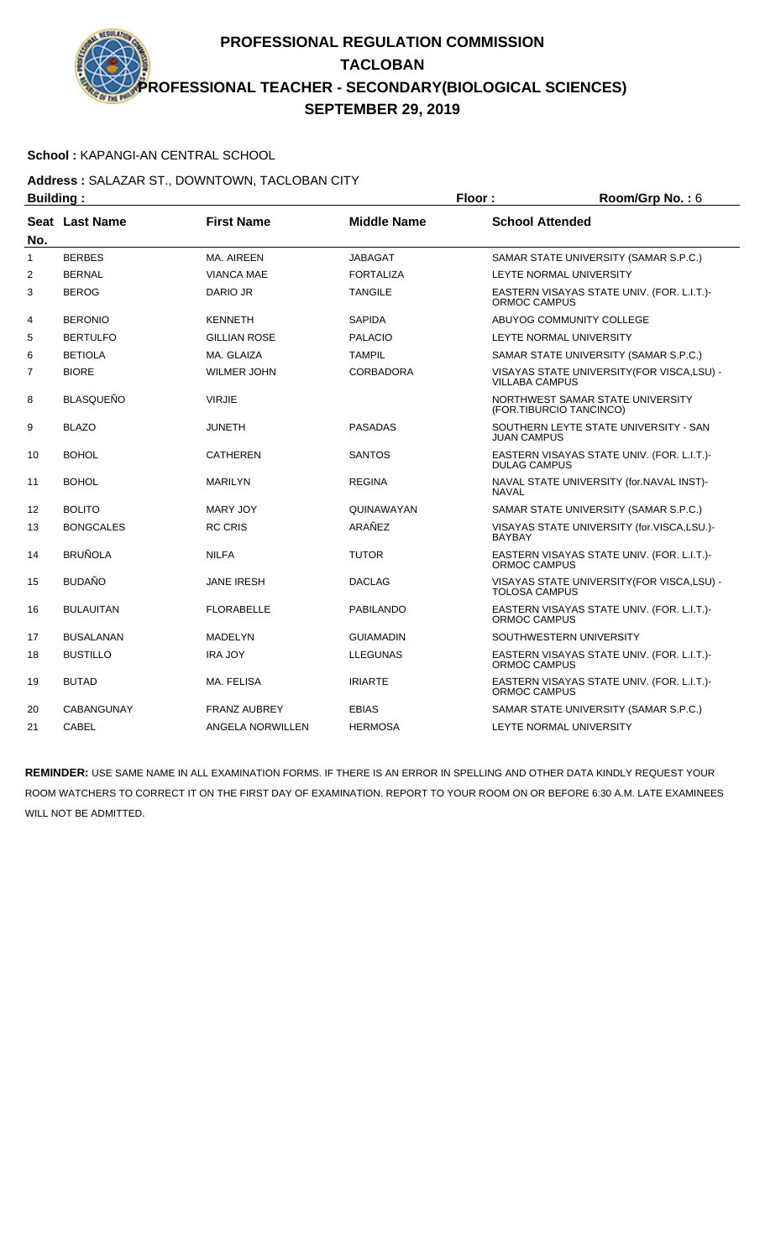### **School :** KAPANGI-AN CENTRAL SCHOOL

### **Address :** SALAZAR ST., DOWNTOWN, TACLOBAN CITY **Building : Floor : Room/Grp No. :** 6

| винишм г       |                  |                     |                    |                                                                      |
|----------------|------------------|---------------------|--------------------|----------------------------------------------------------------------|
| No.            | Seat Last Name   | <b>First Name</b>   | <b>Middle Name</b> | <b>School Attended</b>                                               |
| $\mathbf{1}$   | <b>BERBES</b>    | MA, AIREEN          | <b>JABAGAT</b>     | SAMAR STATE UNIVERSITY (SAMAR S.P.C.)                                |
| $\overline{2}$ | <b>BERNAL</b>    | <b>VIANCA MAE</b>   | <b>FORTALIZA</b>   | LEYTE NORMAL UNIVERSITY                                              |
| 3              | <b>BEROG</b>     | DARIO JR            | <b>TANGILE</b>     | EASTERN VISAYAS STATE UNIV. (FOR. L.I.T.)-<br><b>ORMOC CAMPUS</b>    |
| 4              | <b>BERONIO</b>   | <b>KENNETH</b>      | <b>SAPIDA</b>      | ABUYOG COMMUNITY COLLEGE                                             |
| 5              | <b>BERTULFO</b>  | <b>GILLIAN ROSE</b> | <b>PALACIO</b>     | LEYTE NORMAL UNIVERSITY                                              |
| 6              | <b>BETIOLA</b>   | MA. GLAIZA          | <b>TAMPIL</b>      | SAMAR STATE UNIVERSITY (SAMAR S.P.C.)                                |
| 7              | <b>BIORE</b>     | <b>WILMER JOHN</b>  | <b>CORBADORA</b>   | VISAYAS STATE UNIVERSITY (FOR VISCA, LSU) -<br><b>VILLABA CAMPUS</b> |
| 8              | <b>BLASQUEÑO</b> | <b>VIRJIE</b>       |                    | NORTHWEST SAMAR STATE UNIVERSITY<br>(FOR.TIBURCIO TANCINCO)          |
| 9              | <b>BLAZO</b>     | <b>JUNETH</b>       | <b>PASADAS</b>     | SOUTHERN LEYTE STATE UNIVERSITY - SAN<br>JUAN CAMPUS                 |
| 10             | <b>BOHOL</b>     | <b>CATHEREN</b>     | <b>SANTOS</b>      | EASTERN VISAYAS STATE UNIV. (FOR. L.I.T.)-<br><b>DULAG CAMPUS</b>    |
| 11             | <b>BOHOL</b>     | <b>MARILYN</b>      | <b>REGINA</b>      | NAVAL STATE UNIVERSITY (for.NAVAL INST)-<br><b>NAVAL</b>             |
| 12             | <b>BOLITO</b>    | <b>MARY JOY</b>     | QUINAWAYAN         | SAMAR STATE UNIVERSITY (SAMAR S.P.C.)                                |
| 13             | <b>BONGCALES</b> | <b>RC CRIS</b>      | ARAÑEZ             | VISAYAS STATE UNIVERSITY (for.VISCA,LSU.)-<br><b>BAYBAY</b>          |
| 14             | <b>BRUÑOLA</b>   | <b>NILFA</b>        | <b>TUTOR</b>       | EASTERN VISAYAS STATE UNIV. (FOR. L.I.T.)-<br><b>ORMOC CAMPUS</b>    |
| 15             | <b>BUDAÑO</b>    | <b>JANE IRESH</b>   | <b>DACLAG</b>      | VISAYAS STATE UNIVERSITY (FOR VISCA, LSU) -<br>TOLOSA CAMPUS         |
| 16             | <b>BULAUITAN</b> | <b>FLORABELLE</b>   | <b>PABILANDO</b>   | EASTERN VISAYAS STATE UNIV. (FOR. L.I.T.)-<br><b>ORMOC CAMPUS</b>    |
| 17             | <b>BUSALANAN</b> | <b>MADELYN</b>      | <b>GUIAMADIN</b>   | SOUTHWESTERN UNIVERSITY                                              |
| 18             | <b>BUSTILLO</b>  | <b>IRA JOY</b>      | <b>LLEGUNAS</b>    | EASTERN VISAYAS STATE UNIV. (FOR. L.I.T.)-<br><b>ORMOC CAMPUS</b>    |
| 19             | <b>BUTAD</b>     | MA. FELISA          | <b>IRIARTE</b>     | EASTERN VISAYAS STATE UNIV. (FOR. L.I.T.)-<br><b>ORMOC CAMPUS</b>    |
| 20             | CABANGUNAY       | <b>FRANZ AUBREY</b> | <b>EBIAS</b>       | SAMAR STATE UNIVERSITY (SAMAR S.P.C.)                                |
| 21             | <b>CABEL</b>     | ANGELA NORWILLEN    | <b>HERMOSA</b>     | <b>LEYTE NORMAL UNIVERSITY</b>                                       |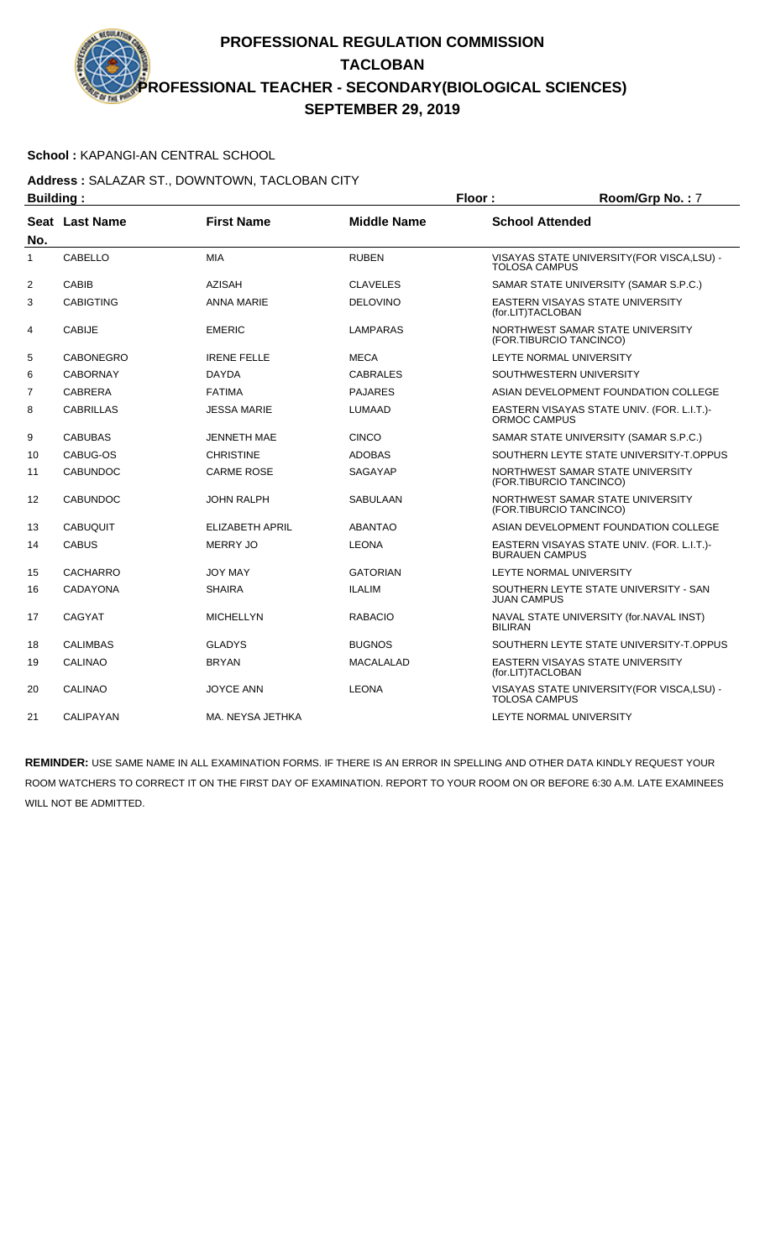### **School :** KAPANGI-AN CENTRAL SCHOOL

### **Address :** SALAZAR ST., DOWNTOWN, TACLOBAN CITY **Building : Floor : Room/Grp No. :** 7

| Pununiy .      |                  |                        |                    | . וטטו<br>110011110111101111                                        |
|----------------|------------------|------------------------|--------------------|---------------------------------------------------------------------|
| No.            | Seat Last Name   | <b>First Name</b>      | <b>Middle Name</b> | <b>School Attended</b>                                              |
| $\mathbf{1}$   | CABELLO          | <b>MIA</b>             | <b>RUBEN</b>       | VISAYAS STATE UNIVERSITY(FOR VISCA,LSU) -<br><b>TOLOSA CAMPUS</b>   |
| 2              | CABIB            | <b>AZISAH</b>          | <b>CLAVELES</b>    | SAMAR STATE UNIVERSITY (SAMAR S.P.C.)                               |
| 3              | <b>CABIGTING</b> | <b>ANNA MARIE</b>      | <b>DELOVINO</b>    | EASTERN VISAYAS STATE UNIVERSITY<br>(for.LIT)TACLOBAN               |
| 4              | <b>CABIJE</b>    | <b>EMERIC</b>          | LAMPARAS           | NORTHWEST SAMAR STATE UNIVERSITY<br>(FOR.TIBURCIO TANCINCO)         |
| 5              | <b>CABONEGRO</b> | <b>IRENE FELLE</b>     | <b>MECA</b>        | LEYTE NORMAL UNIVERSITY                                             |
| 6              | <b>CABORNAY</b>  | <b>DAYDA</b>           | <b>CABRALES</b>    | SOUTHWESTERN UNIVERSITY                                             |
| $\overline{7}$ | <b>CABRERA</b>   | <b>FATIMA</b>          | <b>PAJARES</b>     | ASIAN DEVELOPMENT FOUNDATION COLLEGE                                |
| 8              | <b>CABRILLAS</b> | <b>JESSA MARIE</b>     | LUMAAD             | EASTERN VISAYAS STATE UNIV. (FOR. L.I.T.)-<br>ORMOC CAMPUS          |
| 9              | <b>CABUBAS</b>   | <b>JENNETH MAE</b>     | <b>CINCO</b>       | SAMAR STATE UNIVERSITY (SAMAR S.P.C.)                               |
| 10             | CABUG-OS         | <b>CHRISTINE</b>       | <b>ADOBAS</b>      | SOUTHERN LEYTE STATE UNIVERSITY-T.OPPUS                             |
| 11             | <b>CABUNDOC</b>  | <b>CARME ROSE</b>      | <b>SAGAYAP</b>     | NORTHWEST SAMAR STATE UNIVERSITY<br>(FOR.TIBURCIO TANCINCO)         |
| 12             | <b>CABUNDOC</b>  | <b>JOHN RALPH</b>      | <b>SABULAAN</b>    | NORTHWEST SAMAR STATE UNIVERSITY<br>(FOR.TIBURCIO TANCINCO)         |
| 13             | <b>CABUQUIT</b>  | <b>ELIZABETH APRIL</b> | <b>ABANTAO</b>     | ASIAN DEVELOPMENT FOUNDATION COLLEGE                                |
| 14             | <b>CABUS</b>     | <b>MERRY JO</b>        | <b>LEONA</b>       | EASTERN VISAYAS STATE UNIV. (FOR. L.I.T.)-<br><b>BURAUEN CAMPUS</b> |
| 15             | <b>CACHARRO</b>  | <b>JOY MAY</b>         | <b>GATORIAN</b>    | LEYTE NORMAL UNIVERSITY                                             |
| 16             | <b>CADAYONA</b>  | <b>SHAIRA</b>          | <b>ILALIM</b>      | SOUTHERN LEYTE STATE UNIVERSITY - SAN<br>JUAN CAMPUS                |
| 17             | CAGYAT           | <b>MICHELLYN</b>       | <b>RABACIO</b>     | NAVAL STATE UNIVERSITY (for.NAVAL INST)<br><b>BILIRAN</b>           |
| 18             | <b>CALIMBAS</b>  | <b>GLADYS</b>          | <b>BUGNOS</b>      | SOUTHERN LEYTE STATE UNIVERSITY-T.OPPUS                             |
| 19             | <b>CALINAO</b>   | <b>BRYAN</b>           | MACALALAD          | EASTERN VISAYAS STATE UNIVERSITY<br>(for.LIT)TACLOBAN               |
| 20             | <b>CALINAO</b>   | <b>JOYCE ANN</b>       | <b>LEONA</b>       | VISAYAS STATE UNIVERSITY (FOR VISCA, LSU) -<br><b>TOLOSA CAMPUS</b> |
| 21             | CALIPAYAN        | MA. NEYSA JETHKA       |                    | LEYTE NORMAL UNIVERSITY                                             |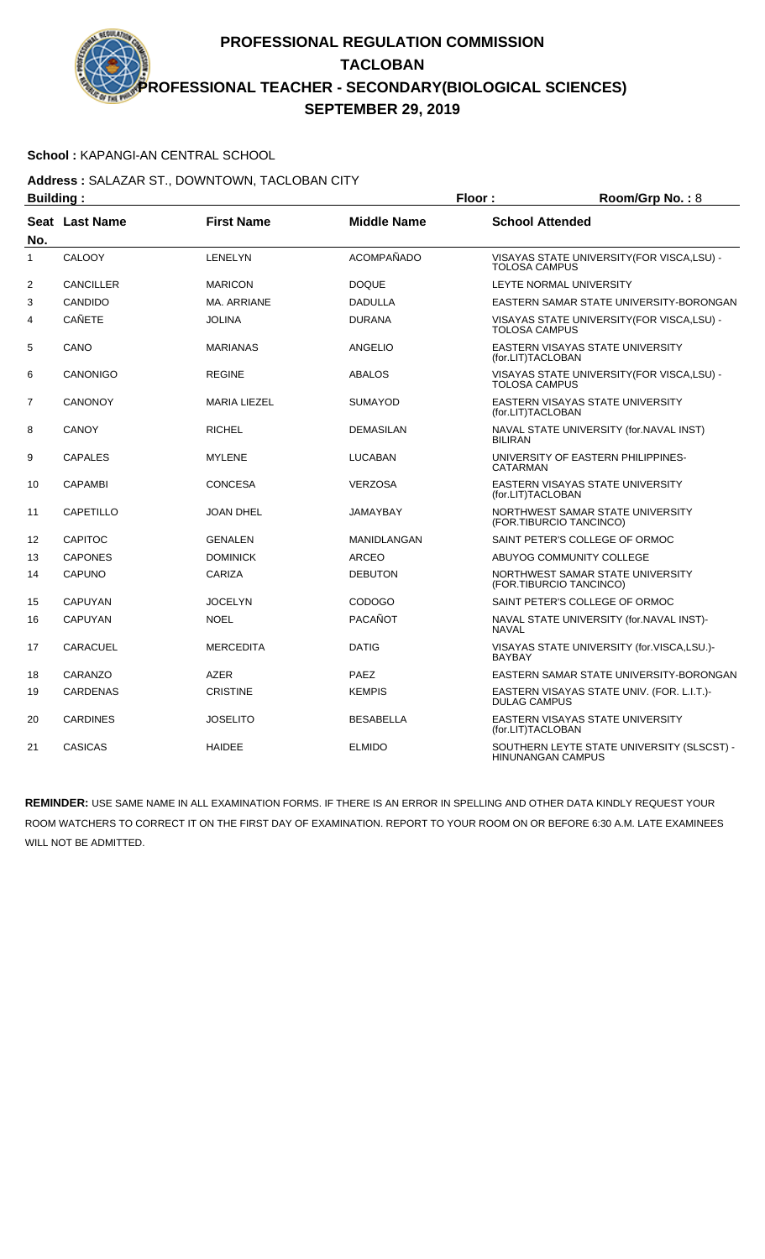### **School :** KAPANGI-AN CENTRAL SCHOOL

#### **Address :** SALAZAR ST., DOWNTOWN, TACLOBAN CITY **Building : Floor : Room/Grp No. :** 8

| Dununiy .      |                       |                     | . וטטו             | 11001110111101100110011                                                |
|----------------|-----------------------|---------------------|--------------------|------------------------------------------------------------------------|
| No.            | <b>Seat Last Name</b> | <b>First Name</b>   | <b>Middle Name</b> | <b>School Attended</b>                                                 |
| $\mathbf{1}$   | CALOOY                | <b>LENELYN</b>      | ACOMPAÑADO         | VISAYAS STATE UNIVERSITY (FOR VISCA, LSU) -<br><b>TOLOSA CAMPUS</b>    |
| 2              | <b>CANCILLER</b>      | <b>MARICON</b>      | <b>DOQUE</b>       | <b>LEYTE NORMAL UNIVERSITY</b>                                         |
| 3              | CANDIDO               | MA, ARRIANE         | <b>DADULLA</b>     | EASTERN SAMAR STATE UNIVERSITY-BORONGAN                                |
| 4              | <b>CAÑETE</b>         | <b>JOLINA</b>       | <b>DURANA</b>      | VISAYAS STATE UNIVERSITY (FOR VISCA, LSU) -<br><b>TOLOSA CAMPUS</b>    |
| 5              | CANO                  | <b>MARIANAS</b>     | <b>ANGELIO</b>     | EASTERN VISAYAS STATE UNIVERSITY<br>(for.LIT)TACLOBAN                  |
| 6              | CANONIGO              | <b>REGINE</b>       | <b>ABALOS</b>      | VISAYAS STATE UNIVERSITY(FOR VISCA,LSU) -<br><b>TOLOSA CAMPUS</b>      |
| $\overline{7}$ | <b>CANONOY</b>        | <b>MARIA LIEZEL</b> | <b>SUMAYOD</b>     | EASTERN VISAYAS STATE UNIVERSITY<br>(for.LIT)TACLOBAN                  |
| 8              | <b>CANOY</b>          | <b>RICHEL</b>       | <b>DEMASILAN</b>   | NAVAL STATE UNIVERSITY (for.NAVAL INST)<br><b>BILIRAN</b>              |
| 9              | <b>CAPALES</b>        | <b>MYLENE</b>       | <b>LUCABAN</b>     | UNIVERSITY OF EASTERN PHILIPPINES-<br><b>CATARMAN</b>                  |
| 10             | <b>CAPAMBI</b>        | <b>CONCESA</b>      | <b>VERZOSA</b>     | EASTERN VISAYAS STATE UNIVERSITY<br>(for.LIT)TACLOBAN                  |
| 11             | CAPETILLO             | <b>JOAN DHEL</b>    | <b>JAMAYBAY</b>    | NORTHWEST SAMAR STATE UNIVERSITY<br>(FOR.TIBURCIO TANCINCO)            |
| 12             | <b>CAPITOC</b>        | <b>GENALEN</b>      | <b>MANIDLANGAN</b> | SAINT PETER'S COLLEGE OF ORMOC                                         |
| 13             | <b>CAPONES</b>        | <b>DOMINICK</b>     | <b>ARCEO</b>       | ABUYOG COMMUNITY COLLEGE                                               |
| 14             | CAPUNO                | CARIZA              | <b>DEBUTON</b>     | NORTHWEST SAMAR STATE UNIVERSITY<br>(FOR.TIBURCIO TANCINCO)            |
| 15             | <b>CAPUYAN</b>        | <b>JOCELYN</b>      | <b>CODOGO</b>      | SAINT PETER'S COLLEGE OF ORMOC                                         |
| 16             | <b>CAPUYAN</b>        | <b>NOEL</b>         | PACAÑOT            | NAVAL STATE UNIVERSITY (for.NAVAL INST)-<br><b>NAVAL</b>               |
| 17             | <b>CARACUEL</b>       | <b>MERCEDITA</b>    | <b>DATIG</b>       | VISAYAS STATE UNIVERSITY (for.VISCA,LSU.)-<br><b>BAYBAY</b>            |
| 18             | CARANZO               | <b>AZER</b>         | PAEZ               | EASTERN SAMAR STATE UNIVERSITY-BORONGAN                                |
| 19             | <b>CARDENAS</b>       | <b>CRISTINE</b>     | <b>KEMPIS</b>      | EASTERN VISAYAS STATE UNIV. (FOR. L.I.T.)-<br><b>DULAG CAMPUS</b>      |
| 20             | <b>CARDINES</b>       | <b>JOSELITO</b>     | <b>BESABELLA</b>   | EASTERN VISAYAS STATE UNIVERSITY<br>(for.LIT)TACLOBAN                  |
| 21             | <b>CASICAS</b>        | <b>HAIDEE</b>       | <b>ELMIDO</b>      | SOUTHERN LEYTE STATE UNIVERSITY (SLSCST) -<br><b>HINUNANGAN CAMPUS</b> |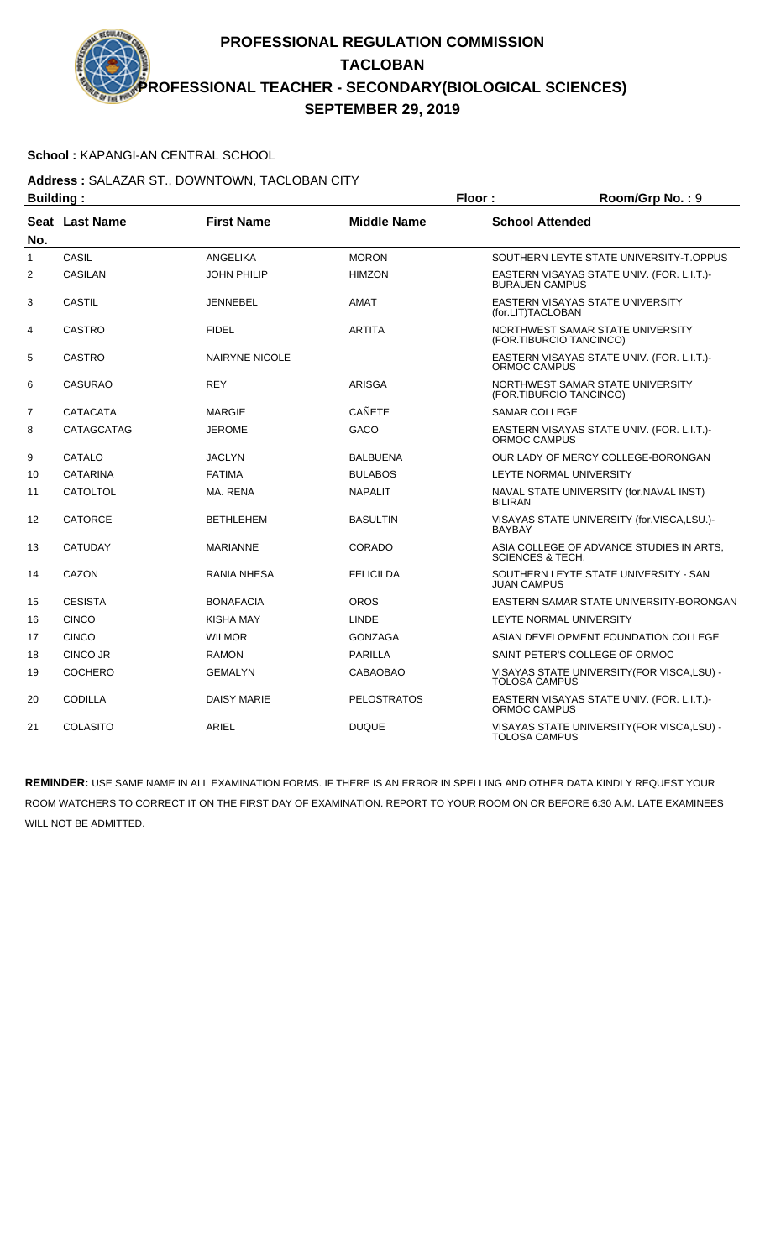### **School :** KAPANGI-AN CENTRAL SCHOOL

### **Address :** SALAZAR ST., DOWNTOWN, TACLOBAN CITY **Building : Floor : Floor : Room/Grp No. : 9**

| Dununiy .      |                       |                       |                    | . וטטו                                                                  |
|----------------|-----------------------|-----------------------|--------------------|-------------------------------------------------------------------------|
| No.            | <b>Seat Last Name</b> | <b>First Name</b>     | <b>Middle Name</b> | <b>School Attended</b>                                                  |
| $\mathbf{1}$   | CASIL                 | <b>ANGELIKA</b>       | <b>MORON</b>       | SOUTHERN LEYTE STATE UNIVERSITY-T.OPPUS                                 |
| 2              | <b>CASILAN</b>        | <b>JOHN PHILIP</b>    | <b>HIMZON</b>      | EASTERN VISAYAS STATE UNIV. (FOR. L.I.T.)-<br><b>BURAUEN CAMPUS</b>     |
| 3              | CASTIL                | <b>JENNEBEL</b>       | <b>AMAT</b>        | <b>EASTERN VISAYAS STATE UNIVERSITY</b><br>(for.LIT)TACLOBAN            |
| 4              | <b>CASTRO</b>         | <b>FIDEL</b>          | <b>ARTITA</b>      | NORTHWEST SAMAR STATE UNIVERSITY<br>(FOR.TIBURCIO TANCINCO)             |
| 5              | <b>CASTRO</b>         | <b>NAIRYNE NICOLE</b> |                    | EASTERN VISAYAS STATE UNIV. (FOR. L.I.T.)-<br><b>ORMOC CAMPUS</b>       |
| 6              | CASURAO               | <b>REY</b>            | ARISGA             | NORTHWEST SAMAR STATE UNIVERSITY<br>(FOR.TIBURCIO TANCINCO)             |
| $\overline{7}$ | <b>CATACATA</b>       | MARGIE                | <b>CAÑETE</b>      | <b>SAMAR COLLEGE</b>                                                    |
| 8              | CATAGCATAG            | <b>JEROME</b>         | GACO               | EASTERN VISAYAS STATE UNIV. (FOR. L.I.T.)-<br><b>ORMOC CAMPUS</b>       |
| 9              | CATALO                | <b>JACLYN</b>         | <b>BALBUENA</b>    | OUR LADY OF MERCY COLLEGE-BORONGAN                                      |
| 10             | <b>CATARINA</b>       | <b>FATIMA</b>         | <b>BULABOS</b>     | LEYTE NORMAL UNIVERSITY                                                 |
| 11             | <b>CATOLTOL</b>       | MA. RENA              | <b>NAPALIT</b>     | NAVAL STATE UNIVERSITY (for.NAVAL INST)<br><b>BILIRAN</b>               |
| 12             | <b>CATORCE</b>        | <b>BETHLEHEM</b>      | <b>BASULTIN</b>    | VISAYAS STATE UNIVERSITY (for.VISCA,LSU.)-<br><b>BAYBAY</b>             |
| 13             | <b>CATUDAY</b>        | <b>MARIANNE</b>       | CORADO             | ASIA COLLEGE OF ADVANCE STUDIES IN ARTS.<br><b>SCIENCES &amp; TECH.</b> |
| 14             | CAZON                 | RANIA NHESA           | <b>FELICILDA</b>   | SOUTHERN LEYTE STATE UNIVERSITY - SAN<br><b>JUAN CAMPUS</b>             |
| 15             | <b>CESISTA</b>        | <b>BONAFACIA</b>      | <b>OROS</b>        | EASTERN SAMAR STATE UNIVERSITY-BORONGAN                                 |
| 16             | <b>CINCO</b>          | KISHA MAY             | <b>LINDE</b>       | LEYTE NORMAL UNIVERSITY                                                 |
| 17             | <b>CINCO</b>          | <b>WILMOR</b>         | <b>GONZAGA</b>     | ASIAN DEVELOPMENT FOUNDATION COLLEGE                                    |
| 18             | CINCO JR              | <b>RAMON</b>          | <b>PARILLA</b>     | SAINT PETER'S COLLEGE OF ORMOC                                          |
| 19             | <b>COCHERO</b>        | <b>GEMALYN</b>        | CABAOBAO           | VISAYAS STATE UNIVERSITY(FOR VISCA,LSU) -<br><b>TOLOSA CAMPUS</b>       |
| 20             | <b>CODILLA</b>        | <b>DAISY MARIE</b>    | <b>PELOSTRATOS</b> | EASTERN VISAYAS STATE UNIV. (FOR. L.I.T.)-<br>ORMOC CAMPUS              |
| 21             | COLASITO              | <b>ARIEL</b>          | <b>DUQUE</b>       | VISAYAS STATE UNIVERSITY (FOR VISCA, LSU) -<br><b>TOLOSA CAMPUS</b>     |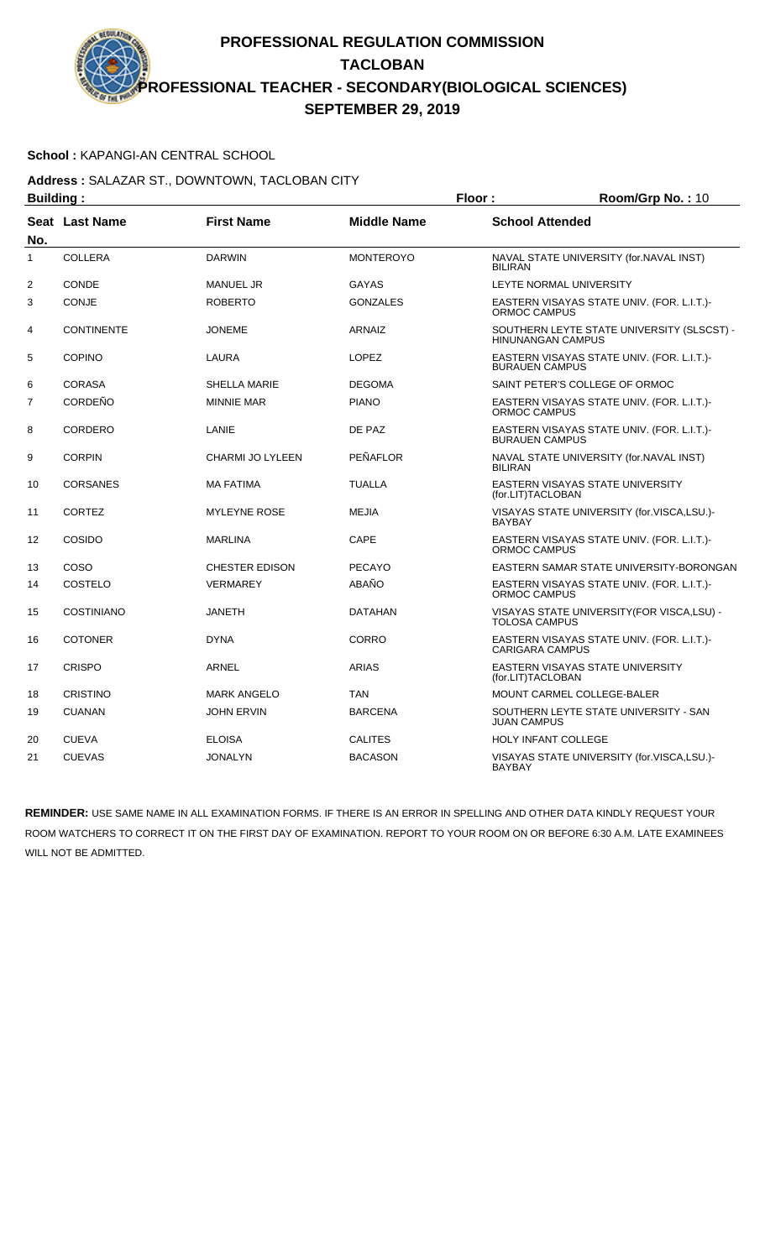### **School :** KAPANGI-AN CENTRAL SCHOOL

**Address :** SALAZAR ST., DOWNTOWN, TACLOBAN CITY **Building : Floor : Floor : Room/Grp No. : 10** 

| .              |                   |                         |                    |                                                                        |
|----------------|-------------------|-------------------------|--------------------|------------------------------------------------------------------------|
| No.            | Seat Last Name    | <b>First Name</b>       | <b>Middle Name</b> | <b>School Attended</b>                                                 |
| $\mathbf{1}$   | <b>COLLERA</b>    | <b>DARWIN</b>           | <b>MONTEROYO</b>   | NAVAL STATE UNIVERSITY (for.NAVAL INST)<br><b>BILIRAN</b>              |
| $\overline{2}$ | CONDE             | <b>MANUEL JR</b>        | <b>GAYAS</b>       | LEYTE NORMAL UNIVERSITY                                                |
| 3              | CONJE             | <b>ROBERTO</b>          | <b>GONZALES</b>    | EASTERN VISAYAS STATE UNIV. (FOR. L.I.T.)-<br>ORMOC CAMPUS             |
| 4              | <b>CONTINENTE</b> | <b>JONEME</b>           | <b>ARNAIZ</b>      | SOUTHERN LEYTE STATE UNIVERSITY (SLSCST) -<br><b>HINUNANGAN CAMPUS</b> |
| 5              | <b>COPINO</b>     | LAURA                   | <b>LOPEZ</b>       | EASTERN VISAYAS STATE UNIV. (FOR. L.I.T.)-<br><b>BURAUEN CAMPUS</b>    |
| 6              | <b>CORASA</b>     | <b>SHELLA MARIE</b>     | <b>DEGOMA</b>      | SAINT PETER'S COLLEGE OF ORMOC                                         |
| $\overline{7}$ | CORDEÑO           | <b>MINNIE MAR</b>       | <b>PIANO</b>       | EASTERN VISAYAS STATE UNIV. (FOR. L.I.T.)-<br>ORMOC CAMPUS             |
| 8              | CORDERO           | LANIE                   | DE PAZ             | EASTERN VISAYAS STATE UNIV. (FOR. L.I.T.)-<br><b>BURAUEN CAMPUS</b>    |
| 9              | <b>CORPIN</b>     | <b>CHARMI JO LYLEEN</b> | PEÑAFLOR           | NAVAL STATE UNIVERSITY (for.NAVAL INST)<br><b>BILIRAN</b>              |
| 10             | <b>CORSANES</b>   | <b>MA FATIMA</b>        | <b>TUALLA</b>      | EASTERN VISAYAS STATE UNIVERSITY<br>(for.LIT)TACLOBAN                  |
| 11             | <b>CORTEZ</b>     | <b>MYLEYNE ROSE</b>     | <b>MEJIA</b>       | VISAYAS STATE UNIVERSITY (for.VISCA,LSU.)-<br><b>BAYBAY</b>            |
| 12             | COSIDO            | <b>MARLINA</b>          | CAPE               | EASTERN VISAYAS STATE UNIV. (FOR. L.I.T.)-<br>ORMOC CAMPUS             |
| 13             | COSO              | <b>CHESTER EDISON</b>   | <b>PECAYO</b>      | EASTERN SAMAR STATE UNIVERSITY-BORONGAN                                |
| 14             | COSTELO           | <b>VERMAREY</b>         | ABAÑO              | EASTERN VISAYAS STATE UNIV. (FOR. L.I.T.)-<br><b>ORMOC CAMPUS</b>      |
| 15             | <b>COSTINIANO</b> | <b>JANETH</b>           | <b>DATAHAN</b>     | VISAYAS STATE UNIVERSITY(FOR VISCA,LSU) -<br><b>TOLOSA CAMPUS</b>      |
| 16             | <b>COTONER</b>    | <b>DYNA</b>             | CORRO              | EASTERN VISAYAS STATE UNIV. (FOR. L.I.T.)-<br><b>CARIGARA CAMPUS</b>   |
| 17             | <b>CRISPO</b>     | <b>ARNEL</b>            | <b>ARIAS</b>       | EASTERN VISAYAS STATE UNIVERSITY<br>(for.LIT)TACLOBAN                  |
| 18             | <b>CRISTINO</b>   | <b>MARK ANGELO</b>      | <b>TAN</b>         | MOUNT CARMEL COLLEGE-BALER                                             |
| 19             | <b>CUANAN</b>     | <b>JOHN ERVIN</b>       | <b>BARCENA</b>     | SOUTHERN LEYTE STATE UNIVERSITY - SAN<br><b>JUAN CAMPUS</b>            |
| 20             | <b>CUEVA</b>      | <b>ELOISA</b>           | <b>CALITES</b>     | <b>HOLY INFANT COLLEGE</b>                                             |
| 21             | <b>CUEVAS</b>     | <b>JONALYN</b>          | <b>BACASON</b>     | VISAYAS STATE UNIVERSITY (for.VISCA,LSU.)-<br><b>BAYBAY</b>            |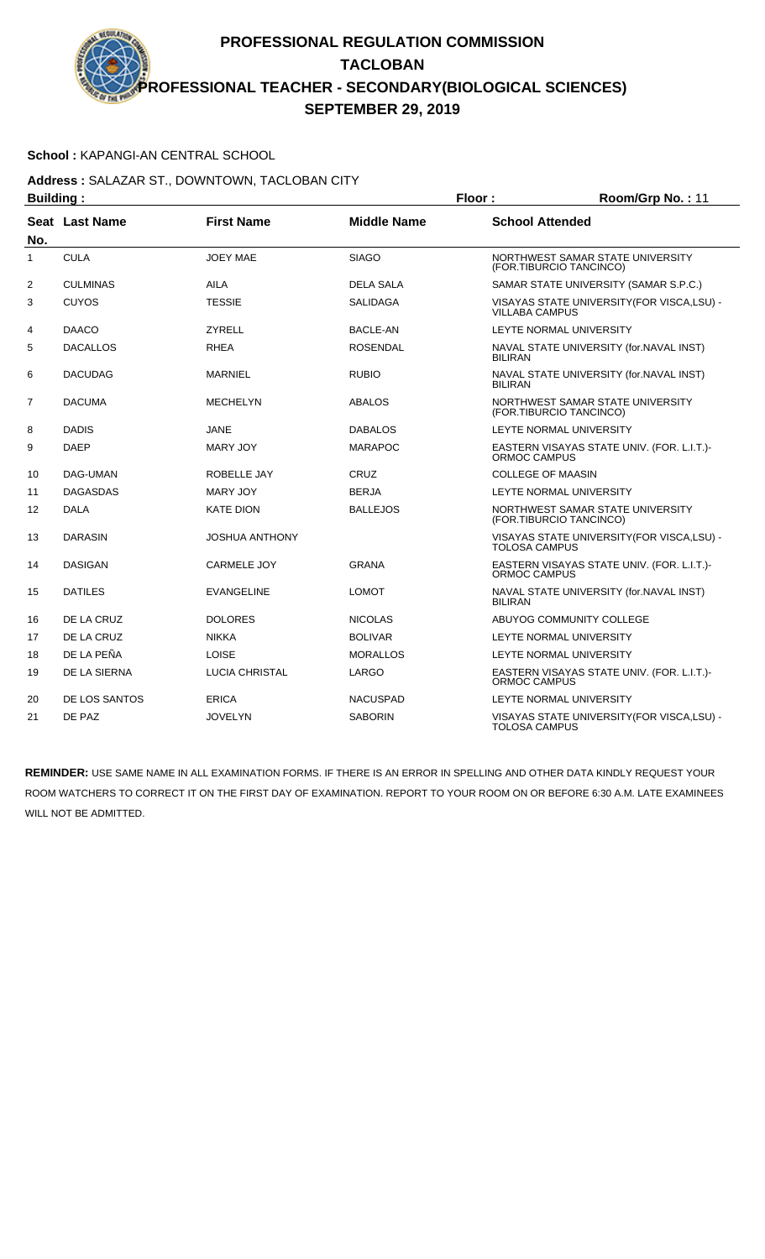### **School :** KAPANGI-AN CENTRAL SCHOOL

#### **Address :** SALAZAR ST., DOWNTOWN, TACLOBAN CITY **Building : Floor : Room/Grp No. :** 11

| Dununiy .      |                 |                       | . וטטו             | 11001111011110111111                                                 |
|----------------|-----------------|-----------------------|--------------------|----------------------------------------------------------------------|
| No.            | Seat Last Name  | <b>First Name</b>     | <b>Middle Name</b> | <b>School Attended</b>                                               |
| 1              | <b>CULA</b>     | <b>JOEY MAE</b>       | <b>SIAGO</b>       | NORTHWEST SAMAR STATE UNIVERSITY<br>(FOR.TIBURCIO TANCINCO)          |
| 2              | <b>CULMINAS</b> | <b>AILA</b>           | <b>DELA SALA</b>   | SAMAR STATE UNIVERSITY (SAMAR S.P.C.)                                |
| 3              | <b>CUYOS</b>    | <b>TESSIE</b>         | <b>SALIDAGA</b>    | VISAYAS STATE UNIVERSITY (FOR VISCA, LSU) -<br><b>VILLABA CAMPUS</b> |
| 4              | <b>DAACO</b>    | <b>ZYRELL</b>         | <b>BACLE-AN</b>    | LEYTE NORMAL UNIVERSITY                                              |
| 5              | <b>DACALLOS</b> | <b>RHEA</b>           | <b>ROSENDAL</b>    | NAVAL STATE UNIVERSITY (for.NAVAL INST)<br><b>BILIRAN</b>            |
| 6              | <b>DACUDAG</b>  | <b>MARNIEL</b>        | <b>RUBIO</b>       | NAVAL STATE UNIVERSITY (for.NAVAL INST)<br><b>BILIRAN</b>            |
| $\overline{7}$ | <b>DACUMA</b>   | <b>MECHELYN</b>       | <b>ABALOS</b>      | NORTHWEST SAMAR STATE UNIVERSITY<br>(FOR.TIBURCIO TANCINCO)          |
| 8              | <b>DADIS</b>    | JANE                  | <b>DABALOS</b>     | LEYTE NORMAL UNIVERSITY                                              |
| 9              | <b>DAEP</b>     | MARY JOY              | <b>MARAPOC</b>     | EASTERN VISAYAS STATE UNIV. (FOR. L.I.T.)-<br>ORMOC CAMPUS           |
| 10             | DAG-UMAN        | ROBELLE JAY           | CRUZ               | <b>COLLEGE OF MAASIN</b>                                             |
| 11             | <b>DAGASDAS</b> | <b>MARY JOY</b>       | <b>BERJA</b>       | <b>LEYTE NORMAL UNIVERSITY</b>                                       |
| 12             | <b>DALA</b>     | <b>KATE DION</b>      | <b>BALLEJOS</b>    | NORTHWEST SAMAR STATE UNIVERSITY<br>(FOR.TIBURCIO TANCINCO)          |
| 13             | <b>DARASIN</b>  | <b>JOSHUA ANTHONY</b> |                    | VISAYAS STATE UNIVERSITY (FOR VISCA, LSU) -<br><b>TOLOSA CAMPUS</b>  |
| 14             | <b>DASIGAN</b>  | <b>CARMELE JOY</b>    | <b>GRANA</b>       | EASTERN VISAYAS STATE UNIV. (FOR. L.I.T.)-<br>ORMOC CAMPUS           |
| 15             | <b>DATILES</b>  | <b>EVANGELINE</b>     | <b>LOMOT</b>       | NAVAL STATE UNIVERSITY (for.NAVAL INST)<br><b>BILIRAN</b>            |
| 16             | DE LA CRUZ      | <b>DOLORES</b>        | <b>NICOLAS</b>     | ABUYOG COMMUNITY COLLEGE                                             |
| 17             | DE LA CRUZ      | <b>NIKKA</b>          | <b>BOLIVAR</b>     | LEYTE NORMAL UNIVERSITY                                              |
| 18             | DE LA PEÑA      | <b>LOISE</b>          | <b>MORALLOS</b>    | LEYTE NORMAL UNIVERSITY                                              |
| 19             | DE LA SIERNA    | <b>LUCIA CHRISTAL</b> | LARGO              | EASTERN VISAYAS STATE UNIV. (FOR. L.I.T.)-<br>ORMOC CAMPUS           |
| 20             | DE LOS SANTOS   | <b>ERICA</b>          | <b>NACUSPAD</b>    | LEYTE NORMAL UNIVERSITY                                              |
| 21             | DE PAZ          | <b>JOVELYN</b>        | <b>SABORIN</b>     | VISAYAS STATE UNIVERSITY (FOR VISCA, LSU) -<br><b>TOLOSA CAMPUS</b>  |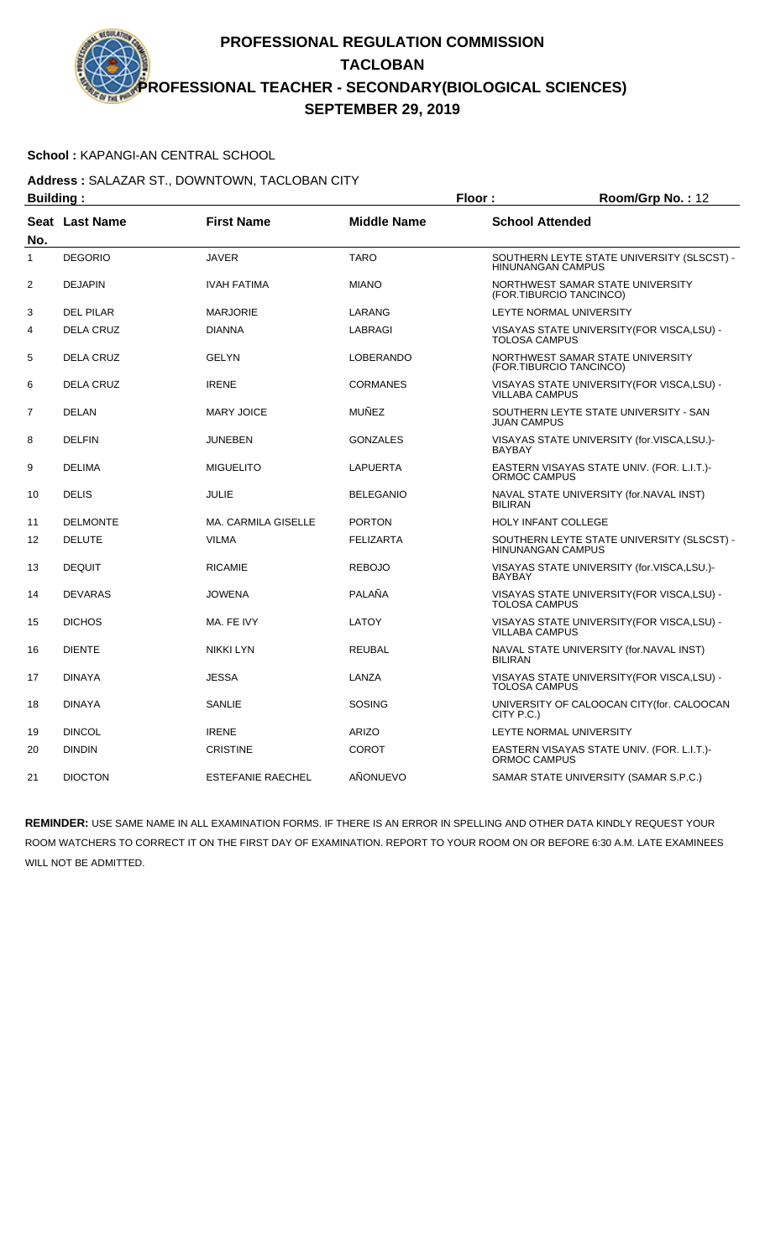### **School :** KAPANGI-AN CENTRAL SCHOOL

**Address :** SALAZAR ST., DOWNTOWN, TACLOBAN CITY **Building : Floor : Room/Grp No. :** 12

| oununiy .      |                       |                            | . וטטו             | 1100111101111011112112                                                 |
|----------------|-----------------------|----------------------------|--------------------|------------------------------------------------------------------------|
| No.            | <b>Seat Last Name</b> | <b>First Name</b>          | <b>Middle Name</b> | <b>School Attended</b>                                                 |
| 1              | <b>DEGORIO</b>        | <b>JAVER</b>               | <b>TARO</b>        | SOUTHERN LEYTE STATE UNIVERSITY (SLSCST) -<br><b>HINUNANGAN CAMPUS</b> |
| $\overline{c}$ | <b>DEJAPIN</b>        | <b>IVAH FATIMA</b>         | <b>MIANO</b>       | NORTHWEST SAMAR STATE UNIVERSITY<br>(FOR.TIBURCIO TANCINCO)            |
| 3              | <b>DEL PILAR</b>      | <b>MARJORIE</b>            | LARANG             | LEYTE NORMAL UNIVERSITY                                                |
| 4              | <b>DELA CRUZ</b>      | <b>DIANNA</b>              | <b>LABRAGI</b>     | VISAYAS STATE UNIVERSITY (FOR VISCA, LSU) -<br><b>TOLOSA CAMPUS</b>    |
| 5              | <b>DELA CRUZ</b>      | <b>GELYN</b>               | <b>LOBERANDO</b>   | NORTHWEST SAMAR STATE UNIVERSITY<br>(FOR.TIBURCIO TANCINCO)            |
| 6              | <b>DELA CRUZ</b>      | <b>IRENE</b>               | <b>CORMANES</b>    | VISAYAS STATE UNIVERSITY (FOR VISCA, LSU) -<br><b>VILLABA CAMPUS</b>   |
| 7              | <b>DELAN</b>          | <b>MARY JOICE</b>          | <b>MUÑEZ</b>       | SOUTHERN LEYTE STATE UNIVERSITY - SAN<br><b>JUAN CAMPUS</b>            |
| 8              | <b>DELFIN</b>         | <b>JUNEBEN</b>             | <b>GONZALES</b>    | VISAYAS STATE UNIVERSITY (for.VISCA,LSU.)-<br><b>BAYBAY</b>            |
| 9              | <b>DELIMA</b>         | <b>MIGUELITO</b>           | <b>LAPUERTA</b>    | EASTERN VISAYAS STATE UNIV. (FOR. L.I.T.)-<br>ORMOC CAMPUS             |
| 10             | <b>DELIS</b>          | <b>JULIE</b>               | <b>BELEGANIO</b>   | NAVAL STATE UNIVERSITY (for.NAVAL INST)<br><b>BILIRAN</b>              |
| 11             | <b>DELMONTE</b>       | <b>MA. CARMILA GISELLE</b> | <b>PORTON</b>      | <b>HOLY INFANT COLLEGE</b>                                             |
| 12             | <b>DELUTE</b>         | <b>VILMA</b>               | <b>FELIZARTA</b>   | SOUTHERN LEYTE STATE UNIVERSITY (SLSCST) -<br><b>HINUNANGAN CAMPUS</b> |
| 13             | <b>DEQUIT</b>         | <b>RICAMIE</b>             | <b>REBOJO</b>      | VISAYAS STATE UNIVERSITY (for.VISCA,LSU.)-<br><b>BAYBAY</b>            |
| 14             | <b>DEVARAS</b>        | <b>JOWENA</b>              | PALAÑA             | VISAYAS STATE UNIVERSITY (FOR VISCA, LSU) -<br><b>TOLOSA CAMPUS</b>    |
| 15             | <b>DICHOS</b>         | MA. FE IVY                 | LATOY              | VISAYAS STATE UNIVERSITY (FOR VISCA, LSU) -<br><b>VILLABA CAMPUS</b>   |
| 16             | <b>DIENTE</b>         | NIKKI LYN                  | <b>REUBAL</b>      | NAVAL STATE UNIVERSITY (for. NAVAL INST)<br><b>BILIRAN</b>             |
| 17             | <b>DINAYA</b>         | <b>JESSA</b>               | LANZA              | VISAYAS STATE UNIVERSITY (FOR VISCA, LSU) -<br><b>TOLOSA CAMPUS</b>    |
| 18             | <b>DINAYA</b>         | <b>SANLIE</b>              | <b>SOSING</b>      | UNIVERSITY OF CALOOCAN CITY(for. CALOOCAN<br>CITY P.C.)                |
| 19             | <b>DINCOL</b>         | <b>IRENE</b>               | <b>ARIZO</b>       | LEYTE NORMAL UNIVERSITY                                                |
| 20             | <b>DINDIN</b>         | <b>CRISTINE</b>            | <b>COROT</b>       | EASTERN VISAYAS STATE UNIV. (FOR. L.I.T.)-<br>ORMOC CAMPUS             |
| 21             | <b>DIOCTON</b>        | <b>ESTEFANIE RAECHEL</b>   | AÑONUEVO           | SAMAR STATE UNIVERSITY (SAMAR S.P.C.)                                  |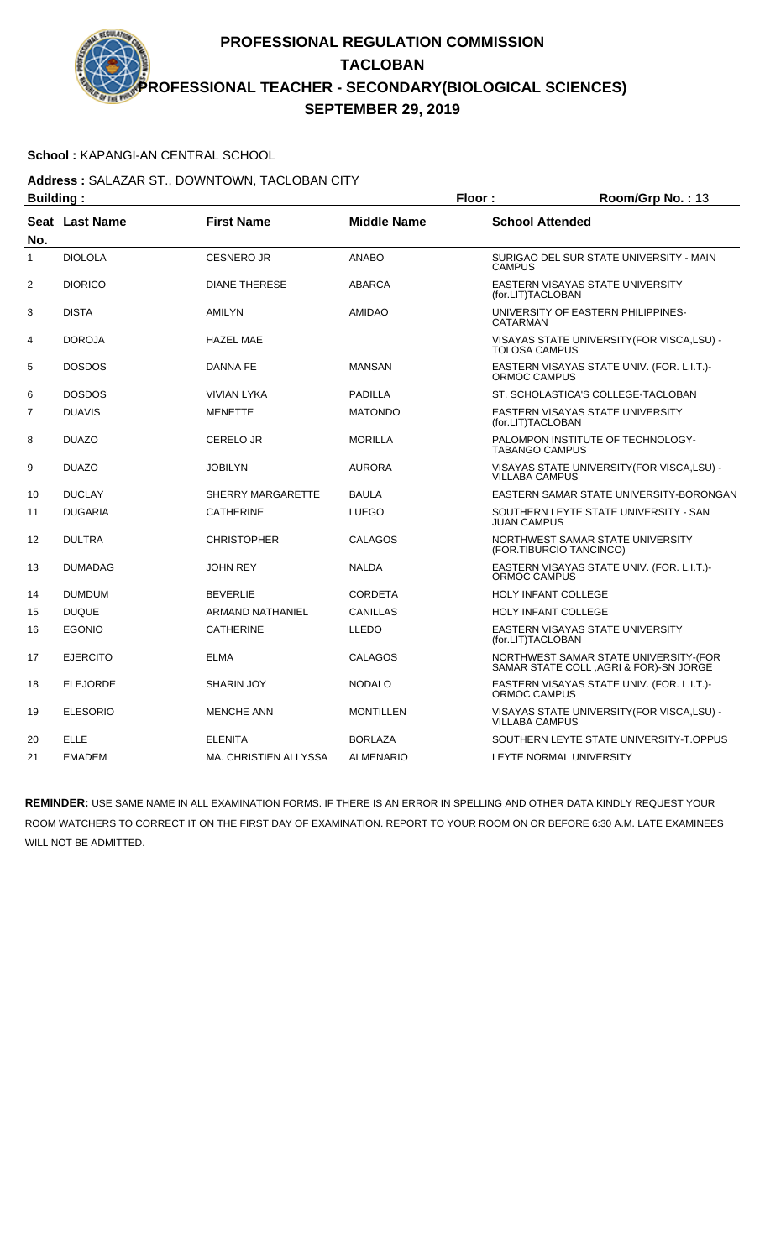### **School :** KAPANGI-AN CENTRAL SCHOOL

#### **Address :** SALAZAR ST., DOWNTOWN, TACLOBAN CITY **Building : Floor : Room/Grp No. :** 13

| Dununiy .      |                       |                       | . וטטו             | 110011110111101110                                                              |
|----------------|-----------------------|-----------------------|--------------------|---------------------------------------------------------------------------------|
| No.            | <b>Seat Last Name</b> | <b>First Name</b>     | <b>Middle Name</b> | <b>School Attended</b>                                                          |
| 1              | <b>DIOLOLA</b>        | <b>CESNERO JR</b>     | <b>ANABO</b>       | SURIGAO DEL SUR STATE UNIVERSITY - MAIN<br><b>CAMPUS</b>                        |
| 2              | <b>DIORICO</b>        | <b>DIANE THERESE</b>  | <b>ABARCA</b>      | EASTERN VISAYAS STATE UNIVERSITY<br>(for.LIT)TACLOBAN                           |
| 3              | <b>DISTA</b>          | AMILYN                | <b>AMIDAO</b>      | UNIVERSITY OF EASTERN PHILIPPINES-<br>CATARMAN                                  |
| 4              | <b>DOROJA</b>         | <b>HAZEL MAE</b>      |                    | VISAYAS STATE UNIVERSITY (FOR VISCA, LSU) -<br><b>TOLOSA CAMPUS</b>             |
| 5              | <b>DOSDOS</b>         | DANNA FE              | <b>MANSAN</b>      | EASTERN VISAYAS STATE UNIV. (FOR. L.I.T.)-<br>ORMOC CAMPUS                      |
| 6              | <b>DOSDOS</b>         | <b>VIVIAN LYKA</b>    | PADILLA            | ST. SCHOLASTICA'S COLLEGE-TACLOBAN                                              |
| $\overline{7}$ | <b>DUAVIS</b>         | <b>MENETTE</b>        | <b>MATONDO</b>     | <b>EASTERN VISAYAS STATE UNIVERSITY</b><br>(for.LIT)TACLOBAN                    |
| 8              | <b>DUAZO</b>          | <b>CERELO JR</b>      | <b>MORILLA</b>     | PALOMPON INSTITUTE OF TECHNOLOGY-<br><b>TABANGO CAMPUS</b>                      |
| 9              | <b>DUAZO</b>          | <b>JOBILYN</b>        | <b>AURORA</b>      | VISAYAS STATE UNIVERSITY (FOR VISCA, LSU) -<br><b>VILLABA CAMPUS</b>            |
| 10             | <b>DUCLAY</b>         | SHERRY MARGARETTE     | <b>BAULA</b>       | EASTERN SAMAR STATE UNIVERSITY-BORONGAN                                         |
| 11             | <b>DUGARIA</b>        | <b>CATHERINE</b>      | <b>LUEGO</b>       | SOUTHERN LEYTE STATE UNIVERSITY - SAN<br><b>JUAN CAMPUS</b>                     |
| 12             | <b>DULTRA</b>         | <b>CHRISTOPHER</b>    | <b>CALAGOS</b>     | NORTHWEST SAMAR STATE UNIVERSITY<br>(FOR.TIBURCIO TANCINCO)                     |
| 13             | <b>DUMADAG</b>        | <b>JOHN REY</b>       | <b>NALDA</b>       | EASTERN VISAYAS STATE UNIV. (FOR. L.I.T.)-<br>ORMOC CAMPUS                      |
| 14             | <b>DUMDUM</b>         | <b>BEVERLIE</b>       | <b>CORDETA</b>     | <b>HOLY INFANT COLLEGE</b>                                                      |
| 15             | <b>DUQUE</b>          | ARMAND NATHANIEL      | <b>CANILLAS</b>    | <b>HOLY INFANT COLLEGE</b>                                                      |
| 16             | <b>EGONIO</b>         | <b>CATHERINE</b>      | LLEDO              | EASTERN VISAYAS STATE UNIVERSITY<br>(for.LIT)TACLOBAN                           |
| 17             | <b>EJERCITO</b>       | <b>ELMA</b>           | <b>CALAGOS</b>     | NORTHWEST SAMAR STATE UNIVERSITY-(FOR<br>SAMAR STATE COLL, AGRI & FOR)-SN JORGE |
| 18             | <b>ELEJORDE</b>       | <b>SHARIN JOY</b>     | <b>NODALO</b>      | EASTERN VISAYAS STATE UNIV. (FOR. L.I.T.)-<br>ORMOC CAMPUS                      |
| 19             | <b>ELESORIO</b>       | <b>MENCHE ANN</b>     | <b>MONTILLEN</b>   | VISAYAS STATE UNIVERSITY(FOR VISCA,LSU) -<br><b>VILLABA CAMPUS</b>              |
| 20             | <b>ELLE</b>           | <b>ELENITA</b>        | <b>BORLAZA</b>     | SOUTHERN LEYTE STATE UNIVERSITY-T.OPPUS                                         |
| 21             | <b>EMADEM</b>         | MA. CHRISTIEN ALLYSSA | <b>ALMENARIO</b>   | LEYTE NORMAL UNIVERSITY                                                         |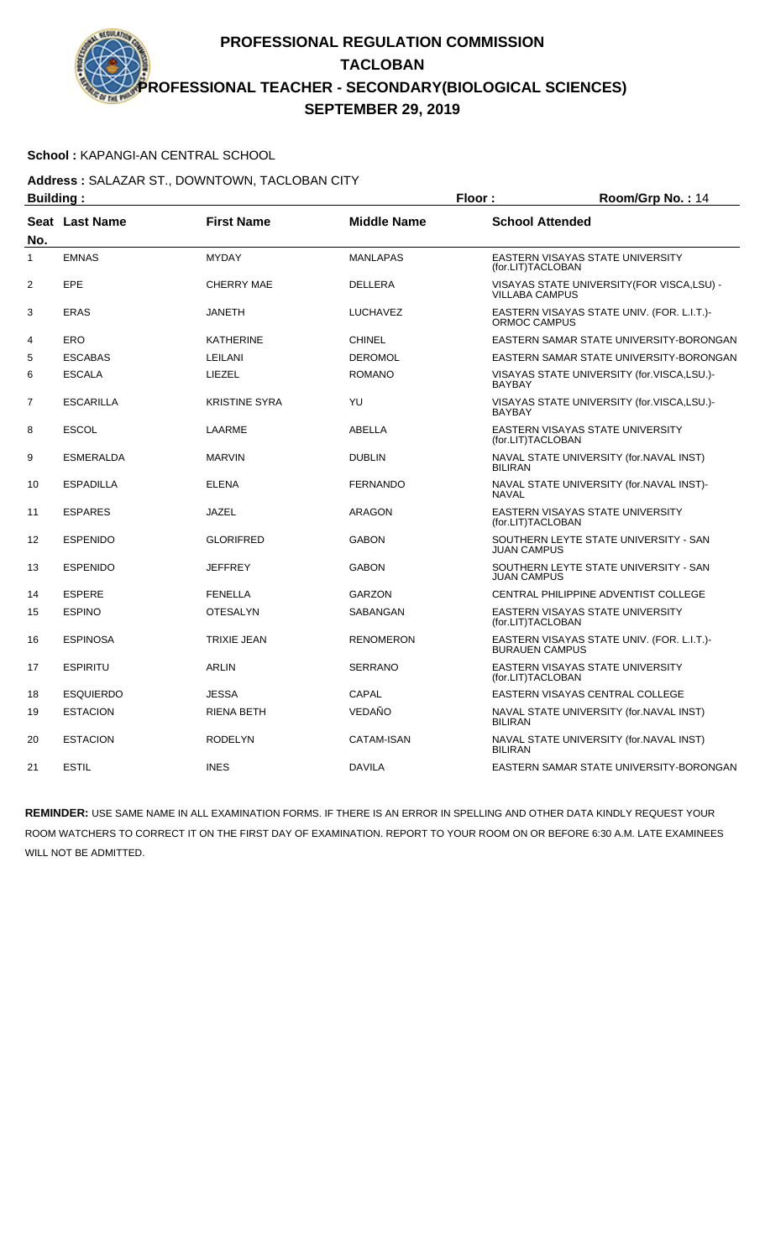### **School :** KAPANGI-AN CENTRAL SCHOOL

**Address :** SALAZAR ST., DOWNTOWN, TACLOBAN CITY **Building : Floor : Floor : Room/Grp No. : 14** 

| oununiy .      |                  |                      |                    | .<br>11001111011110111111                                            |
|----------------|------------------|----------------------|--------------------|----------------------------------------------------------------------|
| No.            | Seat Last Name   | <b>First Name</b>    | <b>Middle Name</b> | <b>School Attended</b>                                               |
| 1              | <b>EMNAS</b>     | <b>MYDAY</b>         | <b>MANLAPAS</b>    | <b>EASTERN VISAYAS STATE UNIVERSITY</b><br>(for.LIT)TACLOBAN         |
| $\overline{2}$ | EPE              | <b>CHERRY MAE</b>    | <b>DELLERA</b>     | VISAYAS STATE UNIVERSITY (FOR VISCA, LSU) -<br><b>VILLABA CAMPUS</b> |
| 3              | <b>ERAS</b>      | <b>JANETH</b>        | <b>LUCHAVEZ</b>    | EASTERN VISAYAS STATE UNIV. (FOR. L.I.T.)-<br>ORMOC CAMPUS           |
| 4              | ERO              | <b>KATHERINE</b>     | <b>CHINEL</b>      | EASTERN SAMAR STATE UNIVERSITY-BORONGAN                              |
| 5              | <b>ESCABAS</b>   | LEILANI              | <b>DEROMOL</b>     | EASTERN SAMAR STATE UNIVERSITY-BORONGAN                              |
| 6              | <b>ESCALA</b>    | <b>LIEZEL</b>        | <b>ROMANO</b>      | VISAYAS STATE UNIVERSITY (for.VISCA,LSU.)-<br><b>BAYBAY</b>          |
| 7              | <b>ESCARILLA</b> | <b>KRISTINE SYRA</b> | YU                 | VISAYAS STATE UNIVERSITY (for.VISCA,LSU.)-<br><b>BAYBAY</b>          |
| 8              | <b>ESCOL</b>     | LAARME               | ABELLA             | EASTERN VISAYAS STATE UNIVERSITY<br>(for.LIT)TACLOBAN                |
| 9              | <b>ESMERALDA</b> | <b>MARVIN</b>        | <b>DUBLIN</b>      | NAVAL STATE UNIVERSITY (for.NAVAL INST)<br><b>BILIRAN</b>            |
| 10             | <b>ESPADILLA</b> | <b>ELENA</b>         | <b>FERNANDO</b>    | NAVAL STATE UNIVERSITY (for.NAVAL INST)-<br><b>NAVAL</b>             |
| 11             | <b>ESPARES</b>   | <b>JAZEL</b>         | <b>ARAGON</b>      | EASTERN VISAYAS STATE UNIVERSITY<br>(for.LIT)TACLOBAN                |
| 12             | <b>ESPENIDO</b>  | <b>GLORIFRED</b>     | <b>GABON</b>       | SOUTHERN LEYTE STATE UNIVERSITY - SAN<br><b>JUAN CAMPUS</b>          |
| 13             | <b>ESPENIDO</b>  | <b>JEFFREY</b>       | <b>GABON</b>       | SOUTHERN LEYTE STATE UNIVERSITY - SAN<br><b>JUAN CAMPUS</b>          |
| 14             | <b>ESPERE</b>    | <b>FENELLA</b>       | <b>GARZON</b>      | CENTRAL PHILIPPINE ADVENTIST COLLEGE                                 |
| 15             | <b>ESPINO</b>    | <b>OTESALYN</b>      | SABANGAN           | <b>EASTERN VISAYAS STATE UNIVERSITY</b><br>(for.LIT)TACLOBAN         |
| 16             | <b>ESPINOSA</b>  | <b>TRIXIE JEAN</b>   | <b>RENOMERON</b>   | EASTERN VISAYAS STATE UNIV. (FOR. L.I.T.)-<br><b>BURAUEN CAMPUS</b>  |
| 17             | <b>ESPIRITU</b>  | <b>ARLIN</b>         | <b>SERRANO</b>     | EASTERN VISAYAS STATE UNIVERSITY<br>(for.LIT)TACLOBAN                |
| 18             | <b>ESQUIERDO</b> | <b>JESSA</b>         | CAPAL              | EASTERN VISAYAS CENTRAL COLLEGE                                      |
| 19             | <b>ESTACION</b>  | <b>RIENA BETH</b>    | VEDAÑO             | NAVAL STATE UNIVERSITY (for.NAVAL INST)<br><b>BILIRAN</b>            |
| 20             | <b>ESTACION</b>  | <b>RODELYN</b>       | CATAM-ISAN         | NAVAL STATE UNIVERSITY (for.NAVAL INST)<br><b>BILIRAN</b>            |
| 21             | <b>ESTIL</b>     | <b>INES</b>          | <b>DAVILA</b>      | EASTERN SAMAR STATE UNIVERSITY-BORONGAN                              |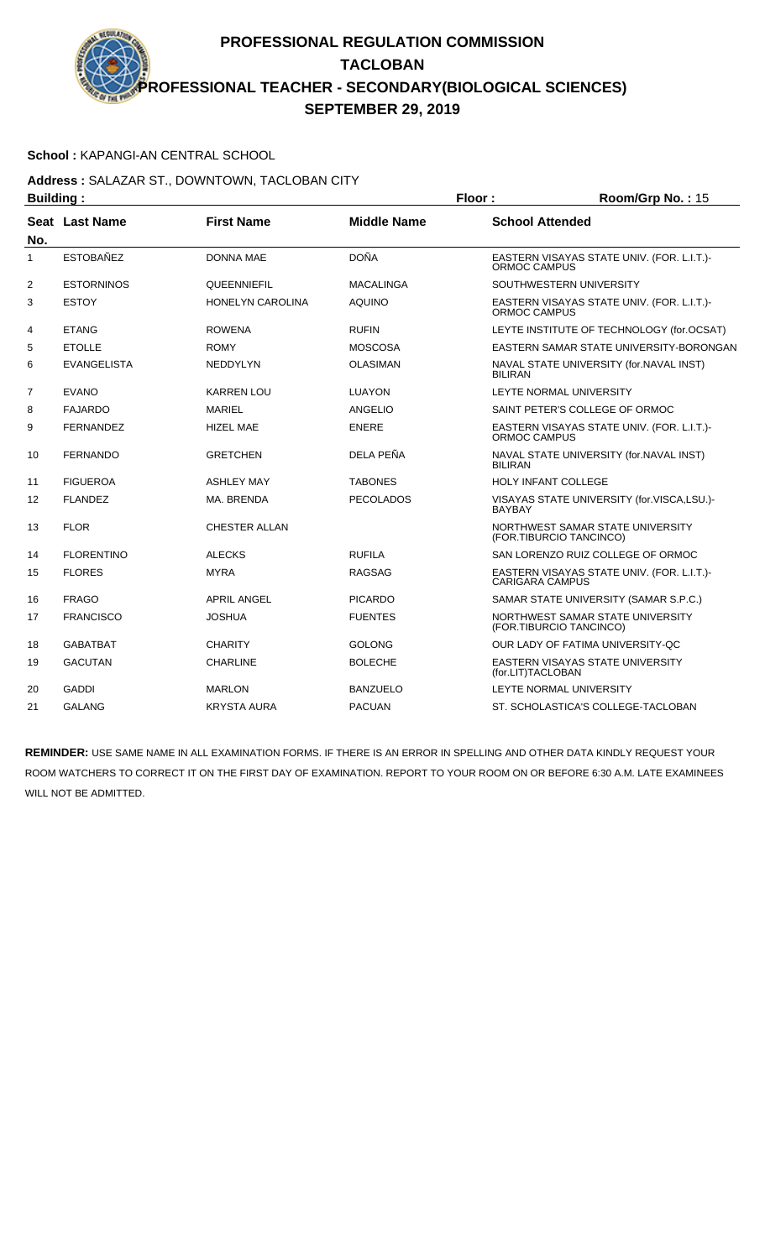### **School :** KAPANGI-AN CENTRAL SCHOOL

#### **Address :** SALAZAR ST., DOWNTOWN, TACLOBAN CITY **Building : Floor : Room/Grp No. :** 15

| Dununiy .      |                    |                         | .                  | 10011101111011110111011                                              |
|----------------|--------------------|-------------------------|--------------------|----------------------------------------------------------------------|
| No.            | Seat Last Name     | <b>First Name</b>       | <b>Middle Name</b> | <b>School Attended</b>                                               |
| $\mathbf{1}$   | <b>ESTOBAÑEZ</b>   | <b>DONNA MAE</b>        | <b>DOÑA</b>        | EASTERN VISAYAS STATE UNIV. (FOR. L.I.T.)-<br><b>ORMOC CAMPUS</b>    |
| 2              | <b>ESTORNINOS</b>  | <b>QUEENNIEFIL</b>      | <b>MACALINGA</b>   | SOUTHWESTERN UNIVERSITY                                              |
| 3              | <b>ESTOY</b>       | <b>HONELYN CAROLINA</b> | <b>AQUINO</b>      | EASTERN VISAYAS STATE UNIV. (FOR. L.I.T.)-<br>ORMOC CAMPUS           |
| 4              | <b>ETANG</b>       | <b>ROWENA</b>           | <b>RUFIN</b>       | LEYTE INSTITUTE OF TECHNOLOGY (for.OCSAT)                            |
| 5              | <b>ETOLLE</b>      | <b>ROMY</b>             | <b>MOSCOSA</b>     | EASTERN SAMAR STATE UNIVERSITY-BORONGAN                              |
| 6              | <b>EVANGELISTA</b> | <b>NEDDYLYN</b>         | <b>OLASIMAN</b>    | NAVAL STATE UNIVERSITY (for.NAVAL INST)<br><b>BILIRAN</b>            |
| $\overline{7}$ | <b>EVANO</b>       | <b>KARREN LOU</b>       | <b>LUAYON</b>      | LEYTE NORMAL UNIVERSITY                                              |
| 8              | <b>FAJARDO</b>     | <b>MARIEL</b>           | ANGELIO            | SAINT PETER'S COLLEGE OF ORMOC                                       |
| 9              | <b>FERNANDEZ</b>   | <b>HIZEL MAE</b>        | <b>ENERE</b>       | EASTERN VISAYAS STATE UNIV. (FOR. L.I.T.)-<br>ORMOC CAMPUS           |
| 10             | <b>FERNANDO</b>    | <b>GRETCHEN</b>         | DELA PEÑA          | NAVAL STATE UNIVERSITY (for.NAVAL INST)<br><b>BILIRAN</b>            |
| 11             | <b>FIGUEROA</b>    | <b>ASHLEY MAY</b>       | <b>TABONES</b>     | <b>HOLY INFANT COLLEGE</b>                                           |
| 12             | <b>FLANDEZ</b>     | MA. BRENDA              | <b>PECOLADOS</b>   | VISAYAS STATE UNIVERSITY (for.VISCA,LSU.)-<br><b>BAYBAY</b>          |
| 13             | <b>FLOR</b>        | <b>CHESTER ALLAN</b>    |                    | NORTHWEST SAMAR STATE UNIVERSITY<br>(FOR.TIBURCIO TANCINCO)          |
| 14             | <b>FLORENTINO</b>  | <b>ALECKS</b>           | <b>RUFILA</b>      | SAN LORENZO RUIZ COLLEGE OF ORMOC                                    |
| 15             | <b>FLORES</b>      | <b>MYRA</b>             | <b>RAGSAG</b>      | EASTERN VISAYAS STATE UNIV. (FOR. L.I.T.)-<br><b>CARIGARA CAMPUS</b> |
| 16             | <b>FRAGO</b>       | <b>APRIL ANGEL</b>      | <b>PICARDO</b>     | SAMAR STATE UNIVERSITY (SAMAR S.P.C.)                                |
| 17             | <b>FRANCISCO</b>   | <b>JOSHUA</b>           | <b>FUENTES</b>     | NORTHWEST SAMAR STATE UNIVERSITY<br>(FOR.TIBURCIO TANCINCO)          |
| 18             | <b>GABATBAT</b>    | <b>CHARITY</b>          | <b>GOLONG</b>      | OUR LADY OF FATIMA UNIVERSITY-QC                                     |
| 19             | <b>GACUTAN</b>     | <b>CHARLINE</b>         | <b>BOLECHE</b>     | EASTERN VISAYAS STATE UNIVERSITY<br>(for.LIT)TACLOBAN                |
| 20             | <b>GADDI</b>       | <b>MARLON</b>           | <b>BANZUELO</b>    | LEYTE NORMAL UNIVERSITY                                              |
| 21             | <b>GALANG</b>      | <b>KRYSTA AURA</b>      | <b>PACUAN</b>      | ST. SCHOLASTICA'S COLLEGE-TACLOBAN                                   |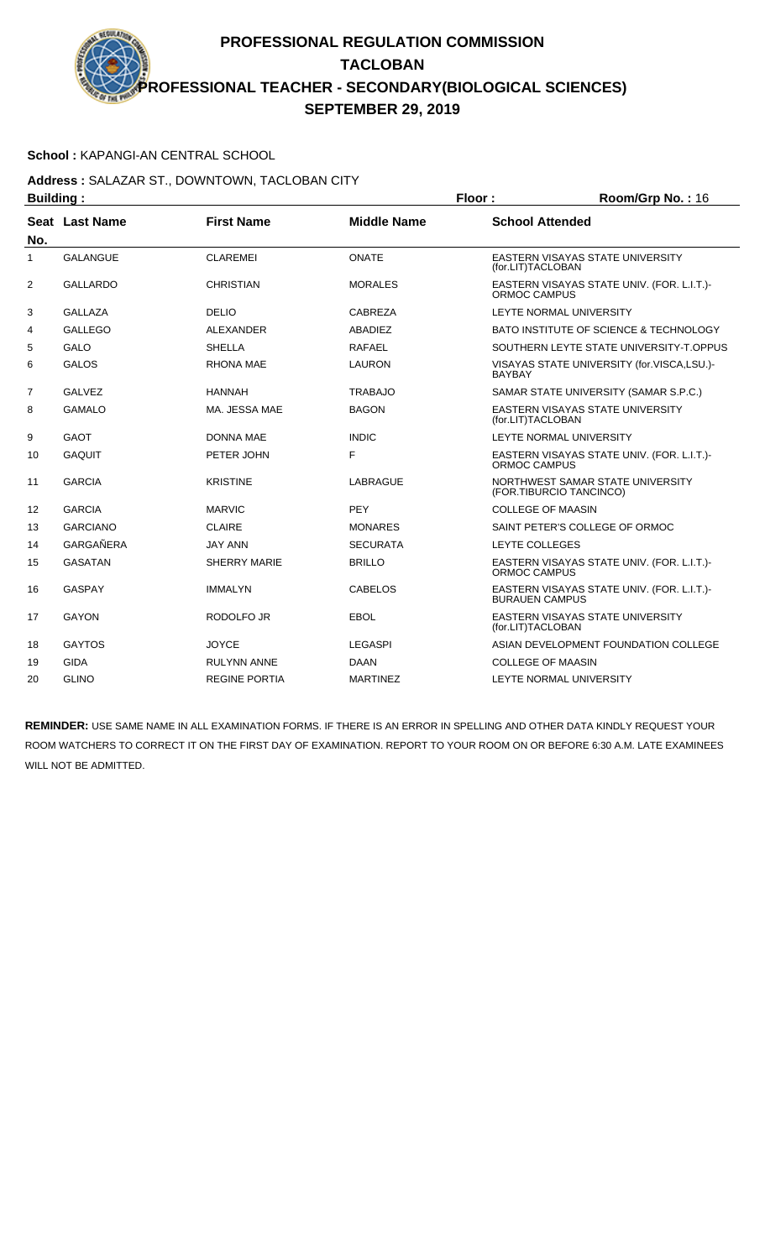### **School :** KAPANGI-AN CENTRAL SCHOOL

**Address :** SALAZAR ST., DOWNTOWN, TACLOBAN CITY **Building : Floor : Floor : Room/Grp No. : 16** 

|                | , <sub></sub>   |                      |                    |                                                                     |
|----------------|-----------------|----------------------|--------------------|---------------------------------------------------------------------|
| No.            | Seat Last Name  | <b>First Name</b>    | <b>Middle Name</b> | <b>School Attended</b>                                              |
| $\mathbf{1}$   | <b>GALANGUE</b> | <b>CLAREMEI</b>      | <b>ONATE</b>       | EASTERN VISAYAS STATE UNIVERSITY<br>(for.LIT)TACLOBAN               |
| $\overline{2}$ | <b>GALLARDO</b> | <b>CHRISTIAN</b>     | <b>MORALES</b>     | EASTERN VISAYAS STATE UNIV. (FOR. L.I.T.)-<br>ORMOC CAMPUS          |
| 3              | <b>GALLAZA</b>  | <b>DELIO</b>         | CABREZA            | LEYTE NORMAL UNIVERSITY                                             |
| 4              | <b>GALLEGO</b>  | ALEXANDER            | <b>ABADIEZ</b>     | BATO INSTITUTE OF SCIENCE & TECHNOLOGY                              |
| 5              | GALO            | <b>SHELLA</b>        | <b>RAFAEL</b>      | SOUTHERN LEYTE STATE UNIVERSITY-T.OPPUS                             |
| 6              | <b>GALOS</b>    | RHONA MAE            | <b>LAURON</b>      | VISAYAS STATE UNIVERSITY (for.VISCA,LSU.)-<br><b>BAYBAY</b>         |
| $\overline{7}$ | <b>GALVEZ</b>   | <b>HANNAH</b>        | <b>TRABAJO</b>     | SAMAR STATE UNIVERSITY (SAMAR S.P.C.)                               |
| 8              | <b>GAMALO</b>   | MA. JESSA MAE        | <b>BAGON</b>       | <b>EASTERN VISAYAS STATE UNIVERSITY</b><br>(for.LIT)TACLOBAN        |
| 9              | <b>GAOT</b>     | <b>DONNA MAE</b>     | <b>INDIC</b>       | LEYTE NORMAL UNIVERSITY                                             |
| 10             | <b>GAQUIT</b>   | PETER JOHN           | F                  | EASTERN VISAYAS STATE UNIV. (FOR. L.I.T.)-<br>ORMOC CAMPUS          |
| 11             | <b>GARCIA</b>   | <b>KRISTINE</b>      | <b>LABRAGUE</b>    | NORTHWEST SAMAR STATE UNIVERSITY<br>(FOR.TIBURCIO TANCINCO)         |
| 12             | <b>GARCIA</b>   | <b>MARVIC</b>        | <b>PEY</b>         | <b>COLLEGE OF MAASIN</b>                                            |
| 13             | <b>GARCIANO</b> | <b>CLAIRE</b>        | <b>MONARES</b>     | SAINT PETER'S COLLEGE OF ORMOC                                      |
| 14             | GARGAÑERA       | <b>JAY ANN</b>       | <b>SECURATA</b>    | LEYTE COLLEGES                                                      |
| 15             | <b>GASATAN</b>  | <b>SHERRY MARIE</b>  | <b>BRILLO</b>      | EASTERN VISAYAS STATE UNIV. (FOR. L.I.T.)-<br>ORMOC CAMPUS          |
| 16             | <b>GASPAY</b>   | <b>IMMALYN</b>       | <b>CABELOS</b>     | EASTERN VISAYAS STATE UNIV. (FOR. L.I.T.)-<br><b>BURAUEN CAMPUS</b> |
| 17             | <b>GAYON</b>    | <b>RODOLFO JR</b>    | <b>EBOL</b>        | <b>EASTERN VISAYAS STATE UNIVERSITY</b><br>(for.LIT)TACLOBAN        |
| 18             | <b>GAYTOS</b>   | <b>JOYCE</b>         | <b>LEGASPI</b>     | ASIAN DEVELOPMENT FOUNDATION COLLEGE                                |
| 19             | <b>GIDA</b>     | <b>RULYNN ANNE</b>   | <b>DAAN</b>        | <b>COLLEGE OF MAASIN</b>                                            |
| 20             | <b>GLINO</b>    | <b>REGINE PORTIA</b> | <b>MARTINEZ</b>    | LEYTE NORMAL UNIVERSITY                                             |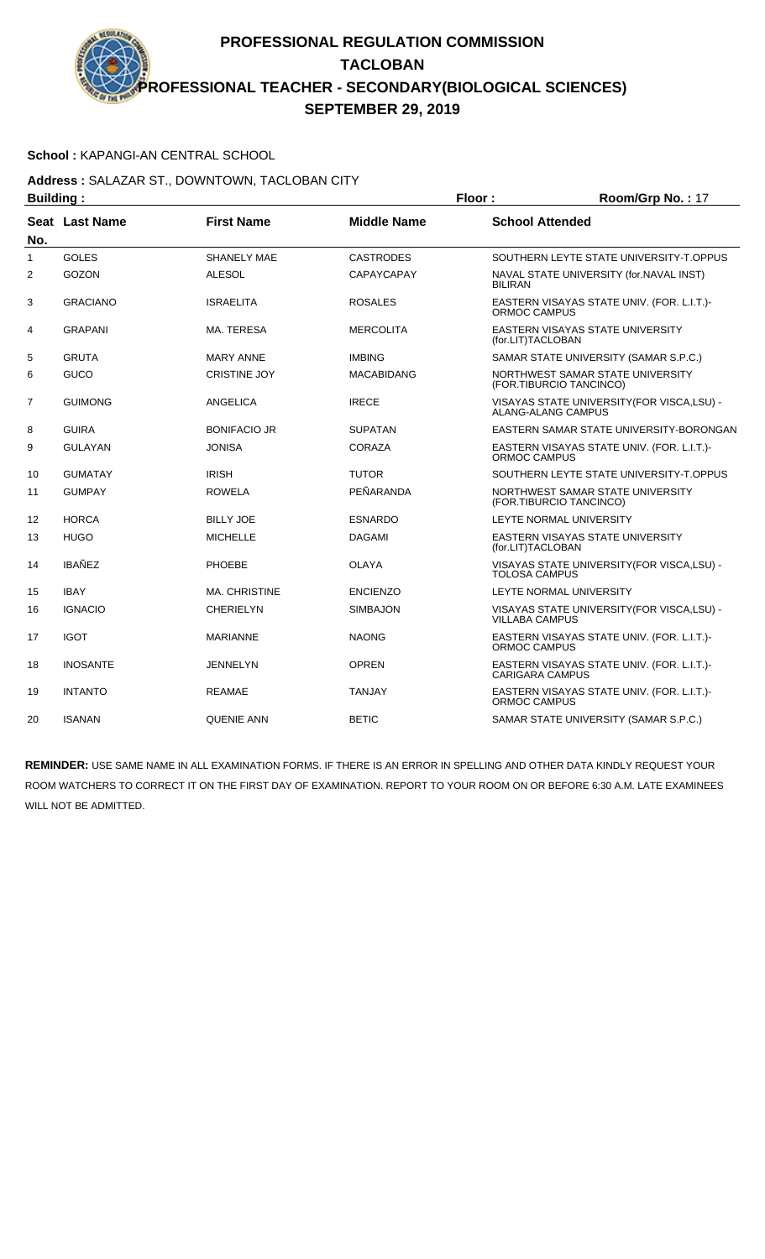### **School :** KAPANGI-AN CENTRAL SCHOOL

#### **Address :** SALAZAR ST., DOWNTOWN, TACLOBAN CITY **Building : Floor : Room/Grp No. :** 17

| Pununiy .      |                       |                     |                    | .<br>1100111101111011111                                             |
|----------------|-----------------------|---------------------|--------------------|----------------------------------------------------------------------|
| No.            | <b>Seat Last Name</b> | <b>First Name</b>   | <b>Middle Name</b> | <b>School Attended</b>                                               |
| $\mathbf{1}$   | <b>GOLES</b>          | <b>SHANELY MAE</b>  | <b>CASTRODES</b>   | SOUTHERN LEYTE STATE UNIVERSITY-T.OPPUS                              |
| 2              | <b>GOZON</b>          | <b>ALESOL</b>       | <b>CAPAYCAPAY</b>  | NAVAL STATE UNIVERSITY (for.NAVAL INST)<br><b>BILIRAN</b>            |
| 3              | <b>GRACIANO</b>       | <b>ISRAELITA</b>    | <b>ROSALES</b>     | EASTERN VISAYAS STATE UNIV. (FOR. L.I.T.)-<br>ORMOC CAMPUS           |
| 4              | <b>GRAPANI</b>        | MA. TERESA          | <b>MERCOLITA</b>   | EASTERN VISAYAS STATE UNIVERSITY<br>(for.LIT)TACLOBAN                |
| 5              | <b>GRUTA</b>          | <b>MARY ANNE</b>    | <b>IMBING</b>      | SAMAR STATE UNIVERSITY (SAMAR S.P.C.)                                |
| 6              | GUCO                  | <b>CRISTINE JOY</b> | <b>MACABIDANG</b>  | NORTHWEST SAMAR STATE UNIVERSITY<br>(FOR.TIBURCIO TANCINCO)          |
| $\overline{7}$ | <b>GUIMONG</b>        | <b>ANGELICA</b>     | <b>IRECE</b>       | VISAYAS STATE UNIVERSITY (FOR VISCA, LSU) -<br>ALANG-ALANG CAMPUS    |
| 8              | <b>GUIRA</b>          | <b>BONIFACIO JR</b> | <b>SUPATAN</b>     | EASTERN SAMAR STATE UNIVERSITY-BORONGAN                              |
| 9              | <b>GULAYAN</b>        | <b>JONISA</b>       | <b>CORAZA</b>      | EASTERN VISAYAS STATE UNIV. (FOR. L.I.T.)-<br>ORMOC CAMPUS           |
| 10             | <b>GUMATAY</b>        | <b>IRISH</b>        | <b>TUTOR</b>       | SOUTHERN LEYTE STATE UNIVERSITY-T.OPPUS                              |
| 11             | <b>GUMPAY</b>         | <b>ROWELA</b>       | PEÑARANDA          | NORTHWEST SAMAR STATE UNIVERSITY<br>(FOR.TIBURCIO TANCINCO)          |
| 12             | <b>HORCA</b>          | <b>BILLY JOE</b>    | <b>ESNARDO</b>     | LEYTE NORMAL UNIVERSITY                                              |
| 13             | <b>HUGO</b>           | <b>MICHELLE</b>     | <b>DAGAMI</b>      | EASTERN VISAYAS STATE UNIVERSITY<br>(for.LIT)TACLOBAN                |
| 14             | <b>IBAÑEZ</b>         | <b>PHOEBE</b>       | <b>OLAYA</b>       | VISAYAS STATE UNIVERSITY (FOR VISCA.LSU) -<br><b>TOLOSA CAMPUS</b>   |
| 15             | <b>IBAY</b>           | MA. CHRISTINE       | <b>ENCIENZO</b>    | LEYTE NORMAL UNIVERSITY                                              |
| 16             | <b>IGNACIO</b>        | <b>CHERIELYN</b>    | <b>SIMBAJON</b>    | VISAYAS STATE UNIVERSITY (FOR VISCA, LSU) -<br><b>VILLABA CAMPUS</b> |
| 17             | <b>IGOT</b>           | <b>MARIANNE</b>     | <b>NAONG</b>       | EASTERN VISAYAS STATE UNIV. (FOR. L.I.T.)-<br><b>ORMOC CAMPUS</b>    |
| 18             | <b>INOSANTE</b>       | <b>JENNELYN</b>     | <b>OPREN</b>       | EASTERN VISAYAS STATE UNIV. (FOR. L.I.T.)-<br><b>CARIGARA CAMPUS</b> |
| 19             | <b>INTANTO</b>        | <b>REAMAE</b>       | <b>TANJAY</b>      | EASTERN VISAYAS STATE UNIV. (FOR. L.I.T.)-<br>ORMOC CAMPUS           |
| 20             | <b>ISANAN</b>         | <b>QUENIE ANN</b>   | <b>BETIC</b>       | SAMAR STATE UNIVERSITY (SAMAR S.P.C.)                                |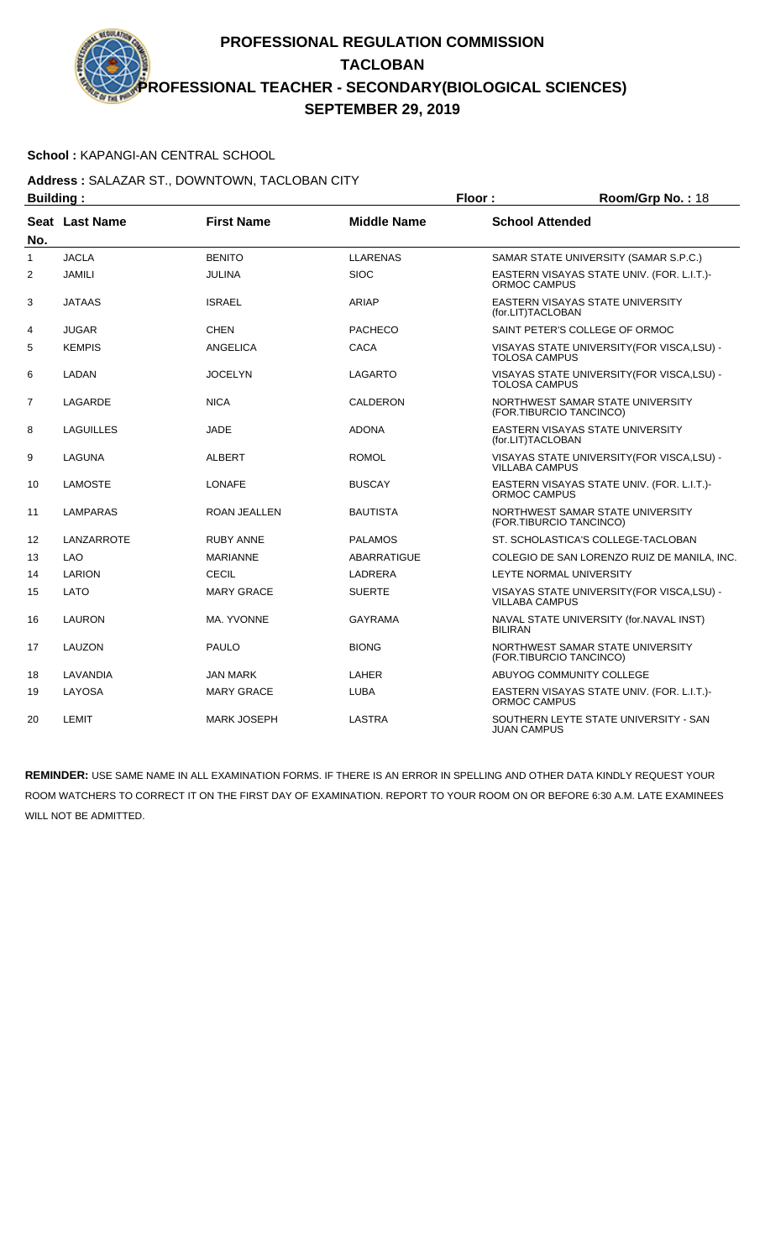### **School :** KAPANGI-AN CENTRAL SCHOOL

#### **Address :** SALAZAR ST., DOWNTOWN, TACLOBAN CITY **Building : Floor : Room/Grp No. :** 18

| Dununiy .      |                |                     | . 1991             |                                                                      |
|----------------|----------------|---------------------|--------------------|----------------------------------------------------------------------|
| No.            | Seat Last Name | <b>First Name</b>   | <b>Middle Name</b> | <b>School Attended</b>                                               |
| 1              | <b>JACLA</b>   | <b>BENITO</b>       | <b>LLARENAS</b>    | SAMAR STATE UNIVERSITY (SAMAR S.P.C.)                                |
| $\overline{2}$ | <b>JAMILI</b>  | <b>JULINA</b>       | <b>SIOC</b>        | EASTERN VISAYAS STATE UNIV. (FOR. L.I.T.)-<br>ORMOC CAMPUS           |
| 3              | <b>JATAAS</b>  | <b>ISRAEL</b>       | ARIAP              | <b>EASTERN VISAYAS STATE UNIVERSITY</b><br>(for.LIT)TACLOBAN         |
| 4              | <b>JUGAR</b>   | <b>CHEN</b>         | <b>PACHECO</b>     | SAINT PETER'S COLLEGE OF ORMOC                                       |
| 5              | <b>KEMPIS</b>  | <b>ANGELICA</b>     | <b>CACA</b>        | VISAYAS STATE UNIVERSITY(FOR VISCA,LSU) -<br><b>TOLOSA CAMPUS</b>    |
| 6              | LADAN          | <b>JOCELYN</b>      | LAGARTO            | VISAYAS STATE UNIVERSITY (FOR VISCA, LSU) -<br><b>TOLOSA CAMPUS</b>  |
| 7              | LAGARDE        | <b>NICA</b>         | CALDERON           | NORTHWEST SAMAR STATE UNIVERSITY<br>(FOR.TIBURCIO TANCINCO)          |
| 8              | LAGUILLES      | JADE                | <b>ADONA</b>       | <b>EASTERN VISAYAS STATE UNIVERSITY</b><br>(for.LIT)TACLOBAN         |
| 9              | LAGUNA         | <b>ALBERT</b>       | <b>ROMOL</b>       | VISAYAS STATE UNIVERSITY (FOR VISCA, LSU) -<br><b>VILLABA CAMPUS</b> |
| 10             | LAMOSTE        | <b>LONAFE</b>       | <b>BUSCAY</b>      | EASTERN VISAYAS STATE UNIV. (FOR. L.I.T.)-<br>ORMOC CAMPUS           |
| 11             | LAMPARAS       | <b>ROAN JEALLEN</b> | <b>BAUTISTA</b>    | NORTHWEST SAMAR STATE UNIVERSITY<br>(FOR.TIBURCIO TANCINCO)          |
| 12             | LANZARROTE     | <b>RUBY ANNE</b>    | <b>PALAMOS</b>     | ST. SCHOLASTICA'S COLLEGE-TACLOBAN                                   |
| 13             | <b>LAO</b>     | <b>MARIANNE</b>     | <b>ABARRATIGUE</b> | COLEGIO DE SAN LORENZO RUIZ DE MANILA, INC.                          |
| 14             | LARION         | CECIL               | LADRERA            | LEYTE NORMAL UNIVERSITY                                              |
| 15             | LATO           | <b>MARY GRACE</b>   | <b>SUERTE</b>      | VISAYAS STATE UNIVERSITY(FOR VISCA,LSU) -<br><b>VILLABA CAMPUS</b>   |
| 16             | <b>LAURON</b>  | MA. YVONNE          | <b>GAYRAMA</b>     | NAVAL STATE UNIVERSITY (for.NAVAL INST)<br><b>BILIRAN</b>            |
| 17             | LAUZON         | <b>PAULO</b>        | <b>BIONG</b>       | NORTHWEST SAMAR STATE UNIVERSITY<br>(FOR.TIBURCIO TANCINCO)          |
| 18             | LAVANDIA       | <b>JAN MARK</b>     | LAHER              | ABUYOG COMMUNITY COLLEGE                                             |
| 19             | LAYOSA         | <b>MARY GRACE</b>   | <b>LUBA</b>        | EASTERN VISAYAS STATE UNIV. (FOR. L.I.T.)-<br>ORMOC CAMPUS           |
| 20             | <b>LEMIT</b>   | <b>MARK JOSEPH</b>  | LASTRA             | SOUTHERN LEYTE STATE UNIVERSITY - SAN<br><b>JUAN CAMPUS</b>          |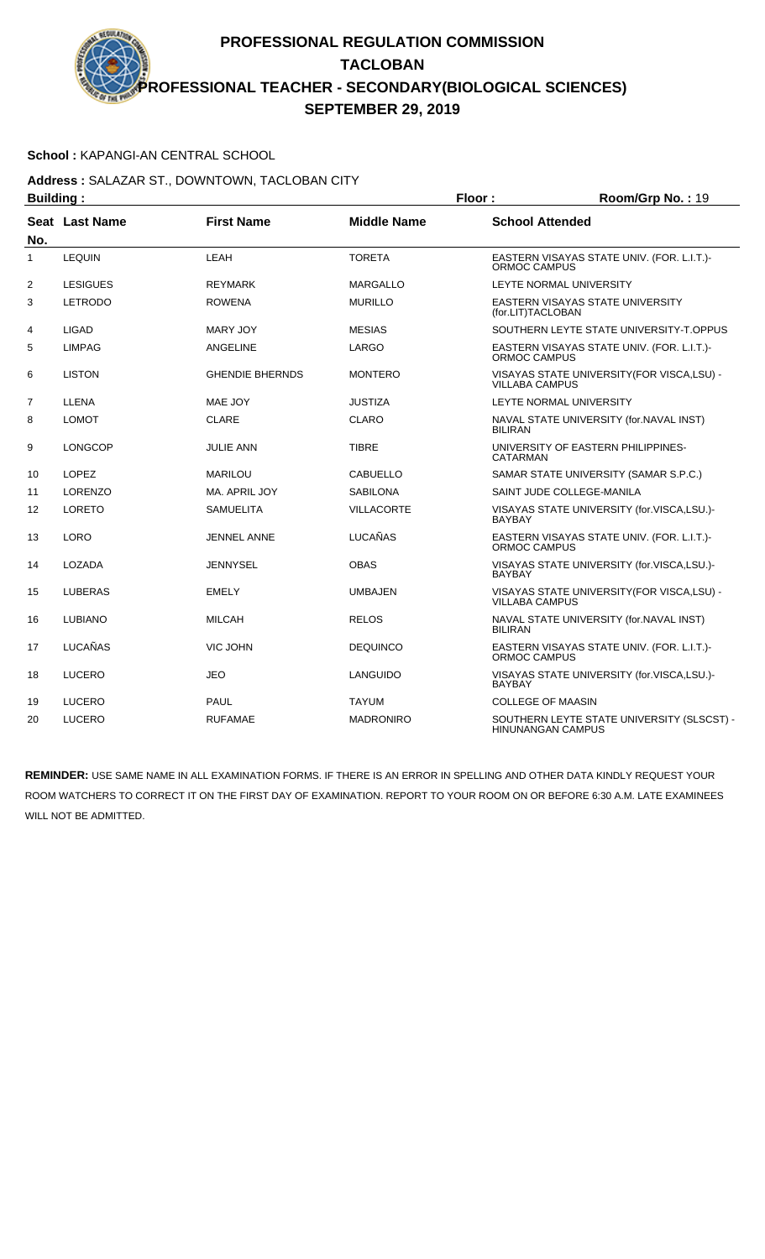### **School :** KAPANGI-AN CENTRAL SCHOOL

**Address :** SALAZAR ST., DOWNTOWN, TACLOBAN CITY **Building : Floor : Room/Grp No. : 19** 

| Dununiy .      |                 |                        | ושטו               | 1100111101111011110                                                    |
|----------------|-----------------|------------------------|--------------------|------------------------------------------------------------------------|
| No.            | Seat Last Name  | <b>First Name</b>      | <b>Middle Name</b> | <b>School Attended</b>                                                 |
| 1              | <b>LEQUIN</b>   | LEAH                   | <b>TORETA</b>      | EASTERN VISAYAS STATE UNIV. (FOR. L.I.T.)-<br><b>ORMOC CAMPUS</b>      |
| $\overline{2}$ | <b>LESIGUES</b> | <b>REYMARK</b>         | MARGALLO           | LEYTE NORMAL UNIVERSITY                                                |
| 3              | <b>LETRODO</b>  | <b>ROWENA</b>          | <b>MURILLO</b>     | EASTERN VISAYAS STATE UNIVERSITY<br>(for.LIT)TACLOBAN                  |
| 4              | <b>LIGAD</b>    | MARY JOY               | <b>MESIAS</b>      | SOUTHERN LEYTE STATE UNIVERSITY-T.OPPUS                                |
| 5              | <b>LIMPAG</b>   | <b>ANGELINE</b>        | LARGO              | EASTERN VISAYAS STATE UNIV. (FOR. L.I.T.)-<br>ORMOC CAMPUS             |
| 6              | <b>LISTON</b>   | <b>GHENDIE BHERNDS</b> | <b>MONTERO</b>     | VISAYAS STATE UNIVERSITY (FOR VISCA, LSU) -<br><b>VILLABA CAMPUS</b>   |
| $\overline{7}$ | LLENA           | MAE JOY                | <b>JUSTIZA</b>     | LEYTE NORMAL UNIVERSITY                                                |
| 8              | <b>LOMOT</b>    | <b>CLARE</b>           | <b>CLARO</b>       | NAVAL STATE UNIVERSITY (for.NAVAL INST)<br><b>BILIRAN</b>              |
| 9              | <b>LONGCOP</b>  | <b>JULIE ANN</b>       | <b>TIBRE</b>       | UNIVERSITY OF EASTERN PHILIPPINES-<br>CATARMAN                         |
| 10             | <b>LOPEZ</b>    | <b>MARILOU</b>         | <b>CABUELLO</b>    | SAMAR STATE UNIVERSITY (SAMAR S.P.C.)                                  |
| 11             | <b>LORENZO</b>  | MA. APRIL JOY          | <b>SABILONA</b>    | SAINT JUDE COLLEGE-MANILA                                              |
| 12             | <b>LORETO</b>   | <b>SAMUELITA</b>       | <b>VILLACORTE</b>  | VISAYAS STATE UNIVERSITY (for.VISCA,LSU.)-<br><b>BAYBAY</b>            |
| 13             | <b>LORO</b>     | JENNEL ANNE            | <b>LUCAÑAS</b>     | EASTERN VISAYAS STATE UNIV. (FOR. L.I.T.)-<br>ORMOC CAMPUS             |
| 14             | LOZADA          | <b>JENNYSEL</b>        | <b>OBAS</b>        | VISAYAS STATE UNIVERSITY (for.VISCA,LSU.)-<br><b>BAYBAY</b>            |
| 15             | <b>LUBERAS</b>  | <b>EMELY</b>           | <b>UMBAJEN</b>     | VISAYAS STATE UNIVERSITY(FOR VISCA,LSU) -<br><b>VILLABA CAMPUS</b>     |
| 16             | <b>LUBIANO</b>  | <b>MILCAH</b>          | <b>RELOS</b>       | NAVAL STATE UNIVERSITY (for.NAVAL INST)<br><b>BILIRAN</b>              |
| 17             | LUCAÑAS         | VIC JOHN               | <b>DEQUINCO</b>    | EASTERN VISAYAS STATE UNIV. (FOR. L.I.T.)-<br>ORMOC CAMPUS             |
| 18             | <b>LUCERO</b>   | <b>JEO</b>             | LANGUIDO           | VISAYAS STATE UNIVERSITY (for.VISCA,LSU.)-<br><b>BAYBAY</b>            |
| 19             | <b>LUCERO</b>   | <b>PAUL</b>            | <b>TAYUM</b>       | <b>COLLEGE OF MAASIN</b>                                               |
| 20             | <b>LUCERO</b>   | <b>RUFAMAE</b>         | <b>MADRONIRO</b>   | SOUTHERN LEYTE STATE UNIVERSITY (SLSCST) -<br><b>HINUNANGAN CAMPUS</b> |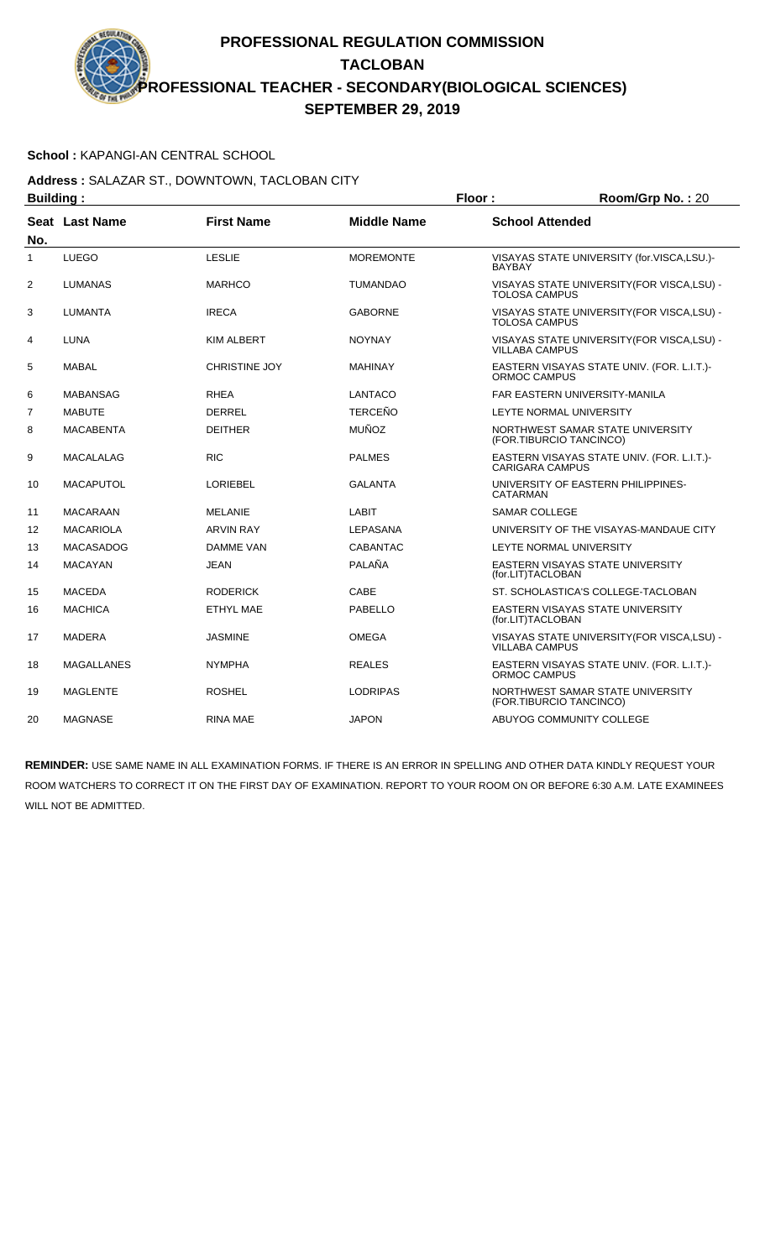### **School :** KAPANGI-AN CENTRAL SCHOOL

#### **Address :** SALAZAR ST., DOWNTOWN, TACLOBAN CITY **Building : Floor : Room/Grp No. :** 20

| Dununiy . |                       |                      | . וטטו             | 1100111101111011120                                                  |
|-----------|-----------------------|----------------------|--------------------|----------------------------------------------------------------------|
| No.       | <b>Seat Last Name</b> | <b>First Name</b>    | <b>Middle Name</b> | <b>School Attended</b>                                               |
| 1         | <b>LUEGO</b>          | <b>LESLIE</b>        | <b>MOREMONTE</b>   | VISAYAS STATE UNIVERSITY (for.VISCA,LSU.)-<br><b>BAYBAY</b>          |
| 2         | LUMANAS               | <b>MARHCO</b>        | <b>TUMANDAO</b>    | VISAYAS STATE UNIVERSITY (FOR VISCA, LSU) -<br><b>TOLOSA CAMPUS</b>  |
| 3         | <b>LUMANTA</b>        | <b>IRECA</b>         | <b>GABORNE</b>     | VISAYAS STATE UNIVERSITY (FOR VISCA, LSU) -<br><b>TOLOSA CAMPUS</b>  |
| 4         | LUNA                  | <b>KIM ALBERT</b>    | <b>NOYNAY</b>      | VISAYAS STATE UNIVERSITY (FOR VISCA, LSU) -<br><b>VILLABA CAMPUS</b> |
| 5         | MABAL                 | <b>CHRISTINE JOY</b> | <b>MAHINAY</b>     | EASTERN VISAYAS STATE UNIV. (FOR. L.I.T.)-<br>ORMOC CAMPUS           |
| 6         | <b>MABANSAG</b>       | <b>RHEA</b>          | <b>LANTACO</b>     | FAR EASTERN UNIVERSITY-MANILA                                        |
| 7         | <b>MABUTE</b>         | <b>DERREL</b>        | <b>TERCEÑO</b>     | LEYTE NORMAL UNIVERSITY                                              |
| 8         | <b>MACABENTA</b>      | <b>DEITHER</b>       | <b>MUÑOZ</b>       | NORTHWEST SAMAR STATE UNIVERSITY<br>(FOR.TIBURCIO TANCINCO)          |
| 9         | <b>MACALALAG</b>      | <b>RIC</b>           | <b>PALMES</b>      | EASTERN VISAYAS STATE UNIV. (FOR. L.I.T.)-<br><b>CARIGARA CAMPUS</b> |
| 10        | <b>MACAPUTOL</b>      | <b>LORIEBEL</b>      | <b>GALANTA</b>     | UNIVERSITY OF EASTERN PHILIPPINES-<br><b>CATARMAN</b>                |
| 11        | MACARAAN              | <b>MELANIE</b>       | <b>LABIT</b>       | <b>SAMAR COLLEGE</b>                                                 |
| 12        | <b>MACARIOLA</b>      | <b>ARVIN RAY</b>     | LEPASANA           | UNIVERSITY OF THE VISAYAS-MANDAUE CITY                               |
| 13        | <b>MACASADOG</b>      | DAMME VAN            | <b>CABANTAC</b>    | LEYTE NORMAL UNIVERSITY                                              |
| 14        | <b>MACAYAN</b>        | <b>JEAN</b>          | PALAÑA             | EASTERN VISAYAS STATE UNIVERSITY<br>(for.LIT)TACLOBAN                |
| 15        | <b>MACEDA</b>         | <b>RODERICK</b>      | CABE               | ST. SCHOLASTICA'S COLLEGE-TACLOBAN                                   |
| 16        | <b>MACHICA</b>        | ETHYL MAE            | PABELLO            | EASTERN VISAYAS STATE UNIVERSITY<br>(for.LIT)TACLOBAN                |
| 17        | <b>MADERA</b>         | <b>JASMINE</b>       | <b>OMEGA</b>       | VISAYAS STATE UNIVERSITY (FOR VISCA, LSU) -<br><b>VILLABA CAMPUS</b> |
| 18        | MAGALLANES            | <b>NYMPHA</b>        | <b>REALES</b>      | EASTERN VISAYAS STATE UNIV. (FOR. L.I.T.)-<br>ORMOC CAMPUS           |
| 19        | <b>MAGLENTE</b>       | <b>ROSHEL</b>        | <b>LODRIPAS</b>    | NORTHWEST SAMAR STATE UNIVERSITY<br>(FOR.TIBURCIO TANCINCO)          |
| 20        | <b>MAGNASE</b>        | RINA MAE             | <b>JAPON</b>       | ABUYOG COMMUNITY COLLEGE                                             |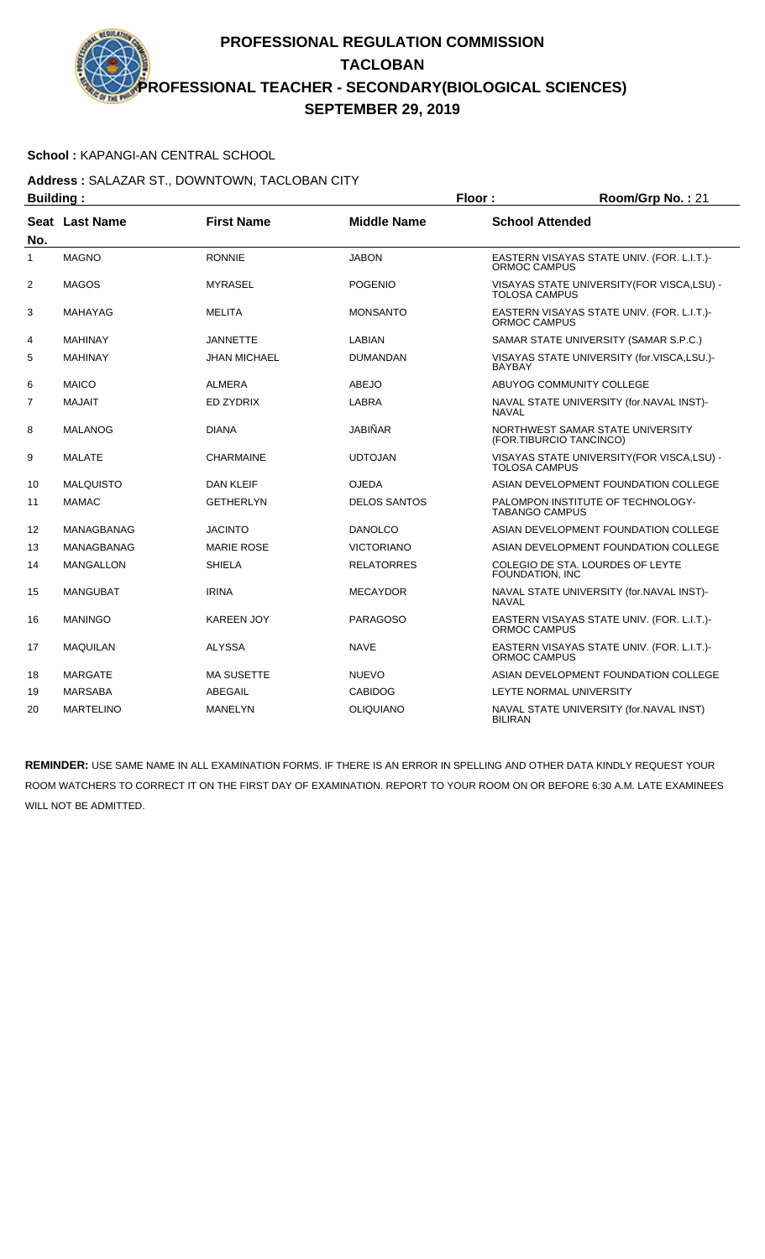### **School :** KAPANGI-AN CENTRAL SCHOOL

### **Address :** SALAZAR ST., DOWNTOWN, TACLOBAN CITY **Building : Floor : Room/Grp No. :** 21

| Dununiy . |                  |                     | .                   | $\mathbf{N}$                                                        |
|-----------|------------------|---------------------|---------------------|---------------------------------------------------------------------|
| No.       | Seat Last Name   | <b>First Name</b>   | <b>Middle Name</b>  | <b>School Attended</b>                                              |
| 1         | <b>MAGNO</b>     | <b>RONNIE</b>       | <b>JABON</b>        | EASTERN VISAYAS STATE UNIV. (FOR. L.I.T.)-<br><b>ORMOC CAMPUS</b>   |
| 2         | <b>MAGOS</b>     | <b>MYRASEL</b>      | <b>POGENIO</b>      | VISAYAS STATE UNIVERSITY (FOR VISCA, LSU) -<br><b>TOLOSA CAMPUS</b> |
| 3         | <b>MAHAYAG</b>   | <b>MELITA</b>       | <b>MONSANTO</b>     | EASTERN VISAYAS STATE UNIV. (FOR. L.I.T.)-<br><b>ORMOC CAMPUS</b>   |
| 4         | <b>MAHINAY</b>   | <b>JANNETTE</b>     | <b>LABIAN</b>       | SAMAR STATE UNIVERSITY (SAMAR S.P.C.)                               |
| 5         | <b>MAHINAY</b>   | <b>JHAN MICHAEL</b> | <b>DUMANDAN</b>     | VISAYAS STATE UNIVERSITY (for.VISCA,LSU.)-<br><b>BAYBAY</b>         |
| 6         | <b>MAICO</b>     | <b>ALMERA</b>       | <b>ABEJO</b>        | ABUYOG COMMUNITY COLLEGE                                            |
| 7         | <b>MAJAIT</b>    | <b>ED ZYDRIX</b>    | <b>LABRA</b>        | NAVAL STATE UNIVERSITY (for.NAVAL INST)-<br><b>NAVAL</b>            |
| 8         | MALANOG          | <b>DIANA</b>        | <b>JABIÑAR</b>      | NORTHWEST SAMAR STATE UNIVERSITY<br>(FOR.TIBURCIO TANCINCO)         |
| 9         | <b>MALATE</b>    | <b>CHARMAINE</b>    | <b>UDTOJAN</b>      | VISAYAS STATE UNIVERSITY(FOR VISCA,LSU) -<br><b>TOLOSA CAMPUS</b>   |
| 10        | <b>MALQUISTO</b> | <b>DAN KLEIF</b>    | <b>OJEDA</b>        | ASIAN DEVELOPMENT FOUNDATION COLLEGE                                |
| 11        | <b>MAMAC</b>     | <b>GETHERLYN</b>    | <b>DELOS SANTOS</b> | PALOMPON INSTITUTE OF TECHNOLOGY-<br>TABANGO CAMPUS                 |
| 12        | MANAGBANAG       | <b>JACINTO</b>      | <b>DANOLCO</b>      | ASIAN DEVELOPMENT FOUNDATION COLLEGE                                |
| 13        | MANAGBANAG       | <b>MARIE ROSE</b>   | <b>VICTORIANO</b>   | ASIAN DEVELOPMENT FOUNDATION COLLEGE                                |
| 14        | <b>MANGALLON</b> | <b>SHIELA</b>       | <b>RELATORRES</b>   | COLEGIO DE STA. LOURDES OF LEYTE<br>FOUNDATION, INC                 |
| 15        | <b>MANGUBAT</b>  | <b>IRINA</b>        | <b>MECAYDOR</b>     | NAVAL STATE UNIVERSITY (for.NAVAL INST)-<br><b>NAVAL</b>            |
| 16        | <b>MANINGO</b>   | <b>KAREEN JOY</b>   | <b>PARAGOSO</b>     | EASTERN VISAYAS STATE UNIV. (FOR. L.I.T.)-<br>ORMOC CAMPUS          |
| 17        | <b>MAQUILAN</b>  | <b>ALYSSA</b>       | <b>NAVE</b>         | EASTERN VISAYAS STATE UNIV. (FOR. L.I.T.)-<br><b>ORMOC CAMPUS</b>   |
| 18        | <b>MARGATE</b>   | <b>MA SUSETTE</b>   | <b>NUEVO</b>        | ASIAN DEVELOPMENT FOUNDATION COLLEGE                                |
| 19        | <b>MARSABA</b>   | ABEGAIL             | <b>CABIDOG</b>      | LEYTE NORMAL UNIVERSITY                                             |
| 20        | <b>MARTELINO</b> | <b>MANELYN</b>      | <b>OLIQUIANO</b>    | NAVAL STATE UNIVERSITY (for.NAVAL INST)<br><b>BILIRAN</b>           |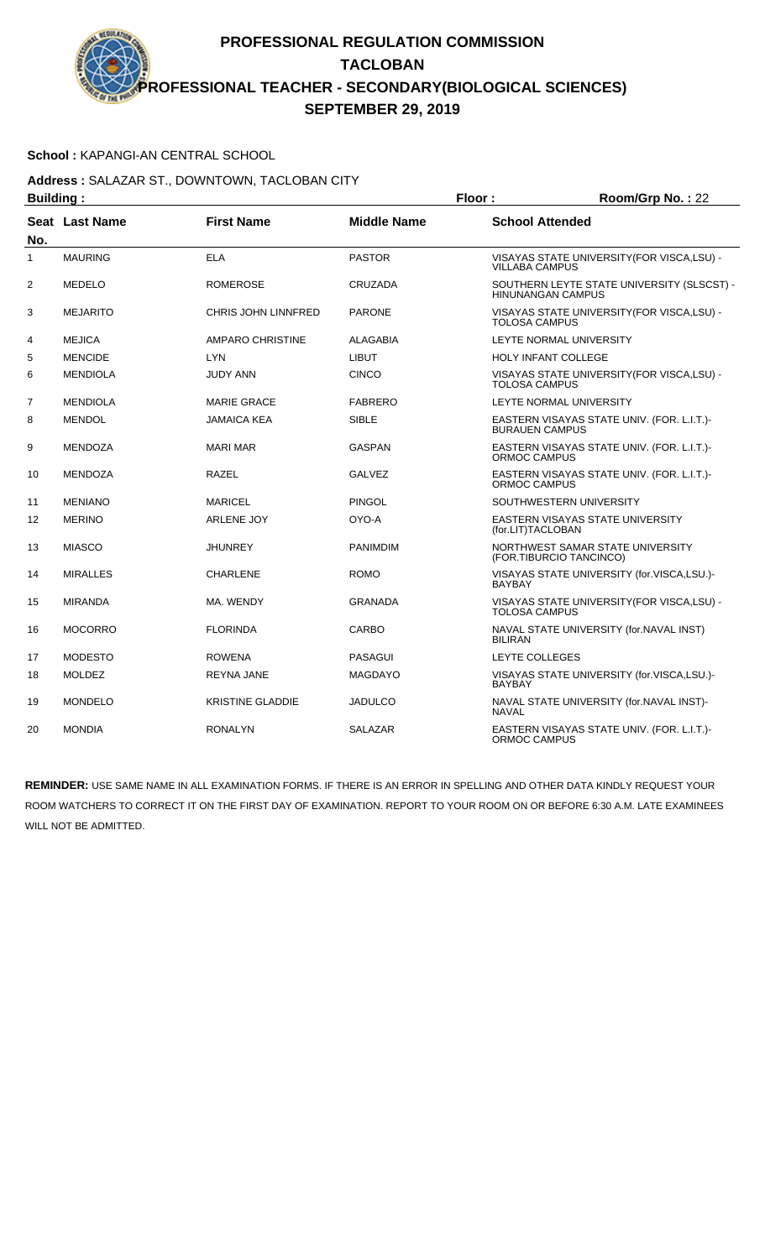### **School :** KAPANGI-AN CENTRAL SCHOOL

#### **Address :** SALAZAR ST., DOWNTOWN, TACLOBAN CITY **Building : Floor : Room/Grp No. :** 22

| Dununiy .      |                 |                         | . 1001 .           |                                                                        |
|----------------|-----------------|-------------------------|--------------------|------------------------------------------------------------------------|
| No.            | Seat Last Name  | <b>First Name</b>       | <b>Middle Name</b> | <b>School Attended</b>                                                 |
| 1              | <b>MAURING</b>  | <b>ELA</b>              | <b>PASTOR</b>      | VISAYAS STATE UNIVERSITY (FOR VISCA, LSU) -<br><b>VILLABA CAMPUS</b>   |
| 2              | <b>MEDELO</b>   | <b>ROMEROSE</b>         | <b>CRUZADA</b>     | SOUTHERN LEYTE STATE UNIVERSITY (SLSCST) -<br><b>HINUNANGAN CAMPUS</b> |
| 3              | <b>MEJARITO</b> | CHRIS JOHN LINNFRED     | <b>PARONE</b>      | VISAYAS STATE UNIVERSITY(FOR VISCA,LSU) -<br><b>TOLOSA CAMPUS</b>      |
| 4              | <b>MEJICA</b>   | <b>AMPARO CHRISTINE</b> | <b>ALAGABIA</b>    | <b>LEYTE NORMAL UNIVERSITY</b>                                         |
| 5              | <b>MENCIDE</b>  | <b>LYN</b>              | <b>LIBUT</b>       | HOLY INFANT COLLEGE                                                    |
| 6              | <b>MENDIOLA</b> | <b>JUDY ANN</b>         | <b>CINCO</b>       | VISAYAS STATE UNIVERSITY (FOR VISCA, LSU) -<br><b>TOLOSA CAMPUS</b>    |
| $\overline{7}$ | <b>MENDIOLA</b> | <b>MARIE GRACE</b>      | <b>FABRERO</b>     | <b>LEYTE NORMAL UNIVERSITY</b>                                         |
| 8              | <b>MENDOL</b>   | <b>JAMAICA KEA</b>      | <b>SIBLE</b>       | EASTERN VISAYAS STATE UNIV. (FOR. L.I.T.)-<br><b>BURAUEN CAMPUS</b>    |
| 9              | <b>MENDOZA</b>  | <b>MARI MAR</b>         | GASPAN             | EASTERN VISAYAS STATE UNIV. (FOR. L.I.T.)-<br>ORMOC CAMPUS             |
| 10             | <b>MENDOZA</b>  | <b>RAZEL</b>            | <b>GALVEZ</b>      | EASTERN VISAYAS STATE UNIV. (FOR. L.I.T.)-<br><b>ORMOC CAMPUS</b>      |
| 11             | <b>MENIANO</b>  | <b>MARICEL</b>          | <b>PINGOL</b>      | SOUTHWESTERN UNIVERSITY                                                |
| 12             | <b>MERINO</b>   | <b>ARLENE JOY</b>       | OYO-A              | EASTERN VISAYAS STATE UNIVERSITY<br>(for.LIT)TACLOBAN                  |
| 13             | <b>MIASCO</b>   | <b>JHUNREY</b>          | <b>PANIMDIM</b>    | NORTHWEST SAMAR STATE UNIVERSITY<br>(FOR.TIBURCIO TANCINCO)            |
| 14             | <b>MIRALLES</b> | <b>CHARLENE</b>         | <b>ROMO</b>        | VISAYAS STATE UNIVERSITY (for.VISCA,LSU.)-<br><b>BAYBAY</b>            |
| 15             | <b>MIRANDA</b>  | MA. WENDY               | <b>GRANADA</b>     | VISAYAS STATE UNIVERSITY (FOR VISCA, LSU) -<br><b>TOLOSA CAMPUS</b>    |
| 16             | <b>MOCORRO</b>  | <b>FLORINDA</b>         | CARBO              | NAVAL STATE UNIVERSITY (for.NAVAL INST)<br><b>BILIRAN</b>              |
| 17             | <b>MODESTO</b>  | <b>ROWENA</b>           | <b>PASAGUI</b>     | LEYTE COLLEGES                                                         |
| 18             | <b>MOLDEZ</b>   | REYNA JANE              | <b>MAGDAYO</b>     | VISAYAS STATE UNIVERSITY (for.VISCA,LSU.)-<br><b>BAYBAY</b>            |
| 19             | <b>MONDELO</b>  | <b>KRISTINE GLADDIE</b> | <b>JADULCO</b>     | NAVAL STATE UNIVERSITY (for.NAVAL INST)-<br><b>NAVAL</b>               |
| 20             | <b>MONDIA</b>   | <b>RONALYN</b>          | <b>SALAZAR</b>     | EASTERN VISAYAS STATE UNIV. (FOR. L.I.T.)-<br>ORMOC CAMPUS             |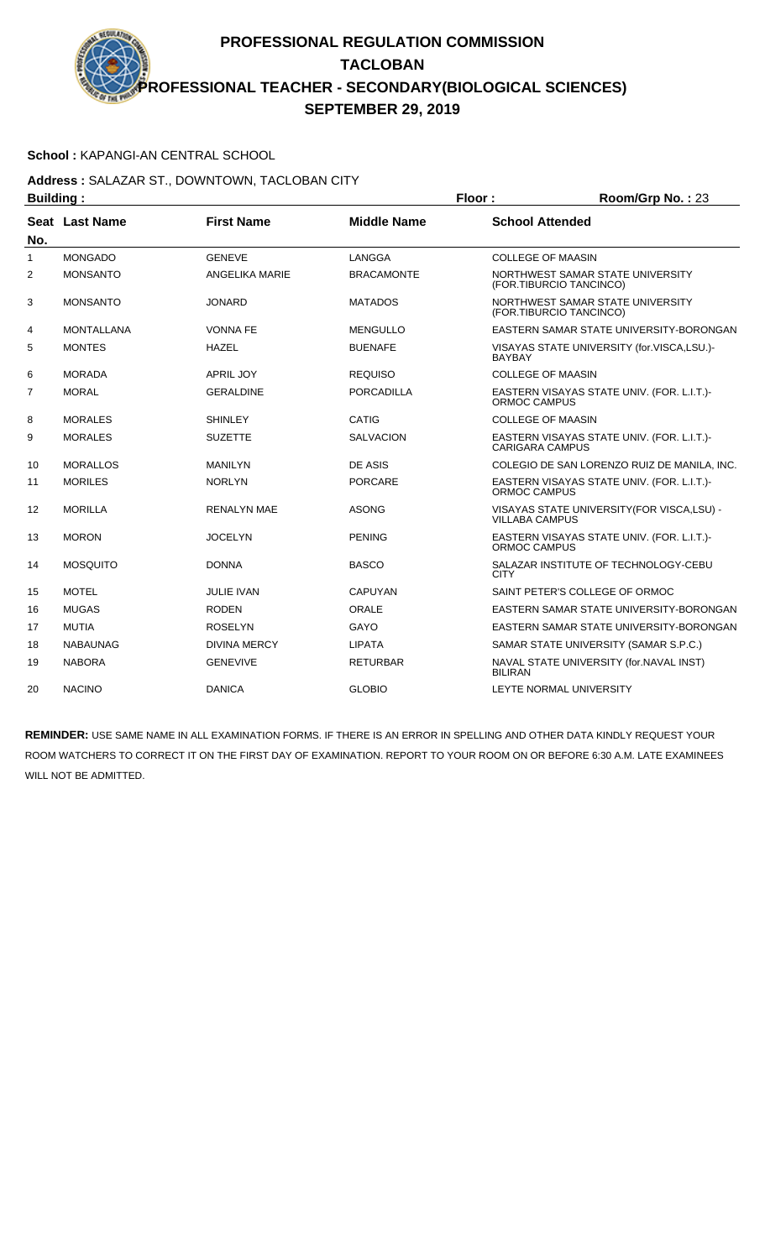### **School :** KAPANGI-AN CENTRAL SCHOOL

### **Address :** SALAZAR ST., DOWNTOWN, TACLOBAN CITY **Building : Floor : Floor : Room/Grp No. : 23**

| sananig i    |                   |                     |                    |                                                                      |
|--------------|-------------------|---------------------|--------------------|----------------------------------------------------------------------|
| No.          | Seat Last Name    | <b>First Name</b>   | <b>Middle Name</b> | <b>School Attended</b>                                               |
| $\mathbf{1}$ | <b>MONGADO</b>    | <b>GENEVE</b>       | LANGGA             | <b>COLLEGE OF MAASIN</b>                                             |
| 2            | <b>MONSANTO</b>   | ANGELIKA MARIE      | <b>BRACAMONTE</b>  | NORTHWEST SAMAR STATE UNIVERSITY<br>(FOR.TIBURCIO TANCINCO)          |
| 3            | <b>MONSANTO</b>   | <b>JONARD</b>       | <b>MATADOS</b>     | NORTHWEST SAMAR STATE UNIVERSITY<br>(FOR.TIBURCIO TANCINCO)          |
| 4            | <b>MONTALLANA</b> | <b>VONNA FE</b>     | <b>MENGULLO</b>    | EASTERN SAMAR STATE UNIVERSITY-BORONGAN                              |
| 5            | <b>MONTES</b>     | <b>HAZEL</b>        | <b>BUENAFE</b>     | VISAYAS STATE UNIVERSITY (for.VISCA,LSU.)-<br><b>BAYBAY</b>          |
| 6            | <b>MORADA</b>     | <b>APRIL JOY</b>    | <b>REQUISO</b>     | <b>COLLEGE OF MAASIN</b>                                             |
| 7            | <b>MORAL</b>      | <b>GERALDINE</b>    | <b>PORCADILLA</b>  | EASTERN VISAYAS STATE UNIV. (FOR. L.I.T.)-<br>ORMOC CAMPUS           |
| 8            | <b>MORALES</b>    | <b>SHINLEY</b>      | CATIG              | <b>COLLEGE OF MAASIN</b>                                             |
| 9            | <b>MORALES</b>    | <b>SUZETTE</b>      | <b>SALVACION</b>   | EASTERN VISAYAS STATE UNIV. (FOR. L.I.T.)-<br><b>CARIGARA CAMPUS</b> |
| 10           | <b>MORALLOS</b>   | <b>MANILYN</b>      | <b>DE ASIS</b>     | COLEGIO DE SAN LORENZO RUIZ DE MANILA, INC.                          |
| 11           | <b>MORILES</b>    | <b>NORLYN</b>       | <b>PORCARE</b>     | EASTERN VISAYAS STATE UNIV. (FOR. L.I.T.)-<br>ORMOC CAMPUS           |
| 12           | <b>MORILLA</b>    | <b>RENALYN MAE</b>  | <b>ASONG</b>       | VISAYAS STATE UNIVERSITY (FOR VISCA, LSU) -<br><b>VILLABA CAMPUS</b> |
| 13           | <b>MORON</b>      | <b>JOCELYN</b>      | <b>PENING</b>      | EASTERN VISAYAS STATE UNIV. (FOR. L.I.T.)-<br>ORMOC CAMPUS           |
| 14           | <b>MOSQUITO</b>   | <b>DONNA</b>        | <b>BASCO</b>       | SALAZAR INSTITUTE OF TECHNOLOGY-CEBU<br><b>CITY</b>                  |
| 15           | <b>MOTEL</b>      | <b>JULIE IVAN</b>   | <b>CAPUYAN</b>     | SAINT PETER'S COLLEGE OF ORMOC                                       |
| 16           | <b>MUGAS</b>      | <b>RODEN</b>        | ORALE              | EASTERN SAMAR STATE UNIVERSITY-BORONGAN                              |
| 17           | <b>MUTIA</b>      | <b>ROSELYN</b>      | GAYO               | EASTERN SAMAR STATE UNIVERSITY-BORONGAN                              |
| 18           | <b>NABAUNAG</b>   | <b>DIVINA MERCY</b> | <b>LIPATA</b>      | SAMAR STATE UNIVERSITY (SAMAR S.P.C.)                                |
| 19           | <b>NABORA</b>     | <b>GENEVIVE</b>     | <b>RETURBAR</b>    | NAVAL STATE UNIVERSITY (for.NAVAL INST)<br><b>BILIRAN</b>            |
| 20           | <b>NACINO</b>     | <b>DANICA</b>       | <b>GLOBIO</b>      | LEYTE NORMAL UNIVERSITY                                              |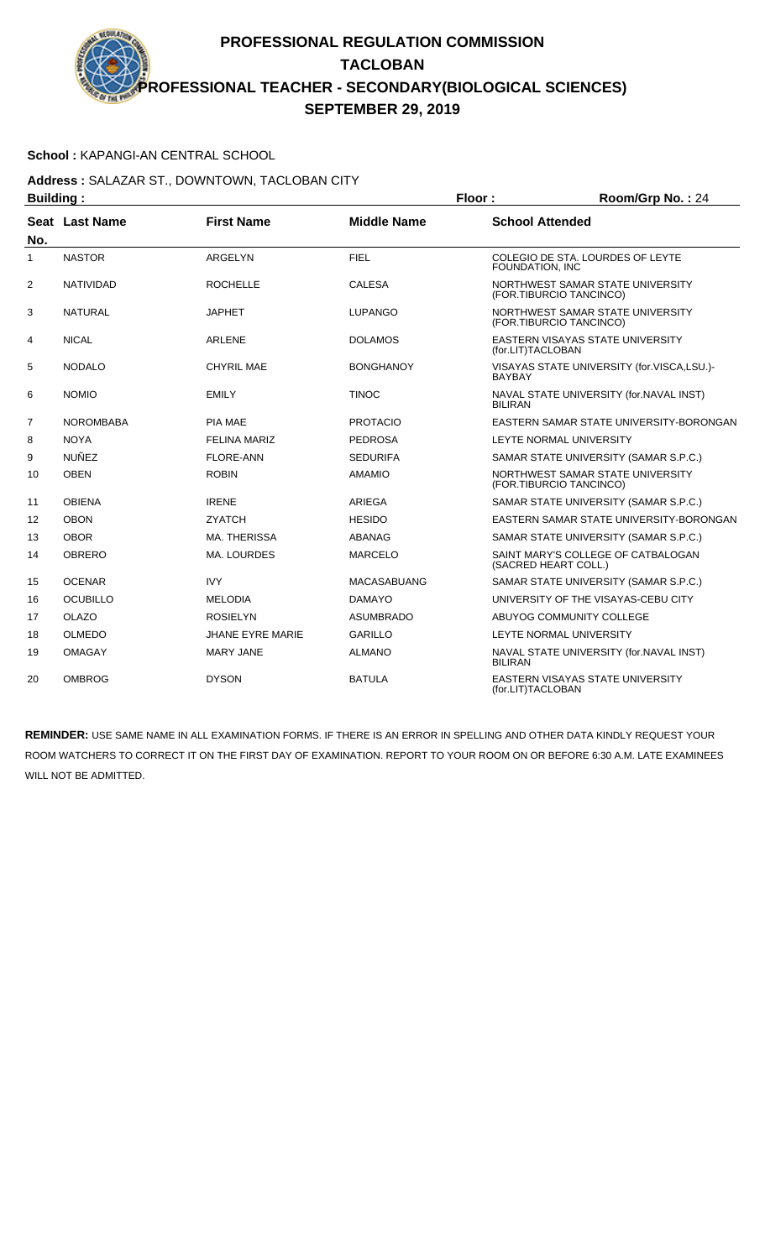### **School :** KAPANGI-AN CENTRAL SCHOOL

**Address :** SALAZAR ST., DOWNTOWN, TACLOBAN CITY **Building : Floor : Room/Grp No. :** 24

| Dununiy . |                  |                         | . וטטו             | 11001111011111011127                                         |
|-----------|------------------|-------------------------|--------------------|--------------------------------------------------------------|
| No.       | Seat Last Name   | <b>First Name</b>       | <b>Middle Name</b> | <b>School Attended</b>                                       |
| 1         | <b>NASTOR</b>    | <b>ARGELYN</b>          | <b>FIEL</b>        | COLEGIO DE STA. LOURDES OF LEYTE<br>FOUNDATION, INC          |
| 2         | <b>NATIVIDAD</b> | <b>ROCHELLE</b>         | <b>CALESA</b>      | NORTHWEST SAMAR STATE UNIVERSITY<br>(FOR.TIBURCIO TANCINCO)  |
| 3         | <b>NATURAL</b>   | <b>JAPHET</b>           | <b>LUPANGO</b>     | NORTHWEST SAMAR STATE UNIVERSITY<br>(FOR.TIBURCIO TANCINCO)  |
| 4         | <b>NICAL</b>     | <b>ARLENE</b>           | <b>DOLAMOS</b>     | EASTERN VISAYAS STATE UNIVERSITY<br>(for.LIT)TACLOBAN        |
| 5         | <b>NODALO</b>    | <b>CHYRIL MAE</b>       | <b>BONGHANOY</b>   | VISAYAS STATE UNIVERSITY (for.VISCA,LSU.)-<br><b>BAYBAY</b>  |
| 6         | <b>NOMIO</b>     | <b>EMILY</b>            | <b>TINOC</b>       | NAVAL STATE UNIVERSITY (for.NAVAL INST)<br><b>BILIRAN</b>    |
| 7         | <b>NOROMBABA</b> | <b>PIA MAE</b>          | <b>PROTACIO</b>    | EASTERN SAMAR STATE UNIVERSITY-BORONGAN                      |
| 8         | <b>NOYA</b>      | <b>FELINA MARIZ</b>     | <b>PEDROSA</b>     | LEYTE NORMAL UNIVERSITY                                      |
| 9         | <b>NUÑEZ</b>     | <b>FLORE-ANN</b>        | <b>SEDURIFA</b>    | SAMAR STATE UNIVERSITY (SAMAR S.P.C.)                        |
| 10        | <b>OBEN</b>      | <b>ROBIN</b>            | <b>AMAMIO</b>      | NORTHWEST SAMAR STATE UNIVERSITY<br>(FOR.TIBURCIO TANCINCO)  |
| 11        | <b>OBIENA</b>    | <b>IRENE</b>            | <b>ARIEGA</b>      | SAMAR STATE UNIVERSITY (SAMAR S.P.C.)                        |
| 12        | <b>OBON</b>      | <b>ZYATCH</b>           | <b>HESIDO</b>      | EASTERN SAMAR STATE UNIVERSITY-BORONGAN                      |
| 13        | <b>OBOR</b>      | MA. THERISSA            | ABANAG             | SAMAR STATE UNIVERSITY (SAMAR S.P.C.)                        |
| 14        | <b>OBRERO</b>    | MA. LOURDES             | <b>MARCELO</b>     | SAINT MARY'S COLLEGE OF CATBALOGAN<br>(SACRED HEART COLL.)   |
| 15        | <b>OCENAR</b>    | <b>IVY</b>              | <b>MACASABUANG</b> | SAMAR STATE UNIVERSITY (SAMAR S.P.C.)                        |
| 16        | <b>OCUBILLO</b>  | <b>MELODIA</b>          | <b>DAMAYO</b>      | UNIVERSITY OF THE VISAYAS-CEBU CITY                          |
| 17        | <b>OLAZO</b>     | <b>ROSIELYN</b>         | <b>ASUMBRADO</b>   | ABUYOG COMMUNITY COLLEGE                                     |
| 18        | <b>OLMEDO</b>    | <b>JHANE EYRE MARIE</b> | <b>GARILLO</b>     | LEYTE NORMAL UNIVERSITY                                      |
| 19        | <b>OMAGAY</b>    | <b>MARY JANE</b>        | <b>ALMANO</b>      | NAVAL STATE UNIVERSITY (for.NAVAL INST)<br><b>BILIRAN</b>    |
| 20        | <b>OMBROG</b>    | <b>DYSON</b>            | <b>BATULA</b>      | <b>EASTERN VISAYAS STATE UNIVERSITY</b><br>(for.LIT)TACLOBAN |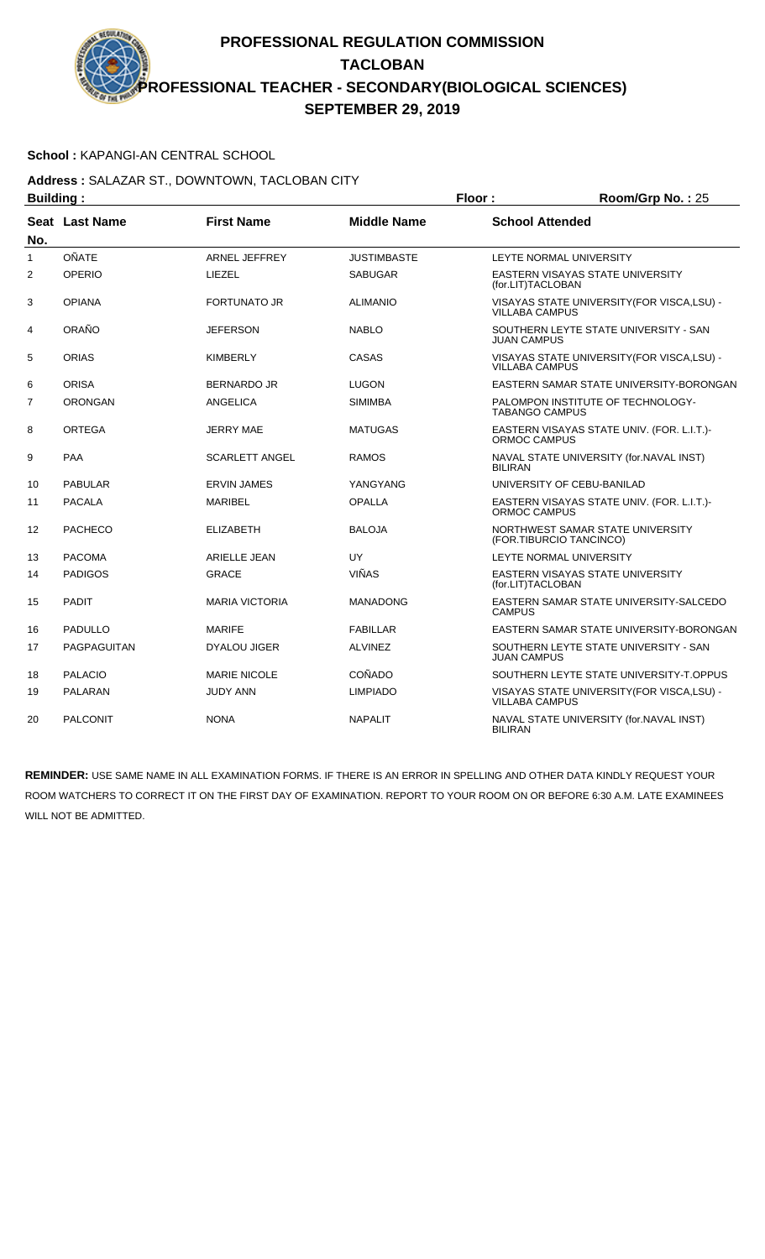### **School :** KAPANGI-AN CENTRAL SCHOOL

### **Address :** SALAZAR ST., DOWNTOWN, TACLOBAN CITY **Building : Floor : Room/Grp No. :** 25

| Pananig .      |                 |                       |                    | .                                                                    |
|----------------|-----------------|-----------------------|--------------------|----------------------------------------------------------------------|
| No.            | Seat Last Name  | <b>First Name</b>     | <b>Middle Name</b> | <b>School Attended</b>                                               |
| $\mathbf{1}$   | <b>OÑATE</b>    | <b>ARNEL JEFFREY</b>  | <b>JUSTIMBASTE</b> | LEYTE NORMAL UNIVERSITY                                              |
| $\overline{2}$ | OPERIO          | LIEZEL                | <b>SABUGAR</b>     | EASTERN VISAYAS STATE UNIVERSITY<br>(for.LIT)TACLOBAN                |
| 3              | <b>OPIANA</b>   | <b>FORTUNATO JR</b>   | <b>ALIMANIO</b>    | VISAYAS STATE UNIVERSITY (FOR VISCA, LSU) -<br><b>VILLABA CAMPUS</b> |
| 4              | ORAÑO           | <b>JEFERSON</b>       | <b>NABLO</b>       | SOUTHERN LEYTE STATE UNIVERSITY - SAN<br><b>JUAN CAMPUS</b>          |
| 5              | <b>ORIAS</b>    | <b>KIMBERLY</b>       | CASAS              | VISAYAS STATE UNIVERSITY (FOR VISCA, LSU) -<br><b>VILLABA CAMPUS</b> |
| 6              | <b>ORISA</b>    | <b>BERNARDO JR</b>    | LUGON              | EASTERN SAMAR STATE UNIVERSITY-BORONGAN                              |
| 7              | <b>ORONGAN</b>  | ANGELICA              | <b>SIMIMBA</b>     | PALOMPON INSTITUTE OF TECHNOLOGY-<br><b>TABANGO CAMPUS</b>           |
| 8              | <b>ORTEGA</b>   | <b>JERRY MAE</b>      | <b>MATUGAS</b>     | EASTERN VISAYAS STATE UNIV. (FOR. L.I.T.)-<br><b>ORMOC CAMPUS</b>    |
| 9              | <b>PAA</b>      | <b>SCARLETT ANGEL</b> | <b>RAMOS</b>       | NAVAL STATE UNIVERSITY (for.NAVAL INST)<br><b>BILIRAN</b>            |
| 10             | <b>PABULAR</b>  | <b>ERVIN JAMES</b>    | YANGYANG           | UNIVERSITY OF CEBU-BANILAD                                           |
| 11             | <b>PACALA</b>   | <b>MARIBEL</b>        | <b>OPALLA</b>      | EASTERN VISAYAS STATE UNIV. (FOR. L.I.T.)-<br><b>ORMOC CAMPUS</b>    |
| 12             | <b>PACHECO</b>  | <b>ELIZABETH</b>      | <b>BALOJA</b>      | NORTHWEST SAMAR STATE UNIVERSITY<br>(FOR.TIBURCIO TANCINCO)          |
| 13             | <b>PACOMA</b>   | ARIELLE JEAN          | UY                 | LEYTE NORMAL UNIVERSITY                                              |
| 14             | <b>PADIGOS</b>  | <b>GRACE</b>          | <b>VIÑAS</b>       | <b>EASTERN VISAYAS STATE UNIVERSITY</b><br>(for.LIT)TACLOBAN         |
| 15             | <b>PADIT</b>    | <b>MARIA VICTORIA</b> | <b>MANADONG</b>    | EASTERN SAMAR STATE UNIVERSITY-SALCEDO<br><b>CAMPUS</b>              |
| 16             | <b>PADULLO</b>  | <b>MARIFE</b>         | <b>FABILLAR</b>    | EASTERN SAMAR STATE UNIVERSITY-BORONGAN                              |
| 17             | PAGPAGUITAN     | <b>DYALOU JIGER</b>   | <b>ALVINEZ</b>     | SOUTHERN LEYTE STATE UNIVERSITY - SAN<br><b>JUAN CAMPUS</b>          |
| 18             | <b>PALACIO</b>  | <b>MARIE NICOLE</b>   | COÑADO             | SOUTHERN LEYTE STATE UNIVERSITY-T.OPPUS                              |
| 19             | <b>PALARAN</b>  | <b>JUDY ANN</b>       | <b>LIMPIADO</b>    | VISAYAS STATE UNIVERSITY (FOR VISCA, LSU) -<br><b>VILLABA CAMPUS</b> |
| 20             | <b>PALCONIT</b> | <b>NONA</b>           | <b>NAPALIT</b>     | NAVAL STATE UNIVERSITY (for.NAVAL INST)<br><b>BILIRAN</b>            |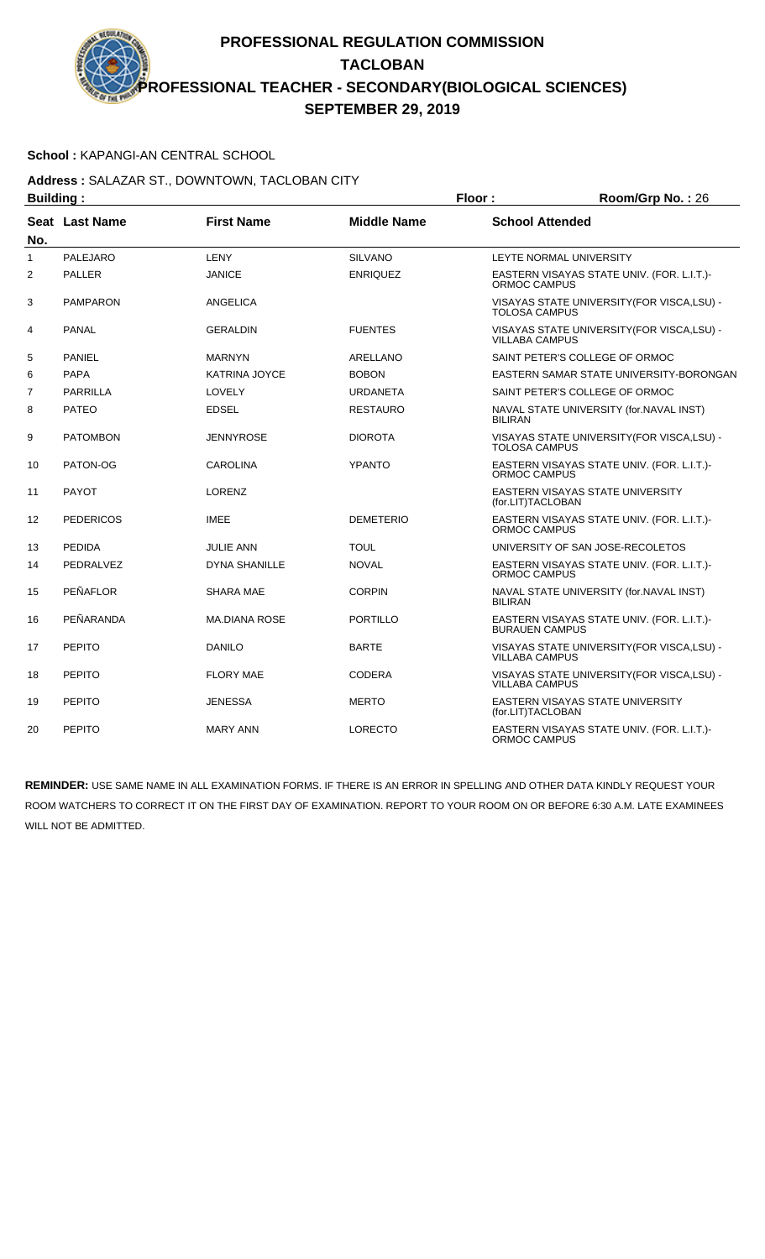### **School :** KAPANGI-AN CENTRAL SCHOOL

### **Address :** SALAZAR ST., DOWNTOWN, TACLOBAN CITY **Building : Floor : Room/Grp No. :** 26

| Dununiy .      |                  |                      |                    | .                                                                    |  |
|----------------|------------------|----------------------|--------------------|----------------------------------------------------------------------|--|
| No.            | Seat Last Name   | <b>First Name</b>    | <b>Middle Name</b> | <b>School Attended</b>                                               |  |
| 1              | <b>PALEJARO</b>  | LENY                 | <b>SILVANO</b>     | LEYTE NORMAL UNIVERSITY                                              |  |
| 2              | <b>PALLER</b>    | <b>JANICE</b>        | <b>ENRIQUEZ</b>    | EASTERN VISAYAS STATE UNIV. (FOR. L.I.T.)-<br>ORMOC CAMPUS           |  |
| 3              | <b>PAMPARON</b>  | <b>ANGELICA</b>      |                    | VISAYAS STATE UNIVERSITY (FOR VISCA, LSU) -<br><b>TOLOSA CAMPUS</b>  |  |
| 4              | <b>PANAL</b>     | <b>GERALDIN</b>      | <b>FUENTES</b>     | VISAYAS STATE UNIVERSITY (FOR VISCA, LSU) -<br><b>VILLABA CAMPUS</b> |  |
| 5              | <b>PANIEL</b>    | <b>MARNYN</b>        | ARELLANO           | SAINT PETER'S COLLEGE OF ORMOC                                       |  |
| 6              | <b>PAPA</b>      | KATRINA JOYCE        | <b>BOBON</b>       | EASTERN SAMAR STATE UNIVERSITY-BORONGAN                              |  |
| $\overline{7}$ | <b>PARRILLA</b>  | LOVELY               | <b>URDANETA</b>    | SAINT PETER'S COLLEGE OF ORMOC                                       |  |
| 8              | <b>PATEO</b>     | <b>EDSEL</b>         | <b>RESTAURO</b>    | NAVAL STATE UNIVERSITY (for.NAVAL INST)<br><b>BILIRAN</b>            |  |
| 9              | <b>PATOMBON</b>  | JENNYROSE            | <b>DIOROTA</b>     | VISAYAS STATE UNIVERSITY (FOR VISCA, LSU) -<br><b>TOLOSA CAMPUS</b>  |  |
| 10             | PATON-OG         | <b>CAROLINA</b>      | <b>YPANTO</b>      | EASTERN VISAYAS STATE UNIV. (FOR. L.I.T.)-<br><b>ORMOC CAMPUS</b>    |  |
| 11             | <b>PAYOT</b>     | <b>LORENZ</b>        |                    | EASTERN VISAYAS STATE UNIVERSITY<br>(for.LIT)TACLOBAN                |  |
| 12             | <b>PEDERICOS</b> | <b>IMEE</b>          | <b>DEMETERIO</b>   | EASTERN VISAYAS STATE UNIV. (FOR. L.I.T.)-<br>ORMOC CAMPUS           |  |
| 13             | <b>PEDIDA</b>    | <b>JULIE ANN</b>     | <b>TOUL</b>        | UNIVERSITY OF SAN JOSE-RECOLETOS                                     |  |
| 14             | PEDRALVEZ        | <b>DYNA SHANILLE</b> | <b>NOVAL</b>       | EASTERN VISAYAS STATE UNIV. (FOR. L.I.T.)-<br><b>ORMOC CAMPUS</b>    |  |
| 15             | PEÑAFLOR         | <b>SHARA MAE</b>     | <b>CORPIN</b>      | NAVAL STATE UNIVERSITY (for.NAVAL INST)<br><b>BILIRAN</b>            |  |
| 16             | PEÑARANDA        | <b>MA.DIANA ROSE</b> | <b>PORTILLO</b>    | EASTERN VISAYAS STATE UNIV. (FOR. L.I.T.)-<br><b>BURAUEN CAMPUS</b>  |  |
| 17             | <b>PEPITO</b>    | <b>DANILO</b>        | <b>BARTE</b>       | VISAYAS STATE UNIVERSITY (FOR VISCA, LSU) -<br><b>VILLABA CAMPUS</b> |  |
| 18             | <b>PEPITO</b>    | <b>FLORY MAE</b>     | <b>CODERA</b>      | VISAYAS STATE UNIVERSITY (FOR VISCA, LSU) -<br><b>VILLABA CAMPUS</b> |  |
| 19             | <b>PEPITO</b>    | <b>JENESSA</b>       | <b>MERTO</b>       | EASTERN VISAYAS STATE UNIVERSITY<br>(for.LIT)TACLOBAN                |  |
| 20             | <b>PEPITO</b>    | <b>MARY ANN</b>      | <b>LORECTO</b>     | EASTERN VISAYAS STATE UNIV. (FOR. L.I.T.)-<br>ORMOC CAMPUS           |  |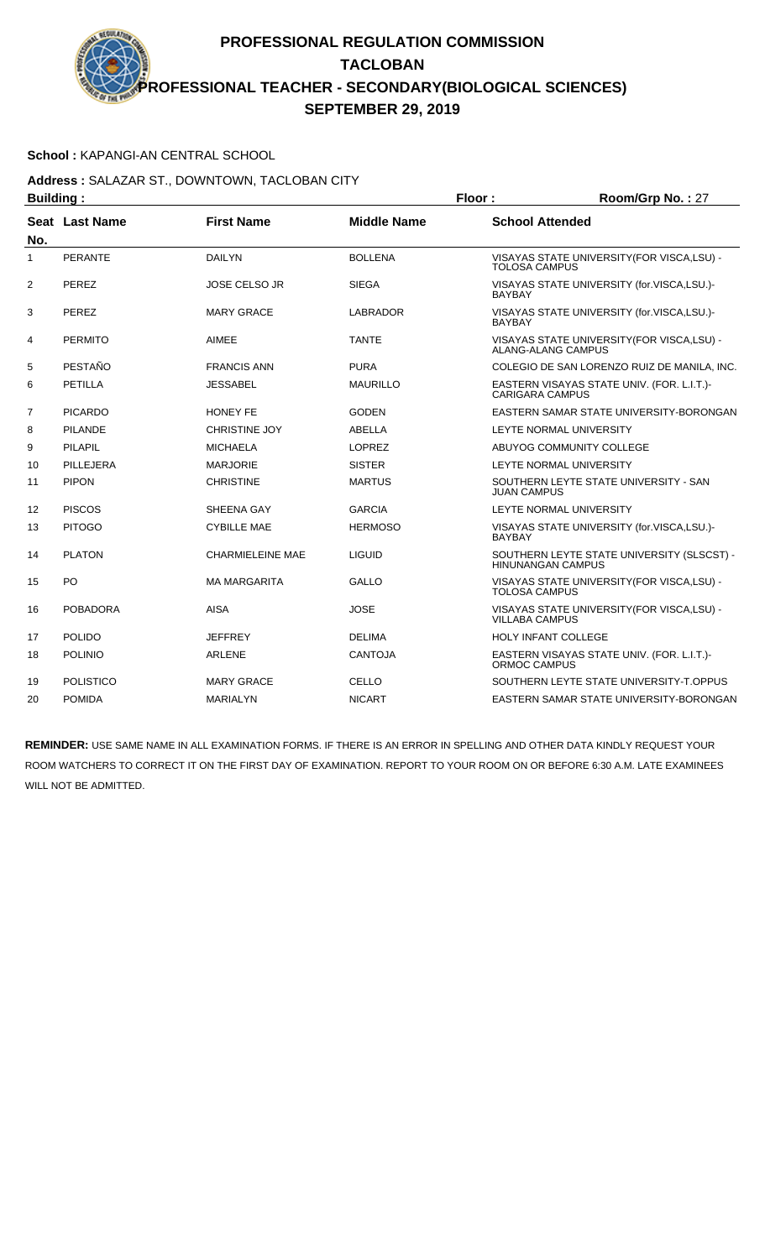### **School :** KAPANGI-AN CENTRAL SCHOOL

#### **Address :** SALAZAR ST., DOWNTOWN, TACLOBAN CITY **Building : Floor : Room/Grp No. :** 27

| Dununiy .      |                  |                         | . 1001.            | N                                                                      |
|----------------|------------------|-------------------------|--------------------|------------------------------------------------------------------------|
| No.            | Seat Last Name   | <b>First Name</b>       | <b>Middle Name</b> | <b>School Attended</b>                                                 |
| $\mathbf{1}$   | <b>PERANTE</b>   | <b>DAILYN</b>           | <b>BOLLENA</b>     | VISAYAS STATE UNIVERSITY(FOR VISCA,LSU) -<br><b>TOLOSA CAMPUS</b>      |
| 2              | PEREZ            | <b>JOSE CELSO JR</b>    | <b>SIEGA</b>       | VISAYAS STATE UNIVERSITY (for.VISCA,LSU.)-<br><b>BAYBAY</b>            |
| 3              | <b>PEREZ</b>     | <b>MARY GRACE</b>       | <b>LABRADOR</b>    | VISAYAS STATE UNIVERSITY (for.VISCA,LSU.)-<br><b>BAYBAY</b>            |
| 4              | <b>PERMITO</b>   | <b>AIMEE</b>            | <b>TANTE</b>       | VISAYAS STATE UNIVERSITY(FOR VISCA,LSU) -<br>ALANG-ALANG CAMPUS        |
| 5              | PESTAÑO          | <b>FRANCIS ANN</b>      | <b>PURA</b>        | COLEGIO DE SAN LORENZO RUIZ DE MANILA, INC.                            |
| 6              | PETILLA          | JESSABEL                | <b>MAURILLO</b>    | EASTERN VISAYAS STATE UNIV. (FOR. L.I.T.)-<br><b>CARIGARA CAMPUS</b>   |
| $\overline{7}$ | <b>PICARDO</b>   | <b>HONEY FE</b>         | <b>GODEN</b>       | EASTERN SAMAR STATE UNIVERSITY-BORONGAN                                |
| 8              | <b>PILANDE</b>   | <b>CHRISTINE JOY</b>    | ABELLA             | LEYTE NORMAL UNIVERSITY                                                |
| 9              | PILAPIL          | <b>MICHAELA</b>         | <b>LOPREZ</b>      | ABUYOG COMMUNITY COLLEGE                                               |
| 10             | PILLEJERA        | <b>MARJORIE</b>         | <b>SISTER</b>      | LEYTE NORMAL UNIVERSITY                                                |
| 11             | <b>PIPON</b>     | <b>CHRISTINE</b>        | <b>MARTUS</b>      | SOUTHERN LEYTE STATE UNIVERSITY - SAN<br><b>JUAN CAMPUS</b>            |
| 12             | <b>PISCOS</b>    | SHEENA GAY              | <b>GARCIA</b>      | LEYTE NORMAL UNIVERSITY                                                |
| 13             | <b>PITOGO</b>    | <b>CYBILLE MAE</b>      | <b>HERMOSO</b>     | VISAYAS STATE UNIVERSITY (for.VISCA,LSU.)-<br><b>BAYBAY</b>            |
| 14             | <b>PLATON</b>    | <b>CHARMIELEINE MAE</b> | <b>LIGUID</b>      | SOUTHERN LEYTE STATE UNIVERSITY (SLSCST) -<br><b>HINUNANGAN CAMPUS</b> |
| 15             | PO               | <b>MA MARGARITA</b>     | <b>GALLO</b>       | VISAYAS STATE UNIVERSITY(FOR VISCA,LSU) -<br><b>TOLOSA CAMPUS</b>      |
| 16             | <b>POBADORA</b>  | <b>AISA</b>             | <b>JOSE</b>        | VISAYAS STATE UNIVERSITY(FOR VISCA,LSU) -<br><b>VILLABA CAMPUS</b>     |
| 17             | <b>POLIDO</b>    | <b>JEFFREY</b>          | <b>DELIMA</b>      | <b>HOLY INFANT COLLEGE</b>                                             |
| 18             | <b>POLINIO</b>   | <b>ARLENE</b>           | <b>CANTOJA</b>     | EASTERN VISAYAS STATE UNIV. (FOR. L.I.T.)-<br><b>ORMOC CAMPUS</b>      |
| 19             | <b>POLISTICO</b> | <b>MARY GRACE</b>       | <b>CELLO</b>       | SOUTHERN LEYTE STATE UNIVERSITY-T.OPPUS                                |
| 20             | <b>POMIDA</b>    | <b>MARIALYN</b>         | <b>NICART</b>      | EASTERN SAMAR STATE UNIVERSITY-BORONGAN                                |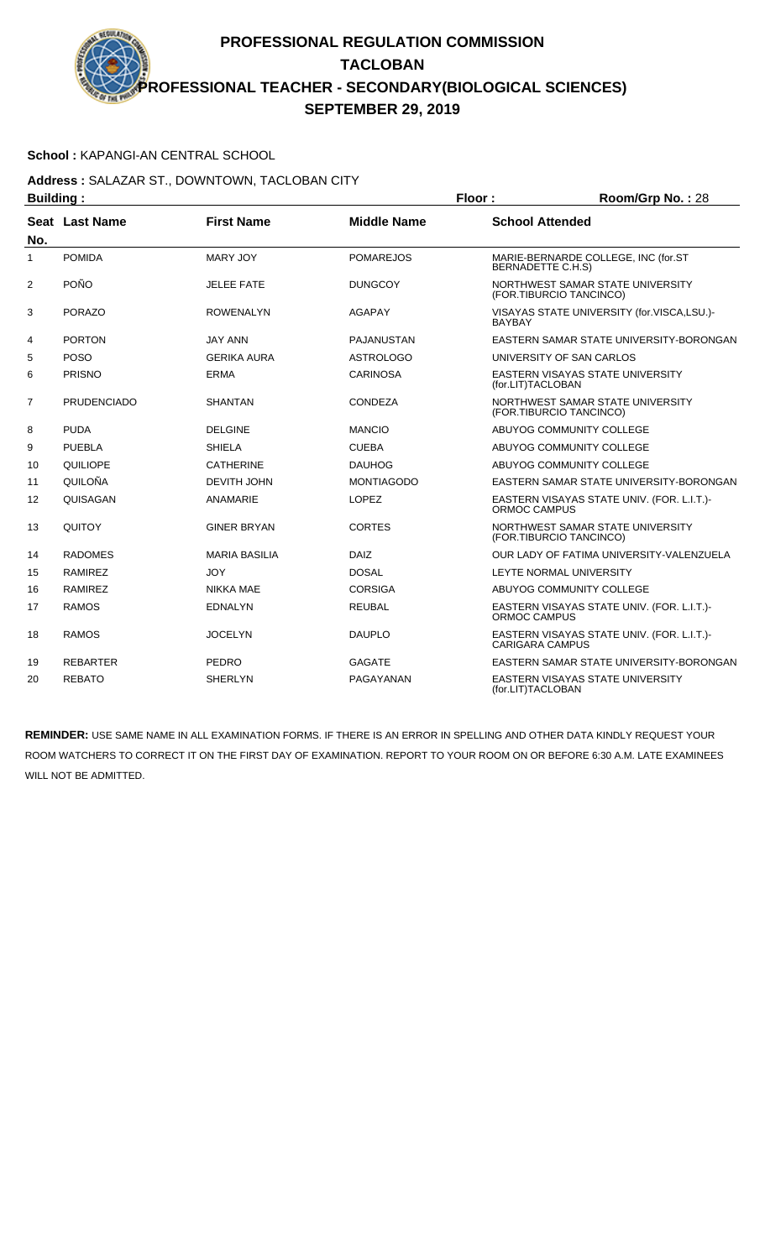### **School :** KAPANGI-AN CENTRAL SCHOOL

### **Address :** SALAZAR ST., DOWNTOWN, TACLOBAN CITY **Building : Floor : Floor : Room/Grp No. : 28**

| sananig .      |                    |                      | .                  | 110011110101101120                                                   |
|----------------|--------------------|----------------------|--------------------|----------------------------------------------------------------------|
| No.            | Seat Last Name     | <b>First Name</b>    | <b>Middle Name</b> | <b>School Attended</b>                                               |
| 1              | <b>POMIDA</b>      | <b>MARY JOY</b>      | <b>POMAREJOS</b>   | MARIE-BERNARDE COLLEGE, INC (for.ST<br><b>BERNADETTE C.H.S)</b>      |
| $\overline{2}$ | <b>POÑO</b>        | <b>JELEE FATE</b>    | <b>DUNGCOY</b>     | NORTHWEST SAMAR STATE UNIVERSITY<br>(FOR.TIBURCIO TANCINCO)          |
| 3              | <b>PORAZO</b>      | <b>ROWENALYN</b>     | <b>AGAPAY</b>      | VISAYAS STATE UNIVERSITY (for.VISCA,LSU.)-<br><b>BAYBAY</b>          |
| 4              | <b>PORTON</b>      | <b>JAY ANN</b>       | PAJANUSTAN         | EASTERN SAMAR STATE UNIVERSITY-BORONGAN                              |
| 5              | <b>POSO</b>        | <b>GERIKA AURA</b>   | <b>ASTROLOGO</b>   | UNIVERSITY OF SAN CARLOS                                             |
| 6              | <b>PRISNO</b>      | <b>ERMA</b>          | <b>CARINOSA</b>    | <b>EASTERN VISAYAS STATE UNIVERSITY</b><br>(for.LIT)TACLOBAN         |
| $\overline{7}$ | <b>PRUDENCIADO</b> | <b>SHANTAN</b>       | CONDEZA            | NORTHWEST SAMAR STATE UNIVERSITY<br>(FOR.TIBURCIO TANCINCO)          |
| 8              | <b>PUDA</b>        | <b>DELGINE</b>       | <b>MANCIO</b>      | ABUYOG COMMUNITY COLLEGE                                             |
| 9              | <b>PUEBLA</b>      | <b>SHIELA</b>        | <b>CUEBA</b>       | ABUYOG COMMUNITY COLLEGE                                             |
| 10             | QUILIOPE           | <b>CATHERINE</b>     | <b>DAUHOG</b>      | ABUYOG COMMUNITY COLLEGE                                             |
| 11             | QUILOÑA            | <b>DEVITH JOHN</b>   | <b>MONTIAGODO</b>  | EASTERN SAMAR STATE UNIVERSITY-BORONGAN                              |
| 12             | QUISAGAN           | ANAMARIE             | <b>LOPEZ</b>       | EASTERN VISAYAS STATE UNIV. (FOR. L.I.T.)-<br>ORMOC CAMPUS           |
| 13             | QUITOY             | <b>GINER BRYAN</b>   | <b>CORTES</b>      | NORTHWEST SAMAR STATE UNIVERSITY<br>(FOR.TIBURCIO TANCINCO)          |
| 14             | <b>RADOMES</b>     | <b>MARIA BASILIA</b> | <b>DAIZ</b>        | OUR LADY OF FATIMA UNIVERSITY-VALENZUELA                             |
| 15             | <b>RAMIREZ</b>     | <b>JOY</b>           | <b>DOSAL</b>       | LEYTE NORMAL UNIVERSITY                                              |
| 16             | <b>RAMIREZ</b>     | <b>NIKKA MAE</b>     | <b>CORSIGA</b>     | ABUYOG COMMUNITY COLLEGE                                             |
| 17             | <b>RAMOS</b>       | <b>EDNALYN</b>       | <b>REUBAL</b>      | EASTERN VISAYAS STATE UNIV. (FOR. L.I.T.)-<br>ORMOC CAMPUS           |
| 18             | <b>RAMOS</b>       | <b>JOCELYN</b>       | <b>DAUPLO</b>      | EASTERN VISAYAS STATE UNIV. (FOR. L.I.T.)-<br><b>CARIGARA CAMPUS</b> |
| 19             | <b>REBARTER</b>    | <b>PEDRO</b>         | <b>GAGATE</b>      | EASTERN SAMAR STATE UNIVERSITY-BORONGAN                              |
| 20             | <b>REBATO</b>      | <b>SHERLYN</b>       | PAGAYANAN          | <b>EASTERN VISAYAS STATE UNIVERSITY</b><br>(for.LIT)TACLOBAN         |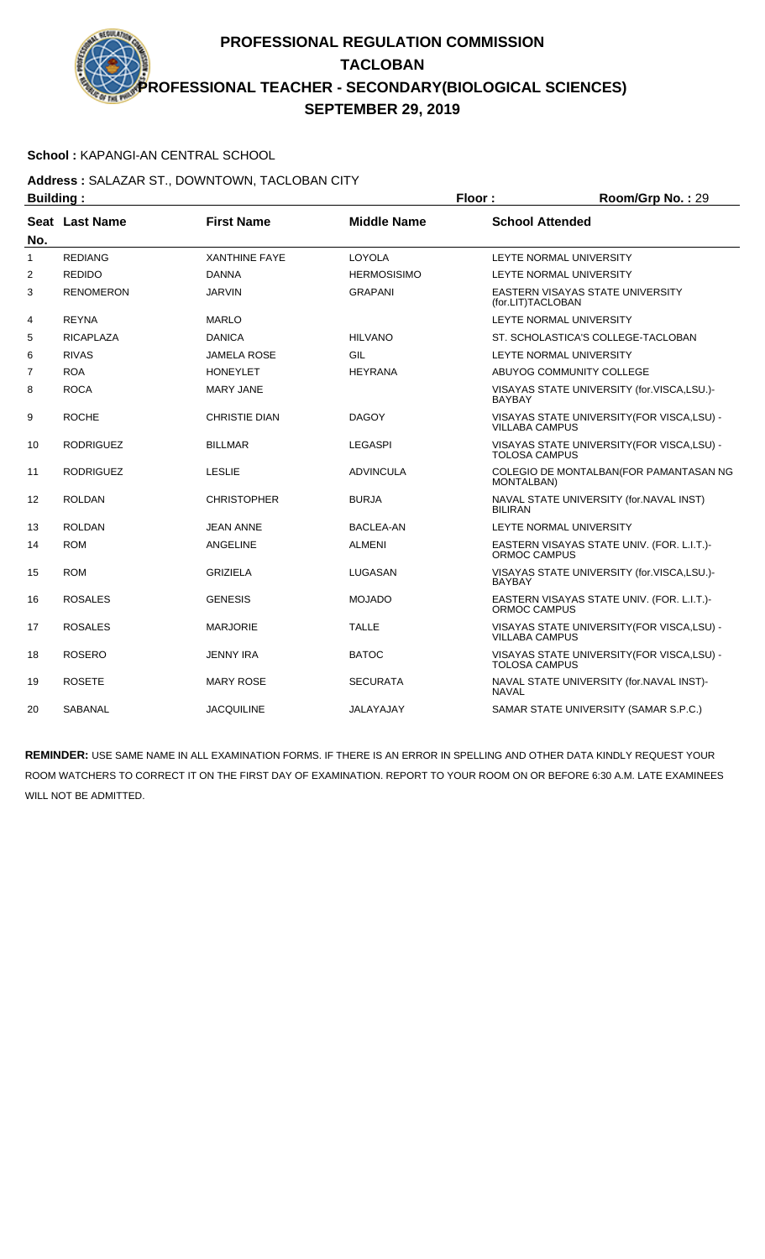### **School :** KAPANGI-AN CENTRAL SCHOOL

### **Address :** SALAZAR ST., DOWNTOWN, TACLOBAN CITY **Building : Floor : Room/Grp No. :** 29

| Dununiy .    |                  |                      | וטטו ו             | 10011101111101.23                                                    |
|--------------|------------------|----------------------|--------------------|----------------------------------------------------------------------|
| No.          | Seat Last Name   | <b>First Name</b>    | <b>Middle Name</b> | <b>School Attended</b>                                               |
| $\mathbf{1}$ | <b>REDIANG</b>   | <b>XANTHINE FAYE</b> | LOYOLA             | LEYTE NORMAL UNIVERSITY                                              |
| 2            | <b>REDIDO</b>    | <b>DANNA</b>         | <b>HERMOSISIMO</b> | LEYTE NORMAL UNIVERSITY                                              |
| 3            | <b>RENOMERON</b> | <b>JARVIN</b>        | <b>GRAPANI</b>     | EASTERN VISAYAS STATE UNIVERSITY<br>(for.LIT)TACLOBAN                |
| 4            | <b>REYNA</b>     | <b>MARLO</b>         |                    | LEYTE NORMAL UNIVERSITY                                              |
| 5            | <b>RICAPLAZA</b> | <b>DANICA</b>        | <b>HILVANO</b>     | ST. SCHOLASTICA'S COLLEGE-TACLOBAN                                   |
| 6            | <b>RIVAS</b>     | <b>JAMELA ROSE</b>   | GIL                | LEYTE NORMAL UNIVERSITY                                              |
| 7            | <b>ROA</b>       | <b>HONEYLET</b>      | <b>HEYRANA</b>     | ABUYOG COMMUNITY COLLEGE                                             |
| 8            | <b>ROCA</b>      | <b>MARY JANE</b>     |                    | VISAYAS STATE UNIVERSITY (for.VISCA,LSU.)-<br><b>BAYBAY</b>          |
| 9            | <b>ROCHE</b>     | <b>CHRISTIE DIAN</b> | <b>DAGOY</b>       | VISAYAS STATE UNIVERSITY (FOR VISCA, LSU) -<br><b>VILLABA CAMPUS</b> |
| 10           | <b>RODRIGUEZ</b> | <b>BILLMAR</b>       | <b>LEGASPI</b>     | VISAYAS STATE UNIVERSITY (FOR VISCA, LSU) -<br><b>TOLOSA CAMPUS</b>  |
| 11           | <b>RODRIGUEZ</b> | <b>LESLIE</b>        | <b>ADVINCULA</b>   | COLEGIO DE MONTALBAN(FOR PAMANTASAN NG<br><b>MONTALBAN)</b>          |
| 12           | <b>ROLDAN</b>    | <b>CHRISTOPHER</b>   | <b>BURJA</b>       | NAVAL STATE UNIVERSITY (for.NAVAL INST)<br><b>BILIRAN</b>            |
| 13           | <b>ROLDAN</b>    | <b>JEAN ANNE</b>     | BACLEA-AN          | LEYTE NORMAL UNIVERSITY                                              |
| 14           | <b>ROM</b>       | <b>ANGELINE</b>      | <b>ALMENI</b>      | EASTERN VISAYAS STATE UNIV. (FOR. L.I.T.)-<br>ORMOC CAMPUS           |
| 15           | <b>ROM</b>       | <b>GRIZIELA</b>      | LUGASAN            | VISAYAS STATE UNIVERSITY (for.VISCA,LSU.)-<br><b>BAYBAY</b>          |
| 16           | <b>ROSALES</b>   | <b>GENESIS</b>       | <b>MOJADO</b>      | EASTERN VISAYAS STATE UNIV. (FOR. L.I.T.)-<br>ORMOC CAMPUS           |
| 17           | <b>ROSALES</b>   | <b>MARJORIE</b>      | <b>TALLE</b>       | VISAYAS STATE UNIVERSITY (FOR VISCA, LSU) -<br><b>VILLABA CAMPUS</b> |
| 18           | <b>ROSERO</b>    | <b>JENNY IRA</b>     | <b>BATOC</b>       | VISAYAS STATE UNIVERSITY(FOR VISCA,LSU) -<br><b>TOLOSA CAMPUS</b>    |
| 19           | <b>ROSETE</b>    | <b>MARY ROSE</b>     | <b>SECURATA</b>    | NAVAL STATE UNIVERSITY (for.NAVAL INST)-<br><b>NAVAL</b>             |
| 20           | SABANAL          | <b>JACQUILINE</b>    | JALAYAJAY          | SAMAR STATE UNIVERSITY (SAMAR S.P.C.)                                |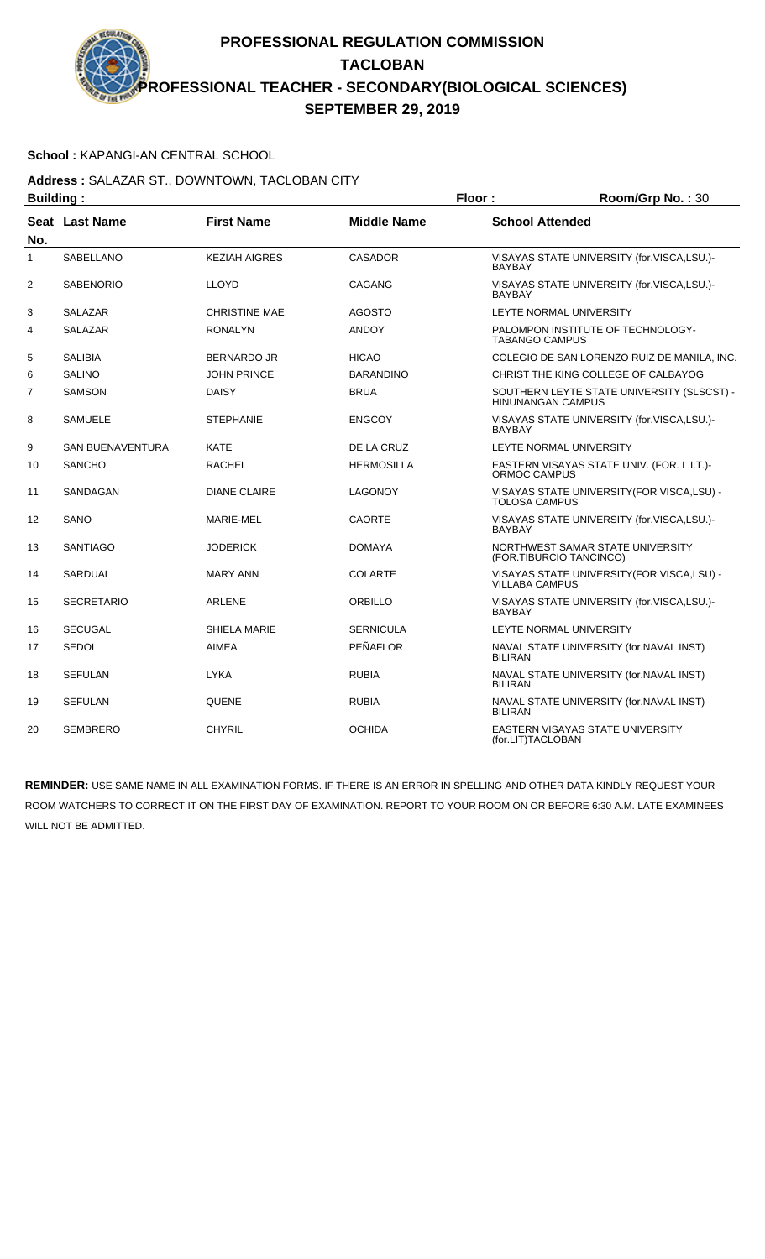### **School :** KAPANGI-AN CENTRAL SCHOOL

### **Address :** SALAZAR ST., DOWNTOWN, TACLOBAN CITY **Building : Floor : Room/Grp No. : 30**

| Dununiy .      |                       |                      |                    | .                                                                      |  |
|----------------|-----------------------|----------------------|--------------------|------------------------------------------------------------------------|--|
| No.            | <b>Seat Last Name</b> | <b>First Name</b>    | <b>Middle Name</b> | <b>School Attended</b>                                                 |  |
| 1              | <b>SABELLANO</b>      | <b>KEZIAH AIGRES</b> | <b>CASADOR</b>     | VISAYAS STATE UNIVERSITY (for.VISCA,LSU.)-<br><b>BAYBAY</b>            |  |
| $\overline{2}$ | <b>SABENORIO</b>      | <b>LLOYD</b>         | <b>CAGANG</b>      | VISAYAS STATE UNIVERSITY (for.VISCA,LSU.)-<br><b>BAYBAY</b>            |  |
| 3              | SALAZAR               | <b>CHRISTINE MAE</b> | <b>AGOSTO</b>      | LEYTE NORMAL UNIVERSITY                                                |  |
| 4              | SALAZAR               | <b>RONALYN</b>       | <b>ANDOY</b>       | PALOMPON INSTITUTE OF TECHNOLOGY-<br><b>TABANGO CAMPUS</b>             |  |
| 5              | <b>SALIBIA</b>        | <b>BERNARDO JR</b>   | <b>HICAO</b>       | COLEGIO DE SAN LORENZO RUIZ DE MANILA, INC.                            |  |
| 6              | <b>SALINO</b>         | <b>JOHN PRINCE</b>   | <b>BARANDINO</b>   | CHRIST THE KING COLLEGE OF CALBAYOG                                    |  |
| 7              | <b>SAMSON</b>         | <b>DAISY</b>         | <b>BRUA</b>        | SOUTHERN LEYTE STATE UNIVERSITY (SLSCST) -<br><b>HINUNANGAN CAMPUS</b> |  |
| 8              | <b>SAMUELE</b>        | <b>STEPHANIE</b>     | <b>ENGCOY</b>      | VISAYAS STATE UNIVERSITY (for.VISCA,LSU.)-<br><b>BAYBAY</b>            |  |
| 9              | SAN BUENAVENTURA      | <b>KATE</b>          | DE LA CRUZ         | LEYTE NORMAL UNIVERSITY                                                |  |
| 10             | <b>SANCHO</b>         | <b>RACHEL</b>        | <b>HERMOSILLA</b>  | EASTERN VISAYAS STATE UNIV. (FOR. L.I.T.)-<br>ORMOC CAMPUS             |  |
| 11             | SANDAGAN              | <b>DIANE CLAIRE</b>  | <b>LAGONOY</b>     | VISAYAS STATE UNIVERSITY (FOR VISCA, LSU) -<br><b>TOLOSA CAMPUS</b>    |  |
| 12             | SANO                  | MARIE-MEL            | <b>CAORTE</b>      | VISAYAS STATE UNIVERSITY (for.VISCA,LSU.)-<br><b>BAYBAY</b>            |  |
| 13             | <b>SANTIAGO</b>       | <b>JODERICK</b>      | <b>DOMAYA</b>      | NORTHWEST SAMAR STATE UNIVERSITY<br>(FOR.TIBURCIO TANCINCO)            |  |
| 14             | <b>SARDUAL</b>        | <b>MARY ANN</b>      | <b>COLARTE</b>     | VISAYAS STATE UNIVERSITY(FOR VISCA,LSU) -<br><b>VILLABA CAMPUS</b>     |  |
| 15             | SECRETARIO            | <b>ARLENE</b>        | <b>ORBILLO</b>     | VISAYAS STATE UNIVERSITY (for.VISCA,LSU.)-<br><b>BAYBAY</b>            |  |
| 16             | <b>SECUGAL</b>        | <b>SHIELA MARIE</b>  | <b>SERNICULA</b>   | LEYTE NORMAL UNIVERSITY                                                |  |
| 17             | <b>SEDOL</b>          | <b>AIMEA</b>         | PEÑAFLOR           | NAVAL STATE UNIVERSITY (for.NAVAL INST)<br><b>BILIRAN</b>              |  |
| 18             | <b>SEFULAN</b>        | <b>LYKA</b>          | <b>RUBIA</b>       | NAVAL STATE UNIVERSITY (for.NAVAL INST)<br><b>BILIRAN</b>              |  |
| 19             | <b>SEFULAN</b>        | <b>QUENE</b>         | <b>RUBIA</b>       | NAVAL STATE UNIVERSITY (for.NAVAL INST)<br><b>BILIRAN</b>              |  |
| 20             | <b>SEMBRERO</b>       | <b>CHYRIL</b>        | <b>OCHIDA</b>      | EASTERN VISAYAS STATE UNIVERSITY<br>(for.LIT)TACLOBAN                  |  |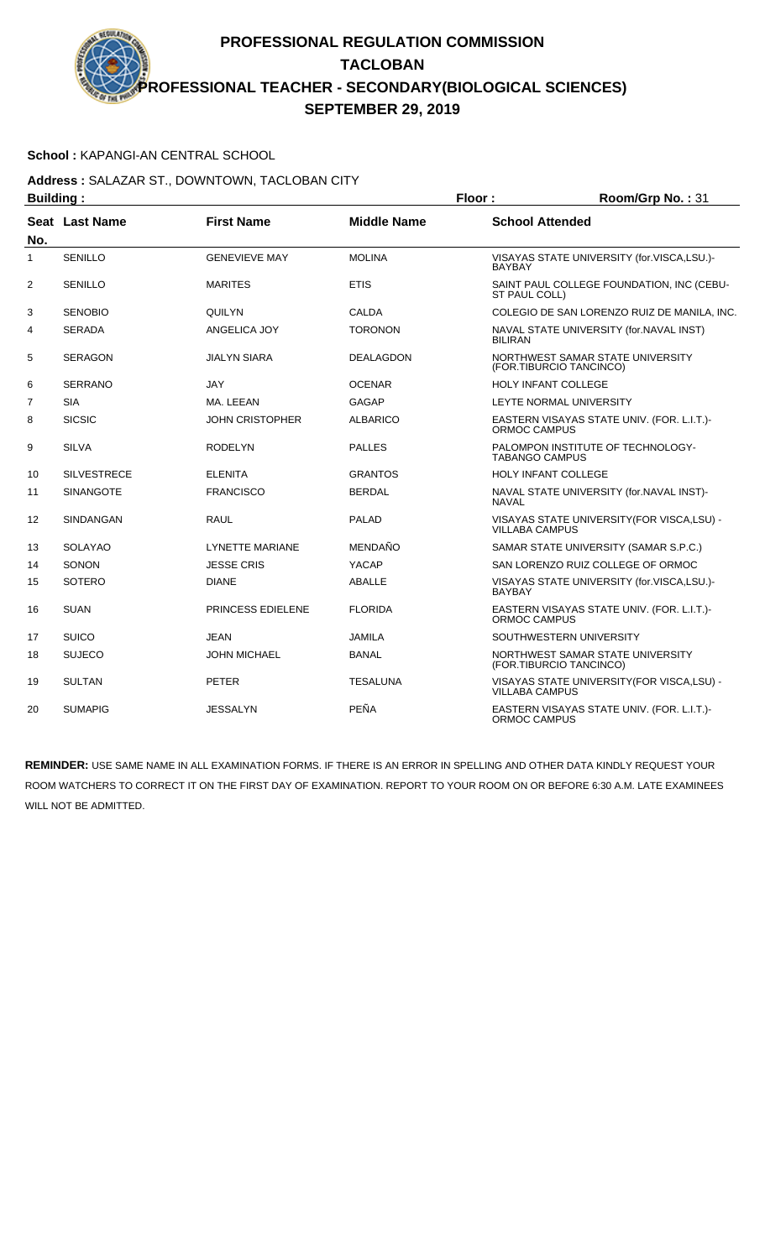### **School :** KAPANGI-AN CENTRAL SCHOOL

### **Address :** SALAZAR ST., DOWNTOWN, TACLOBAN CITY **Building : Floor : Room/Grp No. : 31**

| Pananig .      |                    |                        | .                  | 110011110101101                                                      |
|----------------|--------------------|------------------------|--------------------|----------------------------------------------------------------------|
| No.            | Seat Last Name     | <b>First Name</b>      | <b>Middle Name</b> | <b>School Attended</b>                                               |
| $\mathbf{1}$   | <b>SENILLO</b>     | <b>GENEVIEVE MAY</b>   | <b>MOLINA</b>      | VISAYAS STATE UNIVERSITY (for.VISCA,LSU.)-<br><b>BAYBAY</b>          |
| 2              | <b>SENILLO</b>     | <b>MARITES</b>         | <b>ETIS</b>        | SAINT PAUL COLLEGE FOUNDATION, INC (CEBU-<br>ST PAUL COLL)           |
| 3              | <b>SENOBIO</b>     | QUILYN                 | <b>CALDA</b>       | COLEGIO DE SAN LORENZO RUIZ DE MANILA, INC.                          |
| 4              | <b>SERADA</b>      | ANGELICA JOY           | <b>TORONON</b>     | NAVAL STATE UNIVERSITY (for.NAVAL INST)<br><b>BILIRAN</b>            |
| 5              | <b>SERAGON</b>     | <b>JIALYN SIARA</b>    | <b>DEALAGDON</b>   | NORTHWEST SAMAR STATE UNIVERSITY<br>(FOR.TIBURCIO TANCINCO)          |
| 6              | <b>SERRANO</b>     | <b>JAY</b>             | <b>OCENAR</b>      | HOLY INFANT COLLEGE                                                  |
| $\overline{7}$ | <b>SIA</b>         | MA. LEEAN              | <b>GAGAP</b>       | LEYTE NORMAL UNIVERSITY                                              |
| 8              | <b>SICSIC</b>      | <b>JOHN CRISTOPHER</b> | <b>ALBARICO</b>    | EASTERN VISAYAS STATE UNIV. (FOR. L.I.T.)-<br>ORMOC CAMPUS           |
| 9              | <b>SILVA</b>       | <b>RODELYN</b>         | <b>PALLES</b>      | PALOMPON INSTITUTE OF TECHNOLOGY-<br><b>TABANGO CAMPUS</b>           |
| 10             | <b>SILVESTRECE</b> | <b>ELENITA</b>         | <b>GRANTOS</b>     | <b>HOLY INFANT COLLEGE</b>                                           |
| 11             | <b>SINANGOTE</b>   | <b>FRANCISCO</b>       | <b>BERDAL</b>      | NAVAL STATE UNIVERSITY (for.NAVAL INST)-<br><b>NAVAL</b>             |
| 12             | <b>SINDANGAN</b>   | <b>RAUL</b>            | <b>PALAD</b>       | VISAYAS STATE UNIVERSITY (FOR VISCA.LSU) -<br><b>VILLABA CAMPUS</b>  |
| 13             | <b>SOLAYAO</b>     | LYNETTE MARIANE        | MENDAÑO            | SAMAR STATE UNIVERSITY (SAMAR S.P.C.)                                |
| 14             | SONON              | <b>JESSE CRIS</b>      | YACAP              | SAN LORENZO RUIZ COLLEGE OF ORMOC                                    |
| 15             | <b>SOTERO</b>      | <b>DIANE</b>           | ABALLE             | VISAYAS STATE UNIVERSITY (for.VISCA,LSU.)-<br><b>BAYBAY</b>          |
| 16             | <b>SUAN</b>        | PRINCESS EDIELENE      | <b>FLORIDA</b>     | EASTERN VISAYAS STATE UNIV. (FOR. L.I.T.)-<br>ORMOC CAMPUS           |
| 17             | <b>SUICO</b>       | <b>JEAN</b>            | <b>JAMILA</b>      | SOUTHWESTERN UNIVERSITY                                              |
| 18             | <b>SUJECO</b>      | <b>JOHN MICHAEL</b>    | <b>BANAL</b>       | NORTHWEST SAMAR STATE UNIVERSITY<br>(FOR.TIBURCIO TANCINCO)          |
| 19             | <b>SULTAN</b>      | <b>PETER</b>           | <b>TESALUNA</b>    | VISAYAS STATE UNIVERSITY (FOR VISCA, LSU) -<br><b>VILLABA CAMPUS</b> |
| 20             | <b>SUMAPIG</b>     | <b>JESSALYN</b>        | PEÑA               | EASTERN VISAYAS STATE UNIV. (FOR. L.I.T.)-<br><b>ORMOC CAMPUS</b>    |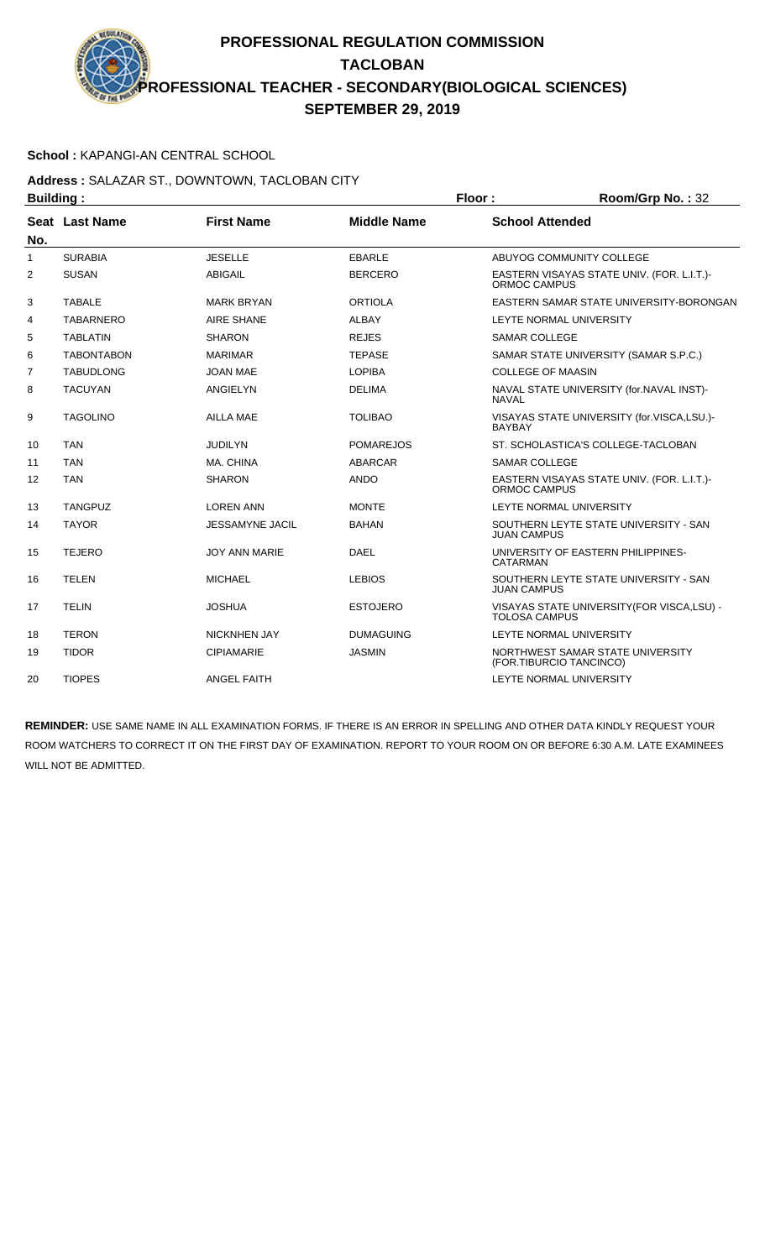### **School :** KAPANGI-AN CENTRAL SCHOOL

### **Address :** SALAZAR ST., DOWNTOWN, TACLOBAN CITY **Building : Floor : Floor : Room/Grp No. : 32**

|                | sununiy .         |                        |                    | .<br>11001111011011101                                              |
|----------------|-------------------|------------------------|--------------------|---------------------------------------------------------------------|
| No.            | Seat Last Name    | <b>First Name</b>      | <b>Middle Name</b> | <b>School Attended</b>                                              |
| 1              | <b>SURABIA</b>    | <b>JESELLE</b>         | <b>EBARLE</b>      | ABUYOG COMMUNITY COLLEGE                                            |
| $\overline{2}$ | <b>SUSAN</b>      | <b>ABIGAIL</b>         | <b>BERCERO</b>     | EASTERN VISAYAS STATE UNIV. (FOR. L.I.T.)-<br>ORMOC CAMPUS          |
| 3              | <b>TABALE</b>     | <b>MARK BRYAN</b>      | <b>ORTIOLA</b>     | EASTERN SAMAR STATE UNIVERSITY-BORONGAN                             |
| 4              | <b>TABARNERO</b>  | <b>AIRE SHANE</b>      | <b>ALBAY</b>       | LEYTE NORMAL UNIVERSITY                                             |
| 5              | <b>TABLATIN</b>   | <b>SHARON</b>          | <b>REJES</b>       | <b>SAMAR COLLEGE</b>                                                |
| 6              | <b>TABONTABON</b> | <b>MARIMAR</b>         | <b>TEPASE</b>      | SAMAR STATE UNIVERSITY (SAMAR S.P.C.)                               |
| 7              | <b>TABUDLONG</b>  | <b>JOAN MAE</b>        | <b>LOPIBA</b>      | <b>COLLEGE OF MAASIN</b>                                            |
| 8              | <b>TACUYAN</b>    | ANGIELYN               | <b>DELIMA</b>      | NAVAL STATE UNIVERSITY (for.NAVAL INST)-<br><b>NAVAL</b>            |
| 9              | <b>TAGOLINO</b>   | AILLA MAE              | <b>TOLIBAO</b>     | VISAYAS STATE UNIVERSITY (for.VISCA,LSU.)-<br><b>BAYBAY</b>         |
| 10             | <b>TAN</b>        | <b>JUDILYN</b>         | <b>POMAREJOS</b>   | ST. SCHOLASTICA'S COLLEGE-TACLOBAN                                  |
| 11             | <b>TAN</b>        | MA, CHINA              | <b>ABARCAR</b>     | <b>SAMAR COLLEGE</b>                                                |
| 12             | <b>TAN</b>        | <b>SHARON</b>          | <b>ANDO</b>        | EASTERN VISAYAS STATE UNIV. (FOR. L.I.T.)-<br>ORMOC CAMPUS          |
| 13             | <b>TANGPUZ</b>    | <b>LOREN ANN</b>       | <b>MONTE</b>       | LEYTE NORMAL UNIVERSITY                                             |
| 14             | <b>TAYOR</b>      | <b>JESSAMYNE JACIL</b> | <b>BAHAN</b>       | SOUTHERN LEYTE STATE UNIVERSITY - SAN<br><b>JUAN CAMPUS</b>         |
| 15             | <b>TEJERO</b>     | <b>JOY ANN MARIE</b>   | <b>DAEL</b>        | UNIVERSITY OF EASTERN PHILIPPINES-<br><b>CATARMAN</b>               |
| 16             | <b>TELEN</b>      | <b>MICHAEL</b>         | <b>LEBIOS</b>      | SOUTHERN LEYTE STATE UNIVERSITY - SAN<br><b>JUAN CAMPUS</b>         |
| 17             | <b>TELIN</b>      | <b>JOSHUA</b>          | <b>ESTOJERO</b>    | VISAYAS STATE UNIVERSITY (FOR VISCA, LSU) -<br><b>TOLOSA CAMPUS</b> |
| 18             | <b>TERON</b>      | <b>NICKNHEN JAY</b>    | <b>DUMAGUING</b>   | LEYTE NORMAL UNIVERSITY                                             |
| 19             | <b>TIDOR</b>      | <b>CIPIAMARIE</b>      | <b>JASMIN</b>      | NORTHWEST SAMAR STATE UNIVERSITY<br>(FOR.TIBURCIO TANCINCO)         |
| 20             | <b>TIOPES</b>     | <b>ANGEL FAITH</b>     |                    | LEYTE NORMAL UNIVERSITY                                             |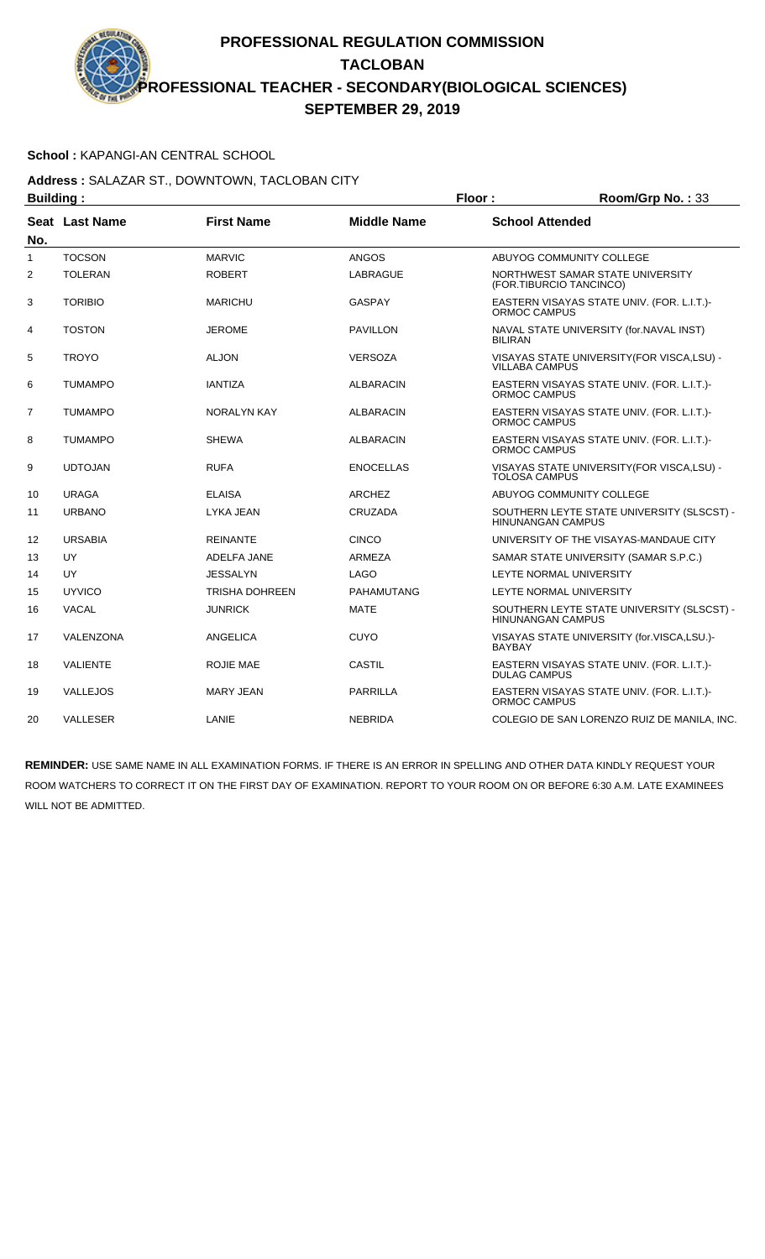### **School :** KAPANGI-AN CENTRAL SCHOOL

#### **Address :** SALAZAR ST., DOWNTOWN, TACLOBAN CITY **Building : Floor : Room/Grp No. :** 33

|              | Dununiy .       |                       |                    | . 1991<br>$1001110$ $110.700$                                          |
|--------------|-----------------|-----------------------|--------------------|------------------------------------------------------------------------|
| No.          | Seat Last Name  | <b>First Name</b>     | <b>Middle Name</b> | <b>School Attended</b>                                                 |
| $\mathbf{1}$ | <b>TOCSON</b>   | <b>MARVIC</b>         | <b>ANGOS</b>       | ABUYOG COMMUNITY COLLEGE                                               |
| 2            | <b>TOLERAN</b>  | <b>ROBERT</b>         | LABRAGUE           | NORTHWEST SAMAR STATE UNIVERSITY<br>(FOR.TIBURCIO TANCINCO)            |
| 3            | <b>TORIBIO</b>  | <b>MARICHU</b>        | <b>GASPAY</b>      | EASTERN VISAYAS STATE UNIV. (FOR. L.I.T.)-<br>ORMOC CAMPUS             |
| 4            | <b>TOSTON</b>   | <b>JEROME</b>         | <b>PAVILLON</b>    | NAVAL STATE UNIVERSITY (for.NAVAL INST)<br><b>BILIRAN</b>              |
| 5            | <b>TROYO</b>    | <b>ALJON</b>          | <b>VERSOZA</b>     | VISAYAS STATE UNIVERSITY(FOR VISCA,LSU) -<br><b>VILLABA CAMPUS</b>     |
| 6            | <b>TUMAMPO</b>  | <b>IANTIZA</b>        | <b>ALBARACIN</b>   | EASTERN VISAYAS STATE UNIV. (FOR. L.I.T.)-<br><b>ORMOC CAMPUS</b>      |
| 7            | <b>TUMAMPO</b>  | NORALYN KAY           | <b>ALBARACIN</b>   | EASTERN VISAYAS STATE UNIV. (FOR. L.I.T.)-<br><b>ORMOC CAMPUS</b>      |
| 8            | <b>TUMAMPO</b>  | <b>SHEWA</b>          | <b>ALBARACIN</b>   | EASTERN VISAYAS STATE UNIV. (FOR. L.I.T.)-<br><b>ORMOC CAMPUS</b>      |
| 9            | <b>UDTOJAN</b>  | <b>RUFA</b>           | <b>ENOCELLAS</b>   | VISAYAS STATE UNIVERSITY (FOR VISCA, LSU) -<br><b>TOLOSA CAMPUS</b>    |
| 10           | <b>URAGA</b>    | <b>ELAISA</b>         | <b>ARCHEZ</b>      | ABUYOG COMMUNITY COLLEGE                                               |
| 11           | <b>URBANO</b>   | <b>LYKA JEAN</b>      | <b>CRUZADA</b>     | SOUTHERN LEYTE STATE UNIVERSITY (SLSCST) -<br><b>HINUNANGAN CAMPUS</b> |
| 12           | <b>URSABIA</b>  | <b>REINANTE</b>       | <b>CINCO</b>       | UNIVERSITY OF THE VISAYAS-MANDAUE CITY                                 |
| 13           | UY              | ADELFA JANE           | ARMEZA             | SAMAR STATE UNIVERSITY (SAMAR S.P.C.)                                  |
| 14           | <b>UY</b>       | <b>JESSALYN</b>       | <b>LAGO</b>        | LEYTE NORMAL UNIVERSITY                                                |
| 15           | <b>UYVICO</b>   | <b>TRISHA DOHREEN</b> | <b>PAHAMUTANG</b>  | LEYTE NORMAL UNIVERSITY                                                |
| 16           | VACAL           | <b>JUNRICK</b>        | <b>MATE</b>        | SOUTHERN LEYTE STATE UNIVERSITY (SLSCST) -<br><b>HINUNANGAN CAMPUS</b> |
| 17           | VALENZONA       | ANGELICA              | <b>CUYO</b>        | VISAYAS STATE UNIVERSITY (for.VISCA,LSU.)-<br><b>BAYBAY</b>            |
| 18           | <b>VALIENTE</b> | ROJIE MAE             | <b>CASTIL</b>      | EASTERN VISAYAS STATE UNIV. (FOR. L.I.T.)-<br><b>DULAG CAMPUS</b>      |
| 19           | VALLEJOS        | <b>MARY JEAN</b>      | <b>PARRILLA</b>    | EASTERN VISAYAS STATE UNIV. (FOR. L.I.T.)-<br>ORMOC CAMPUS             |
| 20           | <b>VALLESER</b> | LANIE                 | <b>NEBRIDA</b>     | COLEGIO DE SAN LORENZO RUIZ DE MANILA, INC.                            |